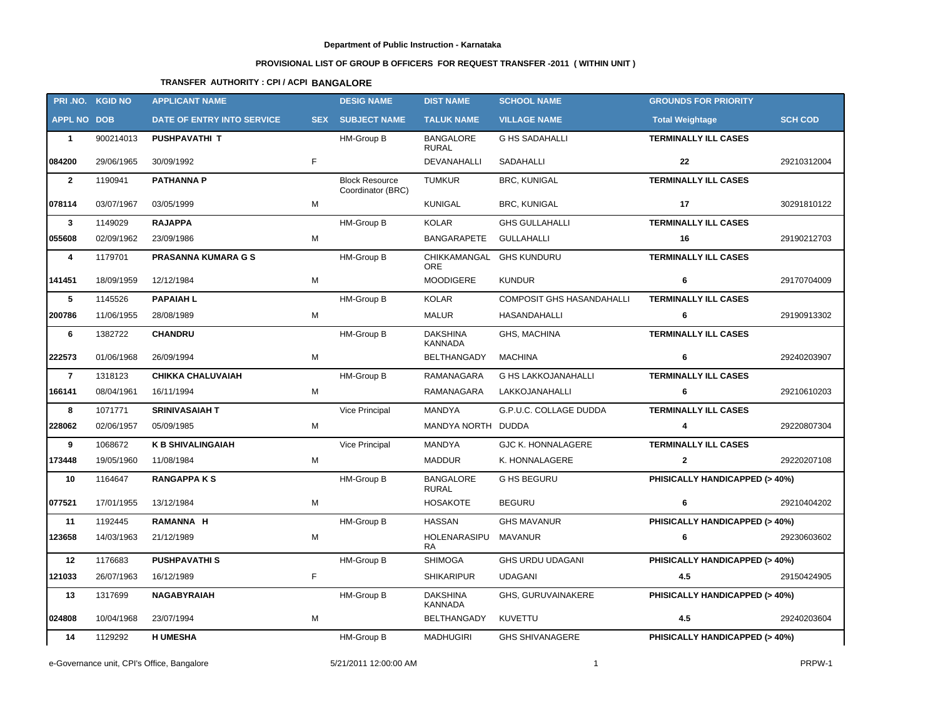## **Department of Public Instruction - Karnataka**

## **PROVISIONAL LIST OF GROUP B OFFICERS FOR REQUEST TRANSFER -2011 ( WITHIN UNIT )**

## **TRANSFER AUTHORITY : CPI / ACPI BANGALORE**

|                    | PRI.NO. KGID NO | <b>APPLICANT NAME</b>      |   | <b>DESIG NAME</b>                          | <b>DIST NAME</b>                       | <b>SCHOOL NAME</b>               | <b>GROUNDS FOR PRIORITY</b>              |                |
|--------------------|-----------------|----------------------------|---|--------------------------------------------|----------------------------------------|----------------------------------|------------------------------------------|----------------|
| <b>APPL NO DOB</b> |                 | DATE OF ENTRY INTO SERVICE |   | <b>SEX SUBJECT NAME</b>                    | <b>TALUK NAME</b>                      | <b>VILLAGE NAME</b>              | <b>Total Weightage</b>                   | <b>SCH COD</b> |
| $\mathbf{1}$       | 900214013       | <b>PUSHPAVATHI T</b>       |   | HM-Group B                                 | <b>BANGALORE</b><br>RURAL              | <b>G HS SADAHALLI</b>            | <b>TERMINALLY ILL CASES</b>              |                |
| 084200             | 29/06/1965      | 30/09/1992                 | F |                                            | DEVANAHALLI                            | SADAHALLI                        | 22                                       | 29210312004    |
| $\overline{2}$     | 1190941         | <b>PATHANNA P</b>          |   | <b>Block Resource</b><br>Coordinator (BRC) | <b>TUMKUR</b>                          | <b>BRC, KUNIGAL</b>              | <b>TERMINALLY ILL CASES</b>              |                |
| 078114             | 03/07/1967      | 03/05/1999                 | M |                                            | KUNIGAL                                | <b>BRC, KUNIGAL</b>              | 17                                       | 30291810122    |
| $\mathbf{3}$       | 1149029         | <b>RAJAPPA</b>             |   | HM-Group B                                 | <b>KOLAR</b>                           | <b>GHS GULLAHALLI</b>            | <b>TERMINALLY ILL CASES</b>              |                |
| 055608             | 02/09/1962      | 23/09/1986                 | М |                                            | BANGARAPETE                            | GULLAHALLI                       | 16                                       | 29190212703    |
| 4                  | 1179701         | <b>PRASANNA KUMARA G S</b> |   | HM-Group B                                 | CHIKKAMANGAL GHS KUNDURU<br><b>ORE</b> |                                  | <b>TERMINALLY ILL CASES</b>              |                |
| 141451             | 18/09/1959      | 12/12/1984                 | М |                                            | MOODIGERE                              | <b>KUNDUR</b>                    | 6                                        | 29170704009    |
| 5                  | 1145526         | <b>PAPAIAH L</b>           |   | HM-Group B                                 | <b>KOLAR</b>                           | <b>COMPOSIT GHS HASANDAHALLI</b> | <b>TERMINALLY ILL CASES</b>              |                |
| 200786             | 11/06/1955      | 28/08/1989                 | M |                                            | MALUR                                  | HASANDAHALLI                     | 6                                        | 29190913302    |
| 6                  | 1382722         | <b>CHANDRU</b>             |   | HM-Group B                                 | <b>DAKSHINA</b><br><b>KANNADA</b>      | GHS, MACHINA                     | <b>TERMINALLY ILL CASES</b>              |                |
| 222573             | 01/06/1968      | 26/09/1994                 | M |                                            | BELTHANGADY                            | <b>MACHINA</b>                   | 6                                        | 29240203907    |
| $\overline{7}$     | 1318123         | <b>CHIKKA CHALUVAIAH</b>   |   | HM-Group B                                 | RAMANAGARA                             | <b>G HS LAKKOJANAHALLI</b>       | <b>TERMINALLY ILL CASES</b>              |                |
| 166141             | 08/04/1961      | 16/11/1994                 | M |                                            | RAMANAGARA                             | LAKKOJANAHALLI                   | 6                                        | 29210610203    |
| 8                  | 1071771         | <b>SRINIVASAIAH T</b>      |   | Vice Principal                             | MANDYA                                 | G.P.U.C. COLLAGE DUDDA           | <b>TERMINALLY ILL CASES</b>              |                |
| 228062             | 02/06/1957      | 05/09/1985                 | М |                                            | MANDYA NORTH DUDDA                     |                                  | 4                                        | 29220807304    |
| 9                  | 1068672         | <b>K B SHIVALINGAIAH</b>   |   | Vice Principal                             | MANDYA                                 | <b>GJC K. HONNALAGERE</b>        | <b>TERMINALLY ILL CASES</b>              |                |
| 173448             | 19/05/1960      | 11/08/1984                 | М |                                            | MADDUR                                 | K. HONNALAGERE                   | $\mathbf{2}$                             | 29220207108    |
| 10                 | 1164647         | <b>RANGAPPAKS</b>          |   | HM-Group B                                 | <b>BANGALORE</b><br><b>RURAL</b>       | <b>G HS BEGURU</b>               | PHISICALLY HANDICAPPED (> 40%)           |                |
| 077521             | 17/01/1955      | 13/12/1984                 | M |                                            | <b>HOSAKOTE</b>                        | <b>BEGURU</b>                    | 6                                        | 29210404202    |
| 11                 | 1192445         | RAMANNA H                  |   | HM-Group B                                 | HASSAN                                 | <b>GHS MAVANUR</b>               | PHISICALLY HANDICAPPED (> 40%)           |                |
| 123658             | 14/03/1963      | 21/12/1989                 | М |                                            | HOLENARASIPU MAVANUR<br>RA             |                                  | 6                                        | 29230603602    |
|                    | 12 1176683      | <b>PUSHPAVATHI S</b>       |   | <b>HM-Group B</b>                          |                                        | SHIMOGA GHS URDU UDAGANI         | PHISICALLY HANDICAPPED (> 40%)           |                |
| 121033             | 26/07/1963      | 16/12/1989                 | F |                                            | <b>SHIKARIPUR</b>                      | <b>UDAGANI</b>                   | 4.5                                      | 29150424905    |
| 13                 | 1317699         | <b>NAGABYRAIAH</b>         |   | HM-Group B                                 | <b>DAKSHINA</b><br>KANNADA             | GHS, GURUVAINAKERE               | PHISICALLY HANDICAPPED (> 40%)           |                |
| 024808             | 10/04/1968      | 23/07/1994                 | М |                                            | <b>BELTHANGADY</b>                     | KUVETTU                          | 4.5                                      | 29240203604    |
| 14                 | 1129292         | <b>H UMESHA</b>            |   | HM-Group B                                 | <b>MADHUGIRI</b>                       | <b>GHS SHIVANAGERE</b>           | <b>PHISICALLY HANDICAPPED (&gt; 40%)</b> |                |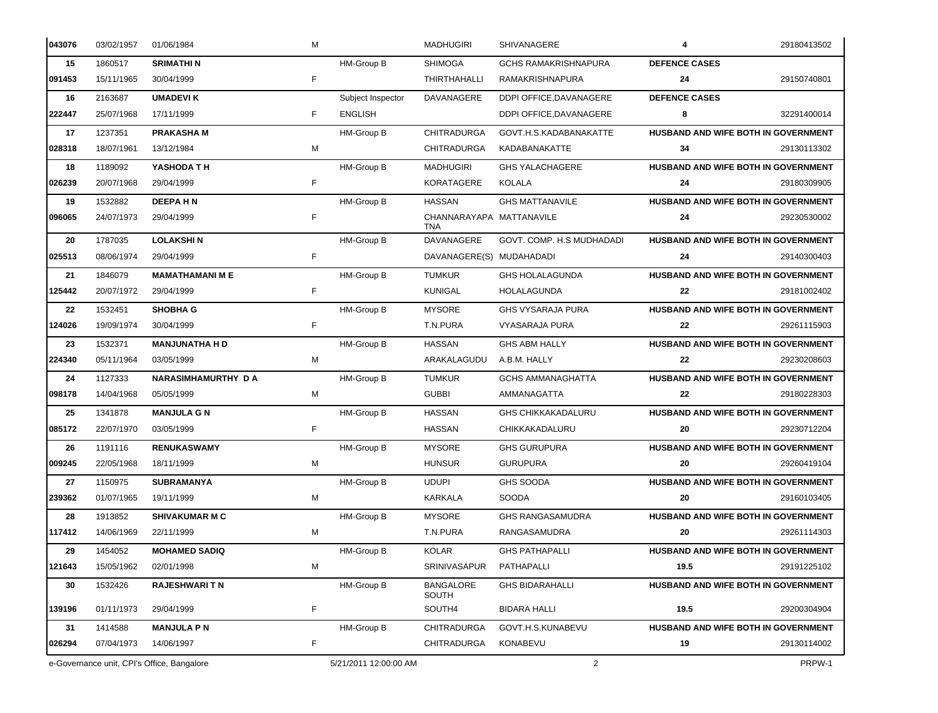| 043076 | 03/02/1957 | 01/06/1984                                 | M |                       | <b>MADHUGIRI</b>                       | SHIVANAGERE                 | 4                                   | 29180413502 |
|--------|------------|--------------------------------------------|---|-----------------------|----------------------------------------|-----------------------------|-------------------------------------|-------------|
| 15     | 1860517    | <b>SRIMATHIN</b>                           |   | HM-Group B            | <b>SHIMOGA</b>                         | <b>GCHS RAMAKRISHNAPURA</b> | <b>DEFENCE CASES</b>                |             |
| 091453 | 15/11/1965 | 30/04/1999                                 | F |                       | THIRTHAHALLI                           | RAMAKRISHNAPURA             | 24                                  | 29150740801 |
| 16     | 2163687    | <b>UMADEVIK</b>                            |   | Subject Inspector     | DAVANAGERE                             | DDPI OFFICE, DAVANAGERE     | <b>DEFENCE CASES</b>                |             |
| 222447 | 25/07/1968 | 17/11/1999                                 | F | <b>ENGLISH</b>        |                                        | DDPI OFFICE, DAVANAGERE     | 8                                   | 32291400014 |
| 17     | 1237351    | <b>PRAKASHAM</b>                           |   | HM-Group B            | <b>CHITRADURGA</b>                     | GOVT.H.S.KADABANAKATTE      | HUSBAND AND WIFE BOTH IN GOVERNMENT |             |
| 028318 | 18/07/1961 | 13/12/1984                                 | M |                       | <b>CHITRADURGA</b>                     | KADABANAKATTE               | 34                                  | 29130113302 |
| 18     | 1189092    | YASHODA TH                                 |   | HM-Group B            | <b>MADHUGIRI</b>                       | <b>GHS YALACHAGERE</b>      | HUSBAND AND WIFE BOTH IN GOVERNMENT |             |
| 026239 | 20/07/1968 | 29/04/1999                                 | F |                       | <b>KORATAGERE</b>                      | KOLALA                      | 24                                  | 29180309905 |
| 19     | 1532882    | <b>DEEPAHN</b>                             |   | HM-Group B            | <b>HASSAN</b>                          | <b>GHS MATTANAVILE</b>      | HUSBAND AND WIFE BOTH IN GOVERNMENT |             |
| 096065 | 24/07/1973 | 29/04/1999                                 | F |                       | CHANNARAYAPA MATTANAVILE<br><b>TNA</b> |                             | 24                                  | 29230530002 |
| 20     | 1787035    | <b>LOLAKSHIN</b>                           |   | HM-Group B            | DAVANAGERE                             | GOVT. COMP. H.S MUDHADADI   | HUSBAND AND WIFE BOTH IN GOVERNMENT |             |
| 025513 | 08/06/1974 | 29/04/1999                                 | F |                       | DAVANAGERE(S) MUDAHADADI               |                             | 24                                  | 29140300403 |
| 21     | 1846079    | <b>MAMATHAMANI M E</b>                     |   | HM-Group B            | <b>TUMKUR</b>                          | <b>GHS HOLALAGUNDA</b>      | HUSBAND AND WIFE BOTH IN GOVERNMENT |             |
| 125442 | 20/07/1972 | 29/04/1999                                 | F |                       | <b>KUNIGAL</b>                         | HOLALAGUNDA                 | 22                                  | 29181002402 |
| 22     | 1532451    | <b>SHOBHA G</b>                            |   | HM-Group B            | <b>MYSORE</b>                          | <b>GHS VYSARAJA PURA</b>    | HUSBAND AND WIFE BOTH IN GOVERNMENT |             |
| 124026 | 19/09/1974 | 30/04/1999                                 | F |                       | T.N.PURA                               | <b>VYASARAJA PURA</b>       | 22                                  | 29261115903 |
| 23     | 1532371    | <b>MANJUNATHA H D</b>                      |   | HM-Group B            | <b>HASSAN</b>                          | <b>GHS ABM HALLY</b>        | HUSBAND AND WIFE BOTH IN GOVERNMENT |             |
| 224340 | 05/11/1964 | 03/05/1999                                 | M |                       | ARAKALAGUDU                            | A.B.M. HALLY                | 22                                  | 29230208603 |
| 24     | 1127333    | NARASIMHAMURTHY DA                         |   | HM-Group B            | <b>TUMKUR</b>                          | <b>GCHS AMMANAGHATTA</b>    | HUSBAND AND WIFE BOTH IN GOVERNMENT |             |
| 098178 | 14/04/1968 | 05/05/1999                                 | M |                       | <b>GUBBI</b>                           | AMMANAGATTA                 | 22                                  | 29180228303 |
| 25     | 1341878    | <b>MANJULA G N</b>                         |   | HM-Group B            | <b>HASSAN</b>                          | <b>GHS CHIKKAKADALURU</b>   | HUSBAND AND WIFE BOTH IN GOVERNMENT |             |
| 085172 | 22/07/1970 | 03/05/1999                                 | F |                       | <b>HASSAN</b>                          | CHIKKAKADALURU              | 20                                  | 29230712204 |
| 26     | 1191116    | <b>RENUKASWAMY</b>                         |   | HM-Group B            | <b>MYSORE</b>                          | <b>GHS GURUPURA</b>         | HUSBAND AND WIFE BOTH IN GOVERNMENT |             |
| 009245 | 22/05/1968 | 18/11/1999                                 | M |                       | <b>HUNSUR</b>                          | <b>GURUPURA</b>             | 20                                  | 29260419104 |
| 27     | 1150975    | <b>SUBRAMANYA</b>                          |   | HM-Group B            | <b>UDUPI</b>                           | <b>GHS SOODA</b>            | HUSBAND AND WIFE BOTH IN GOVERNMENT |             |
| 239362 | 01/07/1965 | 19/11/1999                                 | M |                       | KARKALA                                | <b>SOODA</b>                | 20                                  | 29160103405 |
| 28     | 1913852    | <b>SHIVAKUMAR M C</b>                      |   | HM-Group B            | <b>MYSORE</b>                          | <b>GHS RANGASAMUDRA</b>     | HUSBAND AND WIFE BOTH IN GOVERNMENT |             |
| 117412 | 14/06/1969 | 22/11/1999                                 | M |                       | T.N.PURA                               | RANGASAMUDRA                | 20                                  | 29261114303 |
| 29     | 1454052    | <b>MOHAMED SADIQ</b>                       |   | HM-Group B            | KOLAR                                  | <b>GHS PATHAPALLI</b>       | HUSBAND AND WIFE BOTH IN GOVERNMENT |             |
| 121643 | 15/05/1962 | 02/01/1998                                 | M |                       | SRINIVASAPUR                           | PATHAPALLI                  | 19.5                                | 29191225102 |
| 30     | 1532426    | <b>RAJESHWARITN</b>                        |   | HM-Group B            | <b>BANGALORE</b><br>SOUTH              | <b>GHS BIDARAHALLI</b>      | HUSBAND AND WIFE BOTH IN GOVERNMENT |             |
| 139196 | 01/11/1973 | 29/04/1999                                 | F |                       | SOUTH4                                 | <b>BIDARA HALLI</b>         | 19.5                                | 29200304904 |
| 31     | 1414588    | <b>MANJULA PN</b>                          |   | HM-Group B            | CHITRADURGA                            | GOVT.H.S.KUNABEVU           | HUSBAND AND WIFE BOTH IN GOVERNMENT |             |
| 026294 | 07/04/1973 | 14/06/1997                                 | F |                       | CHITRADURGA                            | KONABEVU                    | 19                                  | 29130114002 |
|        |            | e-Governance unit, CPI's Office, Bangalore |   | 5/21/2011 12:00:00 AM |                                        | $\overline{2}$              |                                     | PRPW-1      |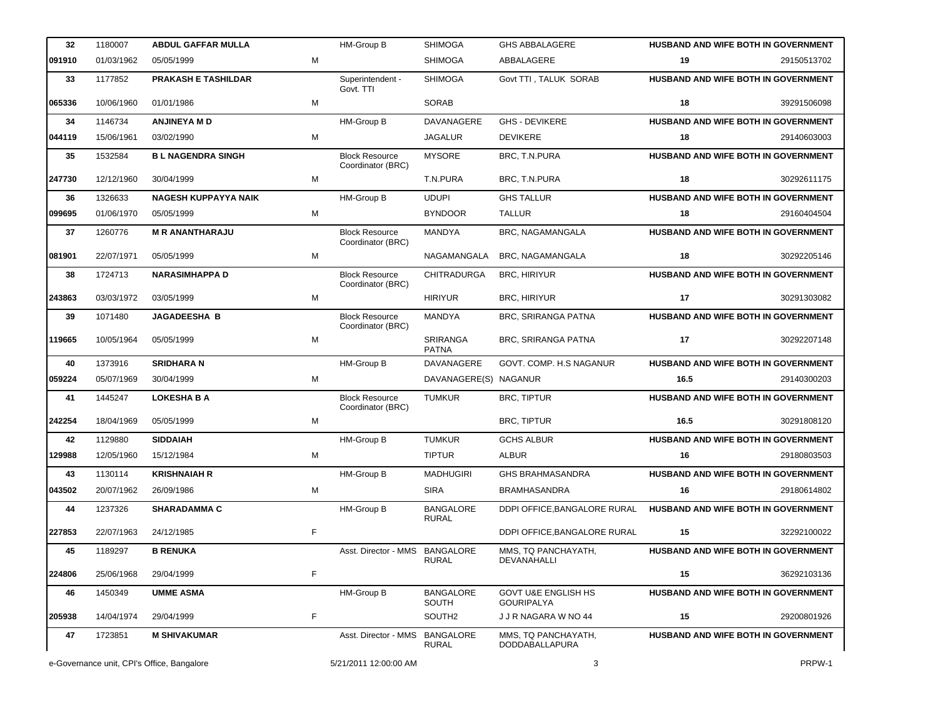| 32     | 1180007    | <b>ABDUL GAFFAR MULLA</b>   |   | HM-Group B                                 | <b>SHIMOGA</b>                   | <b>GHS ABBALAGERE</b>                               |      | <b>HUSBAND AND WIFE BOTH IN GOVERNMENT</b> |
|--------|------------|-----------------------------|---|--------------------------------------------|----------------------------------|-----------------------------------------------------|------|--------------------------------------------|
| 091910 | 01/03/1962 | 05/05/1999                  | M |                                            | <b>SHIMOGA</b>                   | ABBALAGERE                                          | 19   | 29150513702                                |
| 33     | 1177852    | <b>PRAKASH E TASHILDAR</b>  |   | Superintendent -<br>Govt. TTI              | <b>SHIMOGA</b>                   | Govt TTI, TALUK SORAB                               |      | HUSBAND AND WIFE BOTH IN GOVERNMENT        |
| 065336 | 10/06/1960 | 01/01/1986                  | M |                                            | <b>SORAB</b>                     |                                                     | 18   | 39291506098                                |
| 34     | 1146734    | <b>ANJINEYA M D</b>         |   | HM-Group B                                 | DAVANAGERE                       | <b>GHS - DEVIKERE</b>                               |      | <b>HUSBAND AND WIFE BOTH IN GOVERNMENT</b> |
| 044119 | 15/06/1961 | 03/02/1990                  | M |                                            | <b>JAGALUR</b>                   | <b>DEVIKERE</b>                                     | 18   | 29140603003                                |
| 35     | 1532584    | <b>BL NAGENDRA SINGH</b>    |   | <b>Block Resource</b><br>Coordinator (BRC) | <b>MYSORE</b>                    | BRC, T.N.PURA                                       |      | HUSBAND AND WIFE BOTH IN GOVERNMENT        |
| 247730 | 12/12/1960 | 30/04/1999                  | M |                                            | T.N.PURA                         | BRC, T.N.PURA                                       | 18   | 30292611175                                |
| 36     | 1326633    | <b>NAGESH KUPPAYYA NAIK</b> |   | HM-Group B                                 | <b>UDUPI</b>                     | <b>GHS TALLUR</b>                                   |      | HUSBAND AND WIFE BOTH IN GOVERNMENT        |
| 099695 | 01/06/1970 | 05/05/1999                  | M |                                            | <b>BYNDOOR</b>                   | <b>TALLUR</b>                                       | 18   | 29160404504                                |
| 37     | 1260776    | <b>M R ANANTHARAJU</b>      |   | <b>Block Resource</b><br>Coordinator (BRC) | MANDYA                           | BRC, NAGAMANGALA                                    |      | HUSBAND AND WIFE BOTH IN GOVERNMENT        |
| 081901 | 22/07/1971 | 05/05/1999                  | M |                                            | NAGAMANGALA                      | BRC, NAGAMANGALA                                    | 18   | 30292205146                                |
| 38     | 1724713    | <b>NARASIMHAPPA D</b>       |   | <b>Block Resource</b><br>Coordinator (BRC) | <b>CHITRADURGA</b>               | <b>BRC, HIRIYUR</b>                                 |      | HUSBAND AND WIFE BOTH IN GOVERNMENT        |
| 243863 | 03/03/1972 | 03/05/1999                  | M |                                            | <b>HIRIYUR</b>                   | <b>BRC, HIRIYUR</b>                                 | 17   | 30291303082                                |
| 39     | 1071480    | <b>JAGADEESHA B</b>         |   | <b>Block Resource</b><br>Coordinator (BRC) | <b>MANDYA</b>                    | <b>BRC. SRIRANGA PATNA</b>                          |      | HUSBAND AND WIFE BOTH IN GOVERNMENT        |
| 119665 | 10/05/1964 | 05/05/1999                  | M |                                            | SRIRANGA<br><b>PATNA</b>         | <b>BRC, SRIRANGA PATNA</b>                          | 17   | 30292207148                                |
| 40     | 1373916    | <b>SRIDHARA N</b>           |   | HM-Group B                                 | DAVANAGERE                       | GOVT. COMP. H.S NAGANUR                             |      | HUSBAND AND WIFE BOTH IN GOVERNMENT        |
| 059224 | 05/07/1969 | 30/04/1999                  | M |                                            | DAVANAGERE(S) NAGANUR            |                                                     | 16.5 | 29140300203                                |
|        |            |                             |   |                                            |                                  |                                                     |      |                                            |
| 41     | 1445247    | <b>LOKESHA B A</b>          |   | <b>Block Resource</b><br>Coordinator (BRC) | <b>TUMKUR</b>                    | <b>BRC, TIPTUR</b>                                  |      | HUSBAND AND WIFE BOTH IN GOVERNMENT        |
| 242254 | 18/04/1969 | 05/05/1999                  | M |                                            |                                  | <b>BRC, TIPTUR</b>                                  | 16.5 | 30291808120                                |
| 42     | 1129880    | <b>SIDDAIAH</b>             |   | HM-Group B                                 | <b>TUMKUR</b>                    | <b>GCHS ALBUR</b>                                   |      | HUSBAND AND WIFE BOTH IN GOVERNMENT        |
| 129988 | 12/05/1960 | 15/12/1984                  | M |                                            | <b>TIPTUR</b>                    | <b>ALBUR</b>                                        | 16   | 29180803503                                |
| 43     | 1130114    | <b>KRISHNAIAH R</b>         |   | HM-Group B                                 | <b>MADHUGIRI</b>                 | <b>GHS BRAHMASANDRA</b>                             |      | HUSBAND AND WIFE BOTH IN GOVERNMENT        |
| 043502 | 20/07/1962 | 26/09/1986                  | M |                                            | <b>SIRA</b>                      | <b>BRAMHASANDRA</b>                                 | 16   | 29180614802                                |
| 44     | 1237326    | <b>SHARADAMMA C</b>         |   | HM-Group B                                 | <b>BANGALORE</b>                 | DDPI OFFICE, BANGALORE RURAL                        |      | HUSBAND AND WIFE BOTH IN GOVERNMENT        |
| 227853 | 22/07/1963 | 24/12/1985                  | F |                                            | <b>RURAL</b>                     | DDPI OFFICE, BANGALORE RURAL                        | 15   | 32292100022                                |
| 45     | 1189297    | <b>B RENUKA</b>             |   | Asst. Director - MMS                       | BANGALORE                        | MMS, TQ PANCHAYATH,<br><b>DEVANAHALLI</b>           |      | <b>HUSBAND AND WIFE BOTH IN GOVERNMENT</b> |
| 224806 | 25/06/1968 | 29/04/1999                  | F |                                            | <b>RURAL</b>                     |                                                     | 15   | 36292103136                                |
| 46     | 1450349    | <b>UMME ASMA</b>            |   | HM-Group B                                 | <b>BANGALORE</b>                 | <b>GOVT U&amp;E ENGLISH HS</b><br><b>GOURIPALYA</b> |      | <b>HUSBAND AND WIFE BOTH IN GOVERNMENT</b> |
| 205938 | 14/04/1974 | 29/04/1999                  | F |                                            | SOUTH<br>SOUTH <sub>2</sub>      | J J R NAGARA W NO 44                                | 15   | 29200801926                                |
| 47     | 1723851    | <b>M SHIVAKUMAR</b>         |   | Asst. Director - MMS                       | <b>BANGALORE</b><br><b>RURAL</b> | MMS, TQ PANCHAYATH,<br>DODDABALLAPURA               |      | <b>HUSBAND AND WIFE BOTH IN GOVERNMENT</b> |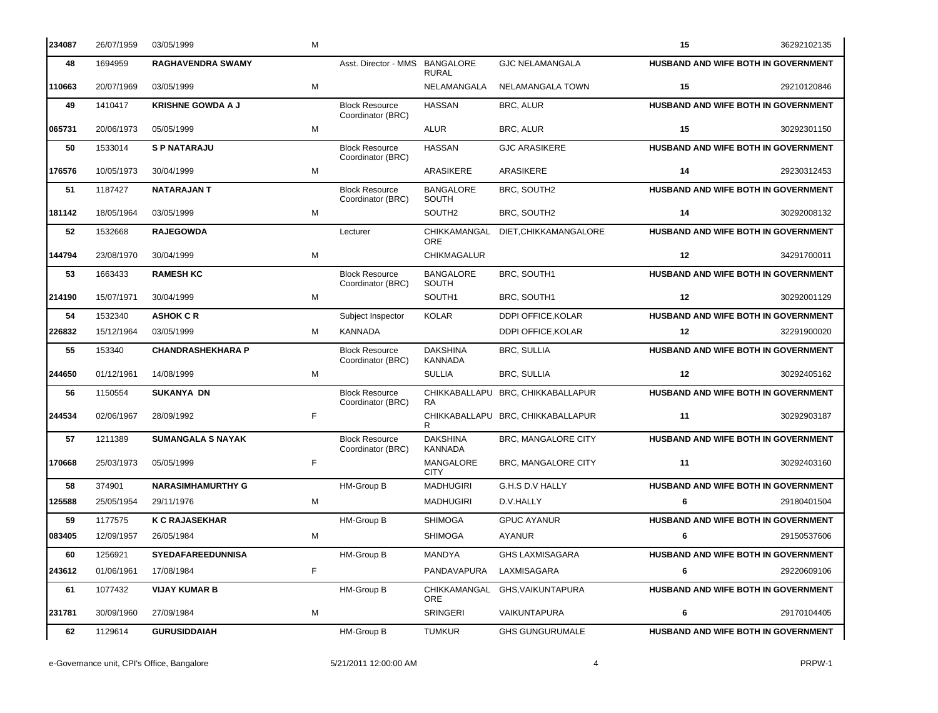| 234087 | 26/07/1959 | 03/05/1999               | M |                                            |                                  |                                   | 15      | 36292102135                                |
|--------|------------|--------------------------|---|--------------------------------------------|----------------------------------|-----------------------------------|---------|--------------------------------------------|
| 48     | 1694959    | <b>RAGHAVENDRA SWAMY</b> |   | Asst. Director - MMS                       | <b>BANGALORE</b><br><b>RURAL</b> | <b>GJC NELAMANGALA</b>            |         | <b>HUSBAND AND WIFE BOTH IN GOVERNMENT</b> |
| 110663 | 20/07/1969 | 03/05/1999               | M |                                            | NELAMANGALA                      | NELAMANGALA TOWN                  | 15      | 29210120846                                |
| 49     | 1410417    | <b>KRISHNE GOWDA A J</b> |   | <b>Block Resource</b><br>Coordinator (BRC) | <b>HASSAN</b>                    | BRC, ALUR                         |         | HUSBAND AND WIFE BOTH IN GOVERNMENT        |
| 065731 | 20/06/1973 | 05/05/1999               | M |                                            | <b>ALUR</b>                      | <b>BRC, ALUR</b>                  | 15      | 30292301150                                |
| 50     | 1533014    | <b>SP NATARAJU</b>       |   | <b>Block Resource</b><br>Coordinator (BRC) | <b>HASSAN</b>                    | <b>GJC ARASIKERE</b>              |         | HUSBAND AND WIFE BOTH IN GOVERNMENT        |
| 176576 | 10/05/1973 | 30/04/1999               | M |                                            | ARASIKERE                        | ARASIKERE                         | 14      | 29230312453                                |
| 51     | 1187427    | <b>NATARAJAN T</b>       |   | <b>Block Resource</b><br>Coordinator (BRC) | <b>BANGALORE</b><br>SOUTH        | BRC, SOUTH2                       |         | HUSBAND AND WIFE BOTH IN GOVERNMENT        |
| 181142 | 18/05/1964 | 03/05/1999               | M |                                            | SOUTH <sub>2</sub>               | BRC, SOUTH2                       | 14      | 30292008132                                |
| 52     | 1532668    | <b>RAJEGOWDA</b>         |   | Lecturer                                   | CHIKKAMANGAL<br><b>ORE</b>       | DIET, CHIKKAMANGALORE             |         | HUSBAND AND WIFE BOTH IN GOVERNMENT        |
| 144794 | 23/08/1970 | 30/04/1999               | M |                                            | CHIKMAGALUR                      |                                   | 12      | 34291700011                                |
| 53     | 1663433    | <b>RAMESH KC</b>         |   | <b>Block Resource</b><br>Coordinator (BRC) | <b>BANGALORE</b><br>SOUTH        | BRC, SOUTH1                       |         | HUSBAND AND WIFE BOTH IN GOVERNMENT        |
| 214190 | 15/07/1971 | 30/04/1999               | M |                                            | SOUTH1                           | BRC, SOUTH1                       | 12      | 30292001129                                |
| 54     | 1532340    | <b>ASHOK C R</b>         |   | Subject Inspector                          | <b>KOLAR</b>                     | <b>DDPI OFFICE KOLAR</b>          |         | HUSBAND AND WIFE BOTH IN GOVERNMENT        |
| 226832 | 15/12/1964 | 03/05/1999               | M | <b>KANNADA</b>                             |                                  | DDPI OFFICE.KOLAR                 | $12 \,$ | 32291900020                                |
| 55     | 153340     | <b>CHANDRASHEKHARA P</b> |   | <b>Block Resource</b><br>Coordinator (BRC) | <b>DAKSHINA</b><br>KANNADA       | <b>BRC, SULLIA</b>                |         | HUSBAND AND WIFE BOTH IN GOVERNMENT        |
| 244650 | 01/12/1961 | 14/08/1999               | M |                                            | <b>SULLIA</b>                    | BRC, SULLIA                       | 12      | 30292405162                                |
| 56     | 1150554    | <b>SUKANYA DN</b>        |   | <b>Block Resource</b><br>Coordinator (BRC) | <b>RA</b>                        | CHIKKABALLAPU BRC, CHIKKABALLAPUR |         | HUSBAND AND WIFE BOTH IN GOVERNMENT        |
| 244534 | 02/06/1967 | 28/09/1992               | F |                                            | R.                               | CHIKKABALLAPU BRC, CHIKKABALLAPUR | 11      | 30292903187                                |
| 57     | 1211389    | <b>SUMANGALA S NAYAK</b> |   | <b>Block Resource</b><br>Coordinator (BRC) | <b>DAKSHINA</b><br>KANNADA       | BRC, MANGALORE CITY               |         | HUSBAND AND WIFE BOTH IN GOVERNMENT        |
| 170668 | 25/03/1973 | 05/05/1999               | F |                                            | MANGALORE<br><b>CITY</b>         | BRC, MANGALORE CITY               | 11      | 30292403160                                |
| 58     | 374901     | <b>NARASIMHAMURTHY G</b> |   | HM-Group B                                 | <b>MADHUGIRI</b>                 | G.H.S D.V HALLY                   |         | HUSBAND AND WIFE BOTH IN GOVERNMENT        |
| 125588 | 25/05/1954 | 29/11/1976               | M |                                            | <b>MADHUGIRI</b>                 | D.V.HALLY                         | 6       | 29180401504                                |
| 59     | 1177575    | <b>K C RAJASEKHAR</b>    |   | HM-Group B                                 | <b>SHIMOGA</b>                   | <b>GPUC AYANUR</b>                |         | HUSBAND AND WIFE BOTH IN GOVERNMENT        |
| 083405 | 12/09/1957 | 26/05/1984               | M |                                            | <b>SHIMOGA</b>                   | AYANUR                            | 6       | 29150537606                                |
| 60     | 1256921    | <b>SYEDAFAREEDUNNISA</b> |   | HM-Group B                                 | MANDYA                           | <b>GHS LAXMISAGARA</b>            |         | HUSBAND AND WIFE BOTH IN GOVERNMENT        |
| 243612 | 01/06/1961 | 17/08/1984               | F |                                            | PANDAVAPURA                      | LAXMISAGARA                       | 6       | 29220609106                                |
| 61     | 1077432    | <b>VIJAY KUMAR B</b>     |   | HM-Group B                                 | CHIKKAMANGAL<br>ORE              | GHS, VAIKUNTAPURA                 |         | HUSBAND AND WIFE BOTH IN GOVERNMENT        |
| 231781 | 30/09/1960 | 27/09/1984               | M |                                            | SRINGERI                         | VAIKUNTAPURA                      | 6       | 29170104405                                |
| 62     | 1129614    | <b>GURUSIDDAIAH</b>      |   | HM-Group B                                 | <b>TUMKUR</b>                    | <b>GHS GUNGURUMALE</b>            |         | HUSBAND AND WIFE BOTH IN GOVERNMENT        |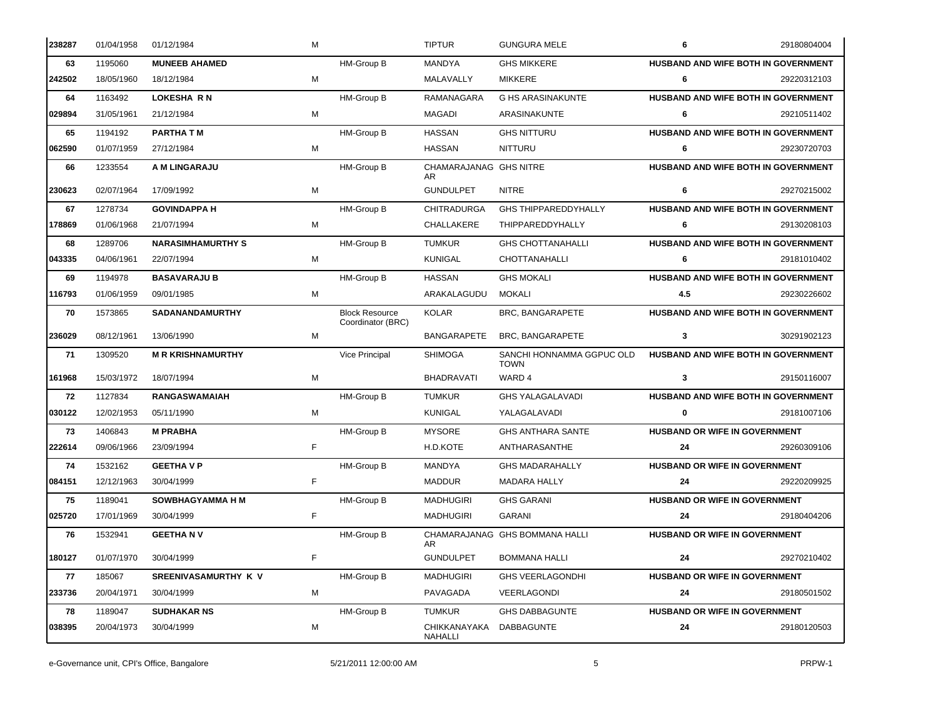| 238287 | 01/04/1958 | 01/12/1984               | M |                                            | <b>TIPTUR</b>                 | <b>GUNGURA MELE</b>                      | 6                                    | 29180804004                         |
|--------|------------|--------------------------|---|--------------------------------------------|-------------------------------|------------------------------------------|--------------------------------------|-------------------------------------|
| 63     | 1195060    | <b>MUNEEB AHAMED</b>     |   | HM-Group B                                 | MANDYA                        | <b>GHS MIKKERE</b>                       |                                      | HUSBAND AND WIFE BOTH IN GOVERNMENT |
| 242502 | 18/05/1960 | 18/12/1984               | М |                                            | MALAVALLY                     | MIKKERE                                  | 6                                    | 29220312103                         |
| 64     | 1163492    | <b>LOKESHA RN</b>        |   | HM-Group B                                 | <b>RAMANAGARA</b>             | <b>G HS ARASINAKUNTE</b>                 |                                      | HUSBAND AND WIFE BOTH IN GOVERNMENT |
| 029894 | 31/05/1961 | 21/12/1984               | м |                                            | MAGADI                        | ARASINAKUNTE                             | 6                                    | 29210511402                         |
| 65     | 1194192    | <b>PARTHA TM</b>         |   | HM-Group B                                 | <b>HASSAN</b>                 | <b>GHS NITTURU</b>                       |                                      | HUSBAND AND WIFE BOTH IN GOVERNMENT |
| 062590 | 01/07/1959 | 27/12/1984               | M |                                            | HASSAN                        | NITTURU                                  | 6                                    | 29230720703                         |
| 66     | 1233554    | A M LINGARAJU            |   | HM-Group B                                 | CHAMARAJANAG GHS NITRE<br>AR. |                                          |                                      | HUSBAND AND WIFE BOTH IN GOVERNMENT |
| 230623 | 02/07/1964 | 17/09/1992               | М |                                            | <b>GUNDULPET</b>              | <b>NITRE</b>                             | 6                                    | 29270215002                         |
| 67     | 1278734    | <b>GOVINDAPPA H</b>      |   | HM-Group B                                 | <b>CHITRADURGA</b>            | <b>GHS THIPPAREDDYHALLY</b>              |                                      | HUSBAND AND WIFE BOTH IN GOVERNMENT |
| 178869 | 01/06/1968 | 21/07/1994               | М |                                            | CHALLAKERE                    | THIPPAREDDYHALLY                         | 6                                    | 29130208103                         |
| 68     | 1289706    | <b>NARASIMHAMURTHY S</b> |   | HM-Group B                                 | <b>TUMKUR</b>                 | <b>GHS CHOTTANAHALLI</b>                 |                                      | HUSBAND AND WIFE BOTH IN GOVERNMENT |
| 043335 | 04/06/1961 | 22/07/1994               | М |                                            | KUNIGAL                       | CHOTTANAHALLI                            | 6                                    | 29181010402                         |
| 69     | 1194978    | <b>BASAVARAJU B</b>      |   | HM-Group B                                 | <b>HASSAN</b>                 | <b>GHS MOKALI</b>                        |                                      | HUSBAND AND WIFE BOTH IN GOVERNMENT |
| 116793 | 01/06/1959 | 09/01/1985               | м |                                            | ARAKALAGUDU                   | MOKALI                                   | 4.5                                  | 29230226602                         |
| 70     | 1573865    | SADANANDAMURTHY          |   | <b>Block Resource</b><br>Coordinator (BRC) | <b>KOLAR</b>                  | BRC, BANGARAPETE                         |                                      | HUSBAND AND WIFE BOTH IN GOVERNMENT |
| 236029 | 08/12/1961 | 13/06/1990               | М |                                            | <b>BANGARAPETE</b>            | BRC, BANGARAPETE                         | 3                                    | 30291902123                         |
| 71     | 1309520    | <b>M R KRISHNAMURTHY</b> |   | Vice Principal                             | <b>SHIMOGA</b>                | SANCHI HONNAMMA GGPUC OLD<br><b>TOWN</b> | HUSBAND AND WIFE BOTH IN GOVERNMENT  |                                     |
| 161968 | 15/03/1972 | 18/07/1994               | М |                                            | <b>BHADRAVATI</b>             | WARD 4                                   | 3                                    | 29150116007                         |
| 72     | 1127834    | <b>RANGASWAMAIAH</b>     |   | <b>HM-Group B</b>                          | <b>TUMKUR</b>                 | <b>GHS YALAGALAVADI</b>                  |                                      | HUSBAND AND WIFE BOTH IN GOVERNMENT |
| 030122 | 12/02/1953 | 05/11/1990               | м |                                            | <b>KUNIGAL</b>                | YALAGALAVADI                             | $\mathbf 0$                          | 29181007106                         |
| 73     | 1406843    | <b>M PRABHA</b>          |   | HM-Group B                                 | <b>MYSORE</b>                 | <b>GHS ANTHARA SANTE</b>                 | HUSBAND OR WIFE IN GOVERNMENT        |                                     |
| 222614 | 09/06/1966 | 23/09/1994               | F |                                            | H.D.KOTE                      | ANTHARASANTHE                            | 24                                   | 29260309106                         |
| 74     | 1532162    | <b>GEETHAVP</b>          |   | HM-Group B                                 | MANDYA                        | <b>GHS MADARAHALLY</b>                   | HUSBAND OR WIFE IN GOVERNMENT        |                                     |
| 084151 | 12/12/1963 | 30/04/1999               | F |                                            | <b>MADDUR</b>                 | <b>MADARA HALLY</b>                      | 24                                   | 29220209925                         |
| 75     | 1189041    | <b>SOWBHAGYAMMA H M</b>  |   | HM-Group B                                 | <b>MADHUGIRI</b>              | <b>GHS GARANI</b>                        | <b>HUSBAND OR WIFE IN GOVERNMENT</b> |                                     |
| 025720 | 17/01/1969 | 30/04/1999               | F |                                            | <b>MADHUGIRI</b>              | GARANI                                   | 24                                   | 29180404206                         |
| 76     | 1532941    | <b>GEETHANV</b>          |   | HM-Group B                                 | AR                            | CHAMARAJANAG GHS BOMMANA HALLI           | <b>HUSBAND OR WIFE IN GOVERNMENT</b> |                                     |
| 180127 | 01/07/1970 | 30/04/1999               | F |                                            | <b>GUNDULPET</b>              | <b>BOMMANA HALLI</b>                     | 24                                   | 29270210402                         |
| 77     | 185067     | SREENIVASAMURTHY K V     |   | HM-Group B                                 | <b>MADHUGIRI</b>              | <b>GHS VEERLAGONDHI</b>                  | HUSBAND OR WIFE IN GOVERNMENT        |                                     |
| 233736 | 20/04/1971 | 30/04/1999               | М |                                            | PAVAGADA                      | VEERLAGONDI                              | 24                                   | 29180501502                         |
| 78     | 1189047    | <b>SUDHAKAR NS</b>       |   | HM-Group B                                 | <b>TUMKUR</b>                 | <b>GHS DABBAGUNTE</b>                    | HUSBAND OR WIFE IN GOVERNMENT        |                                     |
| 038395 | 20/04/1973 | 30/04/1999               | М |                                            | CHIKKANAYAKA<br>NAHALLI       | <b>DABBAGUNTE</b>                        | 24                                   | 29180120503                         |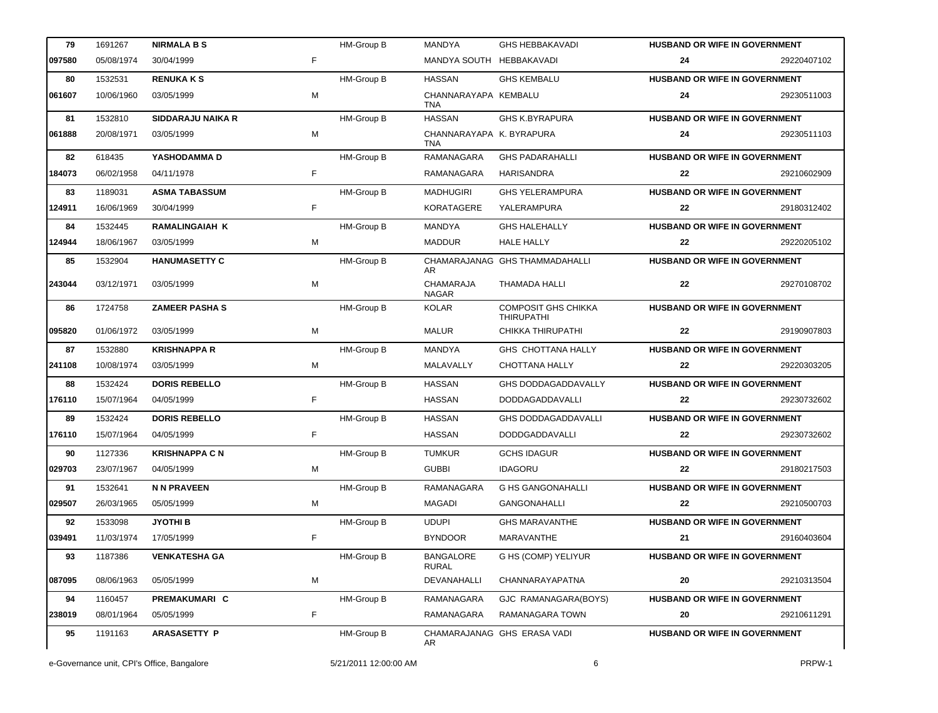| 79     | 1691267    | <b>NIRMALA B S</b>       |    | HM-Group B        | <b>MANDYA</b>                          | <b>GHS HEBBAKAVADI</b>                          | <b>HUSBAND OR WIFE IN GOVERNMENT</b> |             |
|--------|------------|--------------------------|----|-------------------|----------------------------------------|-------------------------------------------------|--------------------------------------|-------------|
| 097580 | 05/08/1974 | 30/04/1999               | F. |                   | MANDYA SOUTH HEBBAKAVADI               |                                                 | 24                                   | 29220407102 |
| 80     | 1532531    | <b>RENUKAKS</b>          |    | HM-Group B        | <b>HASSAN</b>                          | <b>GHS KEMBALU</b>                              | <b>HUSBAND OR WIFE IN GOVERNMENT</b> |             |
| 061607 | 10/06/1960 | 03/05/1999               | м  |                   | CHANNARAYAPA KEMBALU<br><b>TNA</b>     |                                                 | 24                                   | 29230511003 |
| 81     | 1532810    | <b>SIDDARAJU NAIKA R</b> |    | <b>HM-Group B</b> | <b>HASSAN</b>                          | <b>GHS K.BYRAPURA</b>                           | HUSBAND OR WIFE IN GOVERNMENT        |             |
| 061888 | 20/08/1971 | 03/05/1999               | M  |                   | CHANNARAYAPA K. BYRAPURA<br><b>TNA</b> |                                                 | 24                                   | 29230511103 |
| 82     | 618435     | YASHODAMMA D             |    | HM-Group B        | <b>RAMANAGARA</b>                      | <b>GHS PADARAHALLI</b>                          | HUSBAND OR WIFE IN GOVERNMENT        |             |
| 184073 | 06/02/1958 | 04/11/1978               | F. |                   | RAMANAGARA                             | HARISANDRA                                      | 22                                   | 29210602909 |
| 83     | 1189031    | <b>ASMA TABASSUM</b>     |    | HM-Group B        | <b>MADHUGIRI</b>                       | <b>GHS YELERAMPURA</b>                          | HUSBAND OR WIFE IN GOVERNMENT        |             |
| 124911 | 16/06/1969 | 30/04/1999               | F. |                   | <b>KORATAGERE</b>                      | YALERAMPURA                                     | 22                                   | 29180312402 |
| 84     | 1532445    | <b>RAMALINGAIAH K</b>    |    | HM-Group B        | MANDYA                                 | <b>GHS HALEHALLY</b>                            | HUSBAND OR WIFE IN GOVERNMENT        |             |
| 124944 | 18/06/1967 | 03/05/1999               | м  |                   | <b>MADDUR</b>                          | <b>HALE HALLY</b>                               | 22                                   | 29220205102 |
| 85     | 1532904    | <b>HANUMASETTY C</b>     |    | HM-Group B        | AR.                                    | CHAMARAJANAG GHS THAMMADAHALLI                  | HUSBAND OR WIFE IN GOVERNMENT        |             |
| 243044 | 03/12/1971 | 03/05/1999               | M  |                   | <b>CHAMARAJA</b><br><b>NAGAR</b>       | THAMADA HALLI                                   | 22                                   | 29270108702 |
| 86     | 1724758    | <b>ZAMEER PASHA S</b>    |    | HM-Group B        | KOLAR                                  | <b>COMPOSIT GHS CHIKKA</b><br><b>THIRUPATHI</b> | HUSBAND OR WIFE IN GOVERNMENT        |             |
| 095820 | 01/06/1972 | 03/05/1999               | M  |                   | MALUR                                  | CHIKKA THIRUPATHI                               | 22                                   | 29190907803 |
| 87     | 1532880    | <b>KRISHNAPPA R</b>      |    | HM-Group B        | MANDYA                                 | GHS CHOTTANA HALLY                              | HUSBAND OR WIFE IN GOVERNMENT        |             |
| 241108 | 10/08/1974 | 03/05/1999               | М  |                   | MALAVALLY                              | CHOTTANA HALLY                                  | 22                                   | 29220303205 |
| 88     | 1532424    | <b>DORIS REBELLO</b>     |    | HM-Group B        | <b>HASSAN</b>                          | <b>GHS DODDAGADDAVALLY</b>                      | HUSBAND OR WIFE IN GOVERNMENT        |             |
| 176110 | 15/07/1964 | 04/05/1999               | F  |                   | <b>HASSAN</b>                          | DODDAGADDAVALLI                                 | 22                                   | 29230732602 |
| 89     | 1532424    | <b>DORIS REBELLO</b>     |    | HM-Group B        | <b>HASSAN</b>                          | <b>GHS DODDAGADDAVALLI</b>                      | HUSBAND OR WIFE IN GOVERNMENT        |             |
| 176110 | 15/07/1964 | 04/05/1999               | F. |                   | <b>HASSAN</b>                          | <b>DODDGADDAVALLI</b>                           | 22                                   | 29230732602 |
| 90     | 1127336    | <b>KRISHNAPPA C N</b>    |    | HM-Group B        | <b>TUMKUR</b>                          | <b>GCHS IDAGUR</b>                              | HUSBAND OR WIFE IN GOVERNMENT        |             |
| 029703 | 23/07/1967 | 04/05/1999               | M  |                   | <b>GUBBI</b>                           | <b>IDAGORU</b>                                  | 22                                   | 29180217503 |
| 91     | 1532641    | <b>N N PRAVEEN</b>       |    | HM-Group B        | RAMANAGARA                             | <b>G HS GANGONAHALLI</b>                        | <b>HUSBAND OR WIFE IN GOVERNMENT</b> |             |
| 029507 |            | 26/03/1965 05/05/1999    | М  |                   | MAGADI                                 | GANGONAHALLI                                    |                                      | 29210500703 |
| 92     | 1533098    | <b>JYOTHI B</b>          |    | HM-Group B        | <b>UDUPI</b>                           | <b>GHS MARAVANTHE</b>                           | <b>HUSBAND OR WIFE IN GOVERNMENT</b> |             |
| 039491 | 11/03/1974 | 17/05/1999               | F. |                   | <b>BYNDOOR</b>                         | MARAVANTHE                                      | 21                                   | 29160403604 |
| 93     | 1187386    | <b>VENKATESHA GA</b>     |    | HM-Group B        | <b>BANGALORE</b><br>RURAL              | G HS (COMP) YELIYUR                             | <b>HUSBAND OR WIFE IN GOVERNMENT</b> |             |
| 087095 | 08/06/1963 | 05/05/1999               | M  |                   | DEVANAHALLI                            | CHANNARAYAPATNA                                 | 20                                   | 29210313504 |
| 94     | 1160457    | PREMAKUMARI C            |    | HM-Group B        | RAMANAGARA                             | GJC RAMANAGARA(BOYS)                            | HUSBAND OR WIFE IN GOVERNMENT        |             |
| 238019 | 08/01/1964 | 05/05/1999               | F  |                   | RAMANAGARA                             | RAMANAGARA TOWN                                 | 20                                   | 29210611291 |
| 95     | 1191163    | <b>ARASASETTY P</b>      |    | HM-Group B        | AR.                                    | CHAMARAJANAG GHS ERASA VADI                     | <b>HUSBAND OR WIFE IN GOVERNMENT</b> |             |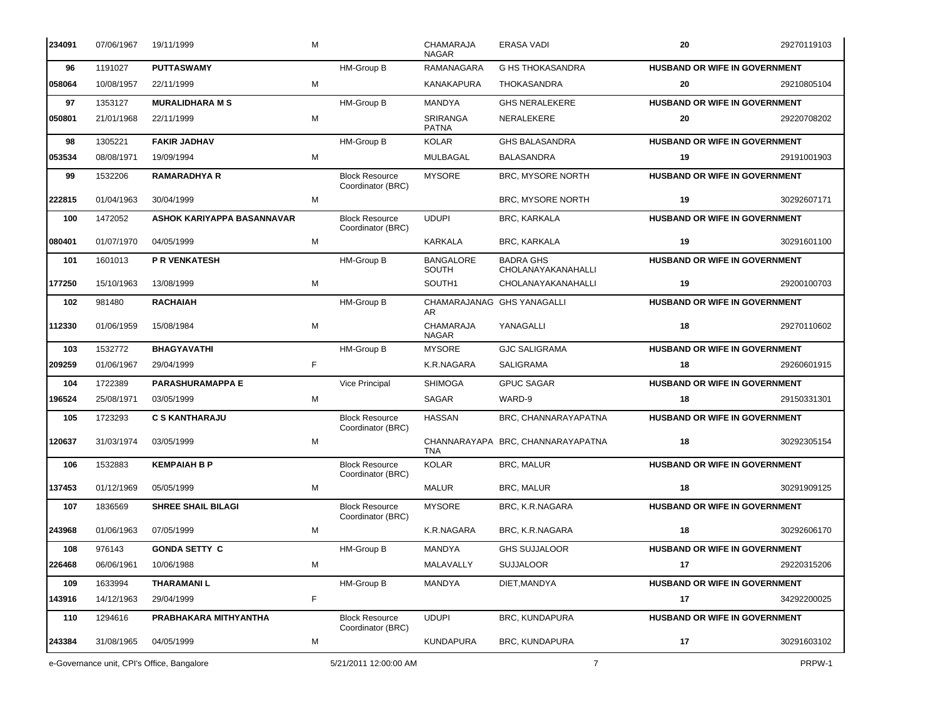| 234091 | 07/06/1967 | 19/11/1999                                 | M |                                            | CHAMARAJA<br><b>NAGAR</b>        | ERASA VADI                             | 20                                   | 29270119103 |
|--------|------------|--------------------------------------------|---|--------------------------------------------|----------------------------------|----------------------------------------|--------------------------------------|-------------|
| 96     | 1191027    | <b>PUTTASWAMY</b>                          |   | HM-Group B                                 | RAMANAGARA                       | <b>G HS THOKASANDRA</b>                | HUSBAND OR WIFE IN GOVERNMENT        |             |
| 058064 | 10/08/1957 | 22/11/1999                                 | M |                                            | <b>KANAKAPURA</b>                | <b>THOKASANDRA</b>                     | 20                                   | 29210805104 |
| 97     | 1353127    | <b>MURALIDHARA M S</b>                     |   | HM-Group B                                 | <b>MANDYA</b>                    | <b>GHS NERALEKERE</b>                  | <b>HUSBAND OR WIFE IN GOVERNMENT</b> |             |
| 050801 | 21/01/1968 | 22/11/1999                                 | M |                                            | SRIRANGA<br><b>PATNA</b>         | NERALEKERE                             | 20                                   | 29220708202 |
| 98     | 1305221    | <b>FAKIR JADHAV</b>                        |   | HM-Group B                                 | <b>KOLAR</b>                     | <b>GHS BALASANDRA</b>                  | <b>HUSBAND OR WIFE IN GOVERNMENT</b> |             |
| 053534 | 08/08/1971 | 19/09/1994                                 | м |                                            | <b>MULBAGAL</b>                  | <b>BALASANDRA</b>                      | 19                                   | 29191001903 |
| 99     | 1532206    | <b>RAMARADHYA R</b>                        |   | <b>Block Resource</b><br>Coordinator (BRC) | <b>MYSORE</b>                    | <b>BRC, MYSORE NORTH</b>               | HUSBAND OR WIFE IN GOVERNMENT        |             |
| 222815 | 01/04/1963 | 30/04/1999                                 | M |                                            |                                  | BRC, MYSORE NORTH                      | 19                                   | 30292607171 |
| 100    | 1472052    | ASHOK KARIYAPPA BASANNAVAR                 |   | <b>Block Resource</b><br>Coordinator (BRC) | <b>UDUPI</b>                     | BRC, KARKALA                           | HUSBAND OR WIFE IN GOVERNMENT        |             |
| 080401 | 01/07/1970 | 04/05/1999                                 | М |                                            | KARKALA                          | <b>BRC, KARKALA</b>                    | 19                                   | 30291601100 |
| 101    | 1601013    | <b>P R VENKATESH</b>                       |   | HM-Group B                                 | <b>BANGALORE</b><br><b>SOUTH</b> | <b>BADRA GHS</b><br>CHOLANAYAKANAHALLI | HUSBAND OR WIFE IN GOVERNMENT        |             |
| 177250 | 15/10/1963 | 13/08/1999                                 | M |                                            | SOUTH1                           | CHOLANAYAKANAHALLI                     | 19                                   | 29200100703 |
| 102    | 981480     | <b>RACHAIAH</b>                            |   | HM-Group B                                 | AR.                              | CHAMARAJANAG GHS YANAGALLI             | <b>HUSBAND OR WIFE IN GOVERNMENT</b> |             |
| 112330 | 01/06/1959 | 15/08/1984                                 | M |                                            | CHAMARAJA<br><b>NAGAR</b>        | YANAGALLI                              | 18                                   | 29270110602 |
| 103    | 1532772    | <b>BHAGYAVATHI</b>                         |   | HM-Group B                                 | <b>MYSORE</b>                    | <b>GJC SALIGRAMA</b>                   | <b>HUSBAND OR WIFE IN GOVERNMENT</b> |             |
| 209259 | 01/06/1967 | 29/04/1999                                 | F |                                            | K.R.NAGARA                       | <b>SALIGRAMA</b>                       | 18                                   | 29260601915 |
| 104    | 1722389    | <b>PARASHURAMAPPA E</b>                    |   | Vice Principal                             | <b>SHIMOGA</b>                   | <b>GPUC SAGAR</b>                      | <b>HUSBAND OR WIFE IN GOVERNMENT</b> |             |
| 196524 | 25/08/1971 | 03/05/1999                                 | M |                                            | SAGAR                            | WARD-9                                 | 18                                   | 29150331301 |
| 105    | 1723293    | <b>C S KANTHARAJU</b>                      |   | <b>Block Resource</b><br>Coordinator (BRC) | <b>HASSAN</b>                    | BRC, CHANNARAYAPATNA                   | HUSBAND OR WIFE IN GOVERNMENT        |             |
| 120637 | 31/03/1974 | 03/05/1999                                 | M |                                            | <b>TNA</b>                       | CHANNARAYAPA BRC, CHANNARAYAPATNA      | 18                                   | 30292305154 |
| 106    | 1532883    | <b>KEMPAIAH B P</b>                        |   | <b>Block Resource</b><br>Coordinator (BRC) | <b>KOLAR</b>                     | <b>BRC, MALUR</b>                      | HUSBAND OR WIFE IN GOVERNMENT        |             |
| 137453 | 01/12/1969 | 05/05/1999                                 | м |                                            | <b>MALUR</b>                     | <b>BRC, MALUR</b>                      | 18                                   | 30291909125 |
| 107    | 1836569    | <b>SHREE SHAIL BILAGI</b>                  |   | <b>Block Resource</b><br>Coordinator (BRC) | <b>MYSORE</b>                    | BRC, K.R.NAGARA                        | HUSBAND OR WIFE IN GOVERNMENT        |             |
| 243968 | 01/06/1963 | 07/05/1999                                 | м |                                            | K.R.NAGARA                       | BRC, K.R.NAGARA                        | 18                                   | 30292606170 |
| 108    | 976143     | <b>GONDA SETTY C</b>                       |   | HM-Group B                                 | MANDYA                           | <b>GHS SUJJALOOR</b>                   | HUSBAND OR WIFE IN GOVERNMENT        |             |
| 226468 | 06/06/1961 | 10/06/1988                                 | м |                                            | MALAVALLY                        | <b>SUJJALOOR</b>                       | 17                                   | 29220315206 |
| 109    | 1633994    | <b>THARAMANIL</b>                          |   | HM-Group B                                 | <b>MANDYA</b>                    | DIET, MANDYA                           | <b>HUSBAND OR WIFE IN GOVERNMENT</b> |             |
| 143916 | 14/12/1963 | 29/04/1999                                 | F |                                            |                                  |                                        | 17                                   | 34292200025 |
| 110    | 1294616    | PRABHAKARA MITHYANTHA                      |   | <b>Block Resource</b><br>Coordinator (BRC) | <b>UDUPI</b>                     | <b>BRC, KUNDAPURA</b>                  | HUSBAND OR WIFE IN GOVERNMENT        |             |
| 243384 | 31/08/1965 | 04/05/1999                                 | M |                                            | <b>KUNDAPURA</b>                 | <b>BRC, KUNDAPURA</b>                  | 17                                   | 30291603102 |
|        |            | e-Governance unit, CPI's Office, Bangalore |   | 5/21/2011 12:00:00 AM                      |                                  | $\overline{7}$                         |                                      | PRPW-1      |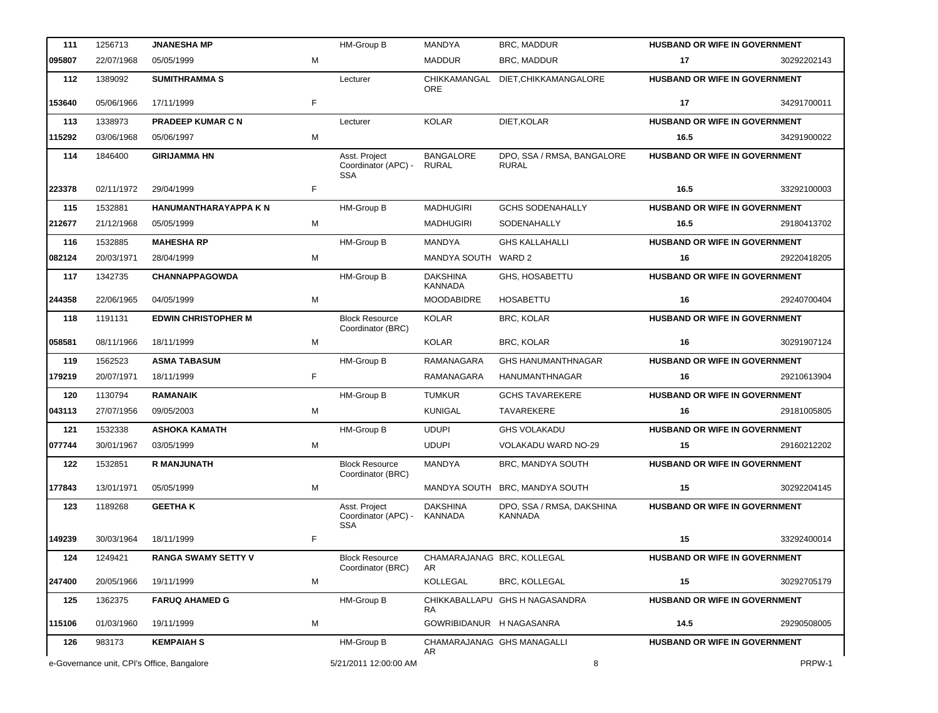| 111    | 1256713    | <b>JNANESHA MP</b>                         |    | HM-Group B                                         | <b>MANDYA</b>                     | BRC, MADDUR                                | HUSBAND OR WIFE IN GOVERNMENT        |             |
|--------|------------|--------------------------------------------|----|----------------------------------------------------|-----------------------------------|--------------------------------------------|--------------------------------------|-------------|
| 095807 | 22/07/1968 | 05/05/1999                                 | М  |                                                    | <b>MADDUR</b>                     | BRC, MADDUR                                | 17                                   | 30292202143 |
| 112    | 1389092    | <b>SUMITHRAMMAS</b>                        |    | Lecturer                                           | ORE                               | CHIKKAMANGAL DIET, CHIKKAMANGALORE         | HUSBAND OR WIFE IN GOVERNMENT        |             |
| 153640 | 05/06/1966 | 17/11/1999                                 | F. |                                                    |                                   |                                            | 17                                   | 34291700011 |
| 113    | 1338973    | <b>PRADEEP KUMAR C N</b>                   |    | Lecturer                                           | <b>KOLAR</b>                      | DIET, KOLAR                                | HUSBAND OR WIFE IN GOVERNMENT        |             |
| 115292 | 03/06/1968 | 05/06/1997                                 | M  |                                                    |                                   |                                            | 16.5                                 | 34291900022 |
| 114    | 1846400    | <b>GIRIJAMMA HN</b>                        |    | Asst. Project<br>Coordinator (APC) -<br><b>SSA</b> | <b>BANGALORE</b><br><b>RURAL</b>  | DPO, SSA / RMSA, BANGALORE<br><b>RURAL</b> | HUSBAND OR WIFE IN GOVERNMENT        |             |
| 223378 | 02/11/1972 | 29/04/1999                                 | F  |                                                    |                                   |                                            | 16.5                                 | 33292100003 |
| 115    | 1532881    | HANUMANTHARAYAPPA K N                      |    | HM-Group B                                         | <b>MADHUGIRI</b>                  | <b>GCHS SODENAHALLY</b>                    | HUSBAND OR WIFE IN GOVERNMENT        |             |
| 212677 | 21/12/1968 | 05/05/1999                                 | M  |                                                    | <b>MADHUGIRI</b>                  | SODENAHALLY                                | 16.5                                 | 29180413702 |
| 116    | 1532885    | <b>MAHESHA RP</b>                          |    | HM-Group B                                         | MANDYA                            | <b>GHS KALLAHALLI</b>                      | HUSBAND OR WIFE IN GOVERNMENT        |             |
| 082124 | 20/03/1971 | 28/04/1999                                 | м  |                                                    | MANDYA SOUTH WARD 2               |                                            | 16                                   | 29220418205 |
| 117    | 1342735    | <b>CHANNAPPAGOWDA</b>                      |    | HM-Group B                                         | <b>DAKSHINA</b><br><b>KANNADA</b> | GHS, HOSABETTU                             | HUSBAND OR WIFE IN GOVERNMENT        |             |
| 244358 | 22/06/1965 | 04/05/1999                                 | M  |                                                    | <b>MOODABIDRE</b>                 | <b>HOSABETTU</b>                           | 16                                   | 29240700404 |
| 118    | 1191131    | <b>EDWIN CHRISTOPHER M</b>                 |    | <b>Block Resource</b><br>Coordinator (BRC)         | <b>KOLAR</b>                      | BRC, KOLAR                                 | <b>HUSBAND OR WIFE IN GOVERNMENT</b> |             |
| 058581 | 08/11/1966 | 18/11/1999                                 | м  |                                                    | KOLAR                             | BRC, KOLAR                                 | 16                                   | 30291907124 |
| 119    | 1562523    | <b>ASMA TABASUM</b>                        |    | HM-Group B                                         | RAMANAGARA                        | <b>GHS HANUMANTHNAGAR</b>                  | HUSBAND OR WIFE IN GOVERNMENT        |             |
| 179219 | 20/07/1971 | 18/11/1999                                 | F  |                                                    | RAMANAGARA                        | <b>HANUMANTHNAGAR</b>                      | 16                                   | 29210613904 |
| 120    | 1130794    | <b>RAMANAIK</b>                            |    | HM-Group B                                         | <b>TUMKUR</b>                     | <b>GCHS TAVAREKERE</b>                     | HUSBAND OR WIFE IN GOVERNMENT        |             |
| 043113 | 27/07/1956 | 09/05/2003                                 | M  |                                                    | <b>KUNIGAL</b>                    | <b>TAVAREKERE</b>                          | 16                                   | 29181005805 |
| 121    | 1532338    | <b>ASHOKA KAMATH</b>                       |    | <b>HM-Group B</b>                                  | <b>UDUPI</b>                      | <b>GHS VOLAKADU</b>                        | HUSBAND OR WIFE IN GOVERNMENT        |             |
| 077744 | 30/01/1967 | 03/05/1999                                 | м  |                                                    | <b>UDUPI</b>                      | VOLAKADU WARD NO-29                        | 15                                   | 29160212202 |
| 122    | 1532851    | <b>R MANJUNATH</b>                         |    | <b>Block Resource</b><br>Coordinator (BRC)         | MANDYA                            | BRC, MANDYA SOUTH                          | HUSBAND OR WIFE IN GOVERNMENT        |             |
| 177843 | 13/01/1971 | 05/05/1999                                 | М  |                                                    |                                   | MANDYA SOUTH BRC, MANDYA SOUTH             | 15                                   | 30292204145 |
| 123    | 1189268    | <b>GEETHA K</b>                            |    | Asst. Project<br>Coordinator (APC) -<br><b>SSA</b> | <b>DAKSHINA</b><br>KANNADA        | DPO, SSA / RMSA, DAKSHINA<br>KANNADA       | <b>HUSBAND OR WIFE IN GOVERNMENT</b> |             |
| 149239 | 30/03/1964 | 18/11/1999                                 | F. |                                                    |                                   |                                            | 15                                   | 33292400014 |
| 124    | 1249421    | RANGA SWAMY SETTY V                        |    | <b>Block Resource</b><br>Coordinator (BRC)         | AR                                | CHAMARAJANAG BRC, KOLLEGAL                 | <b>HUSBAND OR WIFE IN GOVERNMENT</b> |             |
| 247400 | 20/05/1966 | 19/11/1999                                 | м  |                                                    | KOLLEGAL                          | BRC, KOLLEGAL                              | 15                                   | 30292705179 |
| 125    | 1362375    | <b>FARUQ AHAMED G</b>                      |    | HM-Group B                                         |                                   | CHIKKABALLAPU GHS H NAGASANDRA             | <b>HUSBAND OR WIFE IN GOVERNMENT</b> |             |
| 115106 | 01/03/1960 | 19/11/1999                                 | M  |                                                    | RA.<br>GOWRIBIDANUR H NAGASANRA   |                                            | 14.5                                 | 29290508005 |
| 126    | 983173     | <b>KEMPAIAH S</b>                          |    | HM-Group B                                         |                                   | CHAMARAJANAG GHS MANAGALLI                 | <b>HUSBAND OR WIFE IN GOVERNMENT</b> |             |
|        |            | e-Governance unit, CPI's Office, Bangalore |    | 5/21/2011 12:00:00 AM                              | AR                                | 8                                          |                                      | PRPW-1      |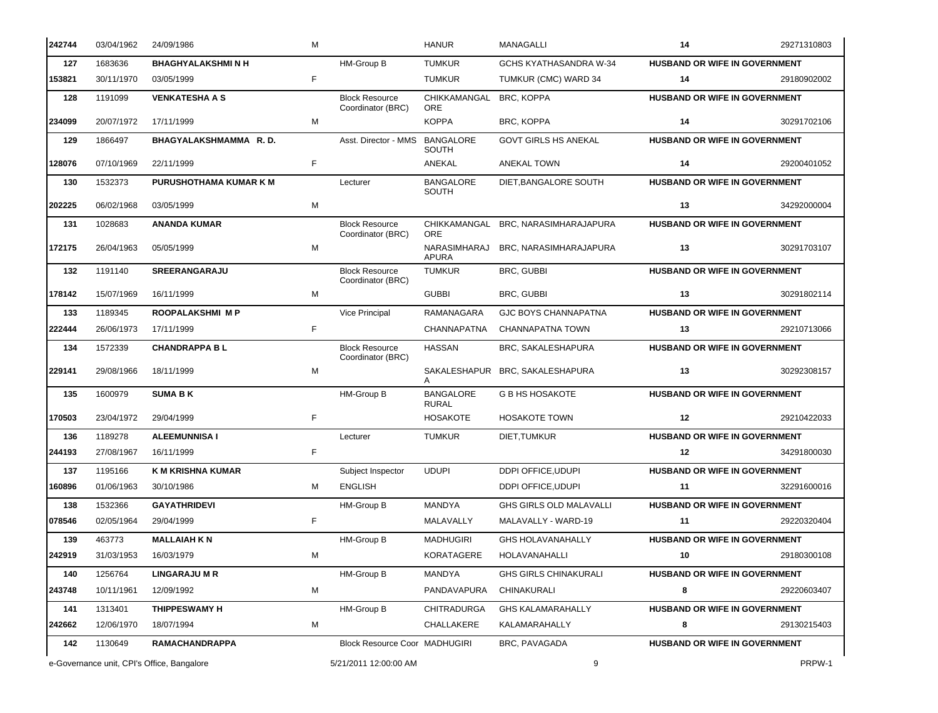| 242744 | 03/04/1962  | 24/09/1986                                 | M  |                                            | <b>HANUR</b>                     | <b>MANAGALLI</b>                    | 14                                   | 29271310803 |
|--------|-------------|--------------------------------------------|----|--------------------------------------------|----------------------------------|-------------------------------------|--------------------------------------|-------------|
| 127    | 1683636     | <b>BHAGHYALAKSHMINH</b>                    |    | HM-Group B                                 | <b>TUMKUR</b>                    | GCHS KYATHASANDRA W-34              | HUSBAND OR WIFE IN GOVERNMENT        |             |
| 153821 | 30/11/1970  | 03/05/1999                                 | F  |                                            | <b>TUMKUR</b>                    | TUMKUR (CMC) WARD 34                | 14                                   | 29180902002 |
| 128    | 1191099     | <b>VENKATESHA A S</b>                      |    | <b>Block Resource</b><br>Coordinator (BRC) | CHIKKAMANGAL<br><b>ORE</b>       | BRC, KOPPA                          | HUSBAND OR WIFE IN GOVERNMENT        |             |
| 234099 | 20/07/1972  | 17/11/1999                                 | м  |                                            | <b>KOPPA</b>                     | BRC, KOPPA                          | 14                                   | 30291702106 |
| 129    | 1866497     | BHAGYALAKSHMAMMA R.D.                      |    | Asst. Director - MMS                       | <b>BANGALORE</b><br><b>SOUTH</b> | <b>GOVT GIRLS HS ANEKAL</b>         | HUSBAND OR WIFE IN GOVERNMENT        |             |
| 128076 | 07/10/1969  | 22/11/1999                                 | F  |                                            | ANEKAL                           | <b>ANEKAL TOWN</b>                  | 14                                   | 29200401052 |
| 130    | 1532373     | <b>PURUSHOTHAMA KUMAR K M</b>              |    | Lecturer                                   | <b>BANGALORE</b><br>SOUTH        | DIET, BANGALORE SOUTH               | <b>HUSBAND OR WIFE IN GOVERNMENT</b> |             |
| 202225 | 06/02/1968  | 03/05/1999                                 | M  |                                            |                                  |                                     | 13                                   | 34292000004 |
| 131    | 1028683     | <b>ANANDA KUMAR</b>                        |    | <b>Block Resource</b><br>Coordinator (BRC) | <b>ORE</b>                       | CHIKKAMANGAL BRC, NARASIMHARAJAPURA | HUSBAND OR WIFE IN GOVERNMENT        |             |
| 172175 | 26/04/1963  | 05/05/1999                                 | M  |                                            | NARASIMHARAJ<br><b>APURA</b>     | BRC, NARASIMHARAJAPURA              | 13                                   | 30291703107 |
| 132    | 1191140     | <b>SREERANGARAJU</b>                       |    | <b>Block Resource</b><br>Coordinator (BRC) | <b>TUMKUR</b>                    | BRC, GUBBI                          | <b>HUSBAND OR WIFE IN GOVERNMENT</b> |             |
| 178142 | 15/07/1969  | 16/11/1999                                 | м  |                                            | <b>GUBBI</b>                     | BRC, GUBBI                          | 13                                   | 30291802114 |
| 133    | 1189345     | <b>ROOPALAKSHMI MP</b>                     |    | Vice Principal                             | RAMANAGARA                       | <b>GJC BOYS CHANNAPATNA</b>         | HUSBAND OR WIFE IN GOVERNMENT        |             |
| 222444 | 26/06/1973  | 17/11/1999                                 | F  |                                            | CHANNAPATNA                      | CHANNAPATNA TOWN                    | 13                                   | 29210713066 |
| 134    | 1572339     | <b>CHANDRAPPA BL</b>                       |    | <b>Block Resource</b><br>Coordinator (BRC) | <b>HASSAN</b>                    | BRC, SAKALESHAPURA                  | HUSBAND OR WIFE IN GOVERNMENT        |             |
| 229141 | 29/08/1966  | 18/11/1999                                 | М  |                                            |                                  | SAKALESHAPUR BRC, SAKALESHAPURA     | 13                                   | 30292308157 |
| 135    | 1600979     | <b>SUMA BK</b>                             |    | HM-Group B                                 | <b>BANGALORE</b><br><b>RURAL</b> | <b>G B HS HOSAKOTE</b>              | HUSBAND OR WIFE IN GOVERNMENT        |             |
| 170503 | 23/04/1972  | 29/04/1999                                 | F  |                                            | <b>HOSAKOTE</b>                  | <b>HOSAKOTE TOWN</b>                | 12                                   | 29210422033 |
| 136    | 1189278     | <b>ALEEMUNNISA I</b>                       |    | Lecturer                                   | <b>TUMKUR</b>                    | DIET, TUMKUR                        | HUSBAND OR WIFE IN GOVERNMENT        |             |
| 244193 | 27/08/1967  | 16/11/1999                                 | F  |                                            |                                  |                                     | 12                                   | 34291800030 |
| 137    | 1195166     | <b>K M KRISHNA KUMAR</b>                   |    | Subject Inspector                          | <b>UDUPI</b>                     | DDPI OFFICE, UDUPI                  | HUSBAND OR WIFE IN GOVERNMENT        |             |
| 160896 | 01/06/1963  | 30/10/1986                                 | м  | <b>ENGLISH</b>                             |                                  | DDPI OFFICE, UDUPI                  | 11                                   | 32291600016 |
|        | 138 1532366 | <b>GAYATHRIDEVI</b>                        |    | HM-Group B                                 | MANDYA                           | GHS GIRLS OLD MALAVALLI             | HUSBAND OR WIFE IN GOVERNMENT        |             |
| 078546 | 02/05/1964  | 29/04/1999                                 | F. |                                            | MALAVALLY                        | MALAVALLY - WARD-19                 | 11                                   | 29220320404 |
| 139    | 463773      | <b>MALLAIAH K N</b>                        |    | HM-Group B                                 | <b>MADHUGIRI</b>                 | <b>GHS HOLAVANAHALLY</b>            | <b>HUSBAND OR WIFE IN GOVERNMENT</b> |             |
| 242919 | 31/03/1953  | 16/03/1979                                 | м  |                                            | <b>KORATAGERE</b>                | HOLAVANAHALLI                       | 10                                   | 29180300108 |
| 140    | 1256764     | <b>LINGARAJU M R</b>                       |    | HM-Group B                                 | MANDYA                           | <b>GHS GIRLS CHINAKURALI</b>        | HUSBAND OR WIFE IN GOVERNMENT        |             |
| 243748 | 10/11/1961  | 12/09/1992                                 | М  |                                            | PANDAVAPURA                      | CHINAKURALI                         | 8                                    | 29220603407 |
| 141    | 1313401     | <b>THIPPESWAMY H</b>                       |    | HM-Group B                                 | <b>CHITRADURGA</b>               | <b>GHS KALAMARAHALLY</b>            | <b>HUSBAND OR WIFE IN GOVERNMENT</b> |             |
| 242662 | 12/06/1970  | 18/07/1994                                 | м  |                                            | CHALLAKERE                       | KALAMARAHALLY                       | 8                                    | 29130215403 |
| 142    | 1130649     | <b>RAMACHANDRAPPA</b>                      |    | Block Resource Coor MADHUGIRI              |                                  | BRC, PAVAGADA                       | <b>HUSBAND OR WIFE IN GOVERNMENT</b> |             |
|        |             | e-Governance unit, CPI's Office, Bangalore |    | 5/21/2011 12:00:00 AM                      |                                  | 9                                   |                                      | PRPW-1      |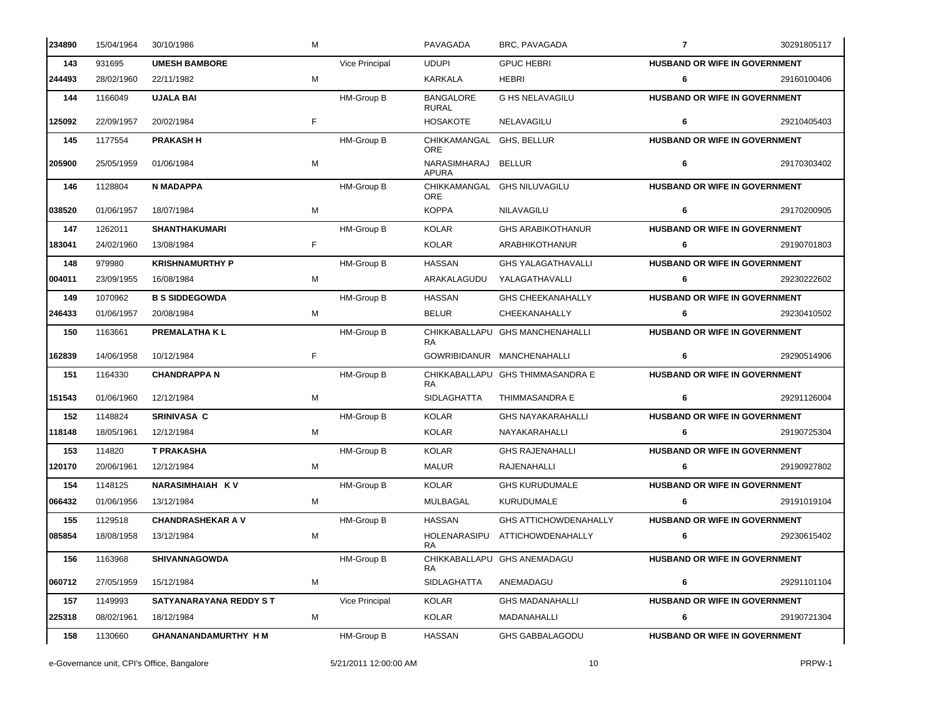| 234890 | 15/04/1964 | 30/10/1986                    | M  |                   | PAVAGADA                         | BRC, PAVAGADA                    | $\overline{7}$                       | 30291805117 |
|--------|------------|-------------------------------|----|-------------------|----------------------------------|----------------------------------|--------------------------------------|-------------|
| 143    | 931695     | <b>UMESH BAMBORE</b>          |    | Vice Principal    | <b>UDUPI</b>                     | <b>GPUC HEBRI</b>                | HUSBAND OR WIFE IN GOVERNMENT        |             |
| 244493 | 28/02/1960 | 22/11/1982                    | М  |                   | KARKALA                          | HEBRI                            | 6                                    | 29160100406 |
| 144    | 1166049    | <b>UJALA BAI</b>              |    | HM-Group B        | <b>BANGALORE</b><br><b>RURAL</b> | <b>G HS NELAVAGILU</b>           | HUSBAND OR WIFE IN GOVERNMENT        |             |
| 125092 | 22/09/1957 | 20/02/1984                    | F  |                   | <b>HOSAKOTE</b>                  | NELAVAGILU                       | 6                                    | 29210405403 |
| 145    | 1177554    | <b>PRAKASH H</b>              |    | <b>HM-Group B</b> | CHIKKAMANGAL<br><b>ORE</b>       | GHS, BELLUR                      | HUSBAND OR WIFE IN GOVERNMENT        |             |
| 205900 | 25/05/1959 | 01/06/1984                    | м  |                   | NARASIMHARAJ<br><b>APURA</b>     | <b>BELLUR</b>                    | 6                                    | 29170303402 |
| 146    | 1128804    | <b>N MADAPPA</b>              |    | <b>HM-Group B</b> | <b>ORE</b>                       | CHIKKAMANGAL GHS NILUVAGILU      | <b>HUSBAND OR WIFE IN GOVERNMENT</b> |             |
| 038520 | 01/06/1957 | 18/07/1984                    | M  |                   | <b>KOPPA</b>                     | NILAVAGILU                       | 6                                    | 29170200905 |
| 147    | 1262011    | <b>SHANTHAKUMARI</b>          |    | <b>HM-Group B</b> | <b>KOLAR</b>                     | <b>GHS ARABIKOTHANUR</b>         | HUSBAND OR WIFE IN GOVERNMENT        |             |
| 183041 | 24/02/1960 | 13/08/1984                    | F  |                   | <b>KOLAR</b>                     | <b>ARABHIKOTHANUR</b>            | 6                                    | 29190701803 |
| 148    | 979980     | <b>KRISHNAMURTHY P</b>        |    | HM-Group B        | <b>HASSAN</b>                    | <b>GHS YALAGATHAVALLI</b>        | <b>HUSBAND OR WIFE IN GOVERNMENT</b> |             |
| 004011 | 23/09/1955 | 16/08/1984                    | м  |                   | ARAKALAGUDU                      | YALAGATHAVALLI                   | 6                                    | 29230222602 |
| 149    | 1070962    | <b>B S SIDDEGOWDA</b>         |    | <b>HM-Group B</b> | <b>HASSAN</b>                    | <b>GHS CHEEKANAHALLY</b>         | <b>HUSBAND OR WIFE IN GOVERNMENT</b> |             |
| 246433 | 01/06/1957 | 20/08/1984                    | м  |                   | <b>BELUR</b>                     | CHEEKANAHALLY                    | 6                                    | 29230410502 |
| 150    | 1163661    | <b>PREMALATHAKL</b>           |    | HM-Group B        | <b>RA</b>                        | CHIKKABALLAPU GHS MANCHENAHALLI  | HUSBAND OR WIFE IN GOVERNMENT        |             |
| 162839 | 14/06/1958 | 10/12/1984                    | F. |                   |                                  | GOWRIBIDANUR MANCHENAHALLI       | 6                                    | 29290514906 |
| 151    | 1164330    | <b>CHANDRAPPAN</b>            |    | HM-Group B        | <b>RA</b>                        | CHIKKABALLAPU GHS THIMMASANDRA E | HUSBAND OR WIFE IN GOVERNMENT        |             |
| 151543 | 01/06/1960 | 12/12/1984                    | M  |                   | <b>SIDLAGHATTA</b>               | THIMMASANDRA E                   | 6                                    | 29291126004 |
| 152    | 1148824    | <b>SRINIVASA C</b>            |    | HM-Group B        | <b>KOLAR</b>                     | <b>GHS NAYAKARAHALLI</b>         | HUSBAND OR WIFE IN GOVERNMENT        |             |
| 118148 | 18/05/1961 | 12/12/1984                    | м  |                   | <b>KOLAR</b>                     | NAYAKARAHALLI                    | 6                                    | 29190725304 |
| 153    | 114820     | <b>T PRAKASHA</b>             |    | HM-Group B        | <b>KOLAR</b>                     | <b>GHS RAJENAHALLI</b>           | HUSBAND OR WIFE IN GOVERNMENT        |             |
| 120170 | 20/06/1961 | 12/12/1984                    | м  |                   | <b>MALUR</b>                     | RAJENAHALLI                      | 6                                    | 29190927802 |
| 154    | 1148125    | <b>NARASIMHAIAH KV</b>        |    | HM-Group B        | <b>KOLAR</b>                     | <b>GHS KURUDUMALE</b>            | <b>HUSBAND OR WIFE IN GOVERNMENT</b> |             |
| 066432 | 01/06/1956 | 13/12/1984                    | M  |                   | MULBAGAL                         | KURUDUMALE                       | 6                                    | 29191019104 |
| 155    | 1129518    | <b>CHANDRASHEKAR A V</b>      |    | HM-Group B        | <b>HASSAN</b>                    | <b>GHS ATTICHOWDENAHALLY</b>     | <b>HUSBAND OR WIFE IN GOVERNMENT</b> |             |
| 085854 | 18/08/1958 | 13/12/1984                    | M  |                   | HOLENARASIPU<br>RA.              | ATTICHOWDENAHALLY                | 6                                    | 29230615402 |
| 156    | 1163968    | <b>SHIVANNAGOWDA</b>          |    | HM-Group B        | RA.                              | CHIKKABALLAPU GHS ANEMADAGU      | HUSBAND OR WIFE IN GOVERNMENT        |             |
| 060712 | 27/05/1959 | 15/12/1984                    | M  |                   | <b>SIDLAGHATTA</b>               | ANEMADAGU                        | 6                                    | 29291101104 |
| 157    | 1149993    | <b>SATYANARAYANA REDDY ST</b> |    | Vice Principal    | <b>KOLAR</b>                     | <b>GHS MADANAHALLI</b>           | HUSBAND OR WIFE IN GOVERNMENT        |             |
| 225318 | 08/02/1961 | 18/12/1984                    | М  |                   | KOLAR                            | MADANAHALLI                      | 6                                    | 29190721304 |
| 158    | 1130660    | GHANANANDAMURTHY H M          |    | HM-Group B        | <b>HASSAN</b>                    | <b>GHS GABBALAGODU</b>           | HUSBAND OR WIFE IN GOVERNMENT        |             |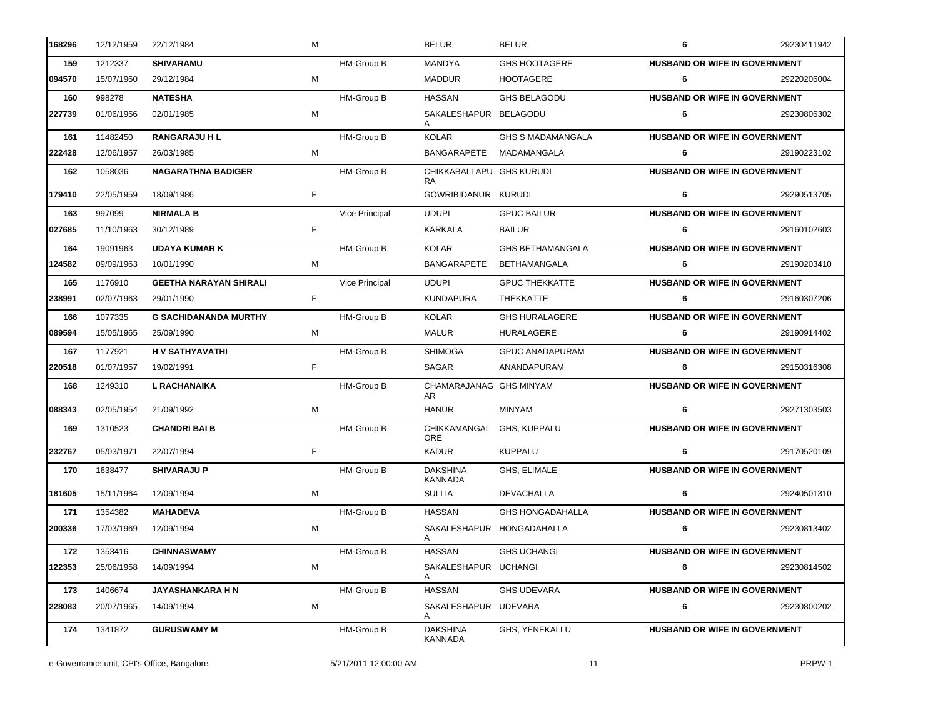| 168296 | 12/12/1959 | 22/12/1984                    | M  |                   | <b>BELUR</b>                      | <b>BELUR</b>              | 6                                    | 29230411942 |
|--------|------------|-------------------------------|----|-------------------|-----------------------------------|---------------------------|--------------------------------------|-------------|
| 159    | 1212337    | <b>SHIVARAMU</b>              |    | HM-Group B        | <b>MANDYA</b>                     | <b>GHS HOOTAGERE</b>      | HUSBAND OR WIFE IN GOVERNMENT        |             |
| 094570 | 15/07/1960 | 29/12/1984                    | M  |                   | <b>MADDUR</b>                     | <b>HOOTAGERE</b>          | 6                                    | 29220206004 |
| 160    | 998278     | <b>NATESHA</b>                |    | HM-Group B        | <b>HASSAN</b>                     | <b>GHS BELAGODU</b>       | <b>HUSBAND OR WIFE IN GOVERNMENT</b> |             |
| 227739 | 01/06/1956 | 02/01/1985                    | м  |                   | SAKALESHAPUR BELAGODU             |                           | 6                                    | 29230806302 |
| 161    | 11482450   | <b>RANGARAJU H L</b>          |    | <b>HM-Group B</b> | <b>KOLAR</b>                      | <b>GHS S MADAMANGALA</b>  | HUSBAND OR WIFE IN GOVERNMENT        |             |
| 222428 | 12/06/1957 | 26/03/1985                    | М  |                   | <b>BANGARAPETE</b>                | MADAMANGALA               | 6                                    | 29190223102 |
| 162    | 1058036    | <b>NAGARATHNA BADIGER</b>     |    | <b>HM-Group B</b> | CHIKKABALLAPU GHS KURUDI<br>RA.   |                           | HUSBAND OR WIFE IN GOVERNMENT        |             |
| 179410 | 22/05/1959 | 18/09/1986                    | F  |                   | GOWRIBIDANUR KURUDI               |                           | 6                                    | 29290513705 |
| 163    | 997099     | <b>NIRMALA B</b>              |    | Vice Principal    | <b>UDUPI</b>                      | <b>GPUC BAILUR</b>        | HUSBAND OR WIFE IN GOVERNMENT        |             |
| 027685 | 11/10/1963 | 30/12/1989                    | F. |                   | KARKALA                           | <b>BAILUR</b>             | 6                                    | 29160102603 |
| 164    | 19091963   | <b>UDAYA KUMAR K</b>          |    | <b>HM-Group B</b> | KOLAR                             | <b>GHS BETHAMANGALA</b>   | HUSBAND OR WIFE IN GOVERNMENT        |             |
| 124582 | 09/09/1963 | 10/01/1990                    | М  |                   | <b>BANGARAPETE</b>                | <b>BETHAMANGALA</b>       | 6                                    | 29190203410 |
| 165    | 1176910    | <b>GEETHA NARAYAN SHIRALI</b> |    | Vice Principal    | <b>UDUPI</b>                      | <b>GPUC THEKKATTE</b>     | <b>HUSBAND OR WIFE IN GOVERNMENT</b> |             |
| 238991 | 02/07/1963 | 29/01/1990                    | F. |                   | <b>KUNDAPURA</b>                  | THEKKATTE                 | 6                                    | 29160307206 |
| 166    | 1077335    | <b>G SACHIDANANDA MURTHY</b>  |    | HM-Group B        | <b>KOLAR</b>                      | <b>GHS HURALAGERE</b>     | HUSBAND OR WIFE IN GOVERNMENT        |             |
| 089594 | 15/05/1965 | 25/09/1990                    | м  |                   | <b>MALUR</b>                      | HURALAGERE                | 6                                    | 29190914402 |
| 167    | 1177921    | <b>HV SATHYAVATHI</b>         |    | HM-Group B        | <b>SHIMOGA</b>                    | <b>GPUC ANADAPURAM</b>    | <b>HUSBAND OR WIFE IN GOVERNMENT</b> |             |
| 220518 | 01/07/1957 | 19/02/1991                    | F. |                   | SAGAR                             | ANANDAPURAM               | 6                                    | 29150316308 |
|        |            |                               |    |                   |                                   | CHAMARAJANAG GHS MINYAM   | HUSBAND OR WIFE IN GOVERNMENT        |             |
| 168    | 1249310    | <b>L RACHANAIKA</b>           |    | HM-Group B        | AR.                               |                           |                                      |             |
| 088343 | 02/05/1954 | 21/09/1992                    | M  |                   | <b>HANUR</b>                      | <b>MINYAM</b>             | 6                                    | 29271303503 |
| 169    | 1310523    | <b>CHANDRI BAI B</b>          |    | HM-Group B        | CHIKKAMANGAL<br>ORE               | GHS, KUPPALU              | HUSBAND OR WIFE IN GOVERNMENT        |             |
| 232767 | 05/03/1971 | 22/07/1994                    | F. |                   | <b>KADUR</b>                      | <b>KUPPALU</b>            | 6                                    | 29170520109 |
| 170    | 1638477    | <b>SHIVARAJU P</b>            |    | <b>HM-Group B</b> | <b>DAKSHINA</b><br><b>KANNADA</b> | GHS, ELIMALE              | HUSBAND OR WIFE IN GOVERNMENT        |             |
| 181605 | 15/11/1964 | 12/09/1994                    | M  |                   | <b>SULLIA</b>                     | <b>DEVACHALLA</b>         | 6                                    | 29240501310 |
| 171    | 1354382    | <b>MAHADEVA</b>               |    | HM-Group B        | <b>HASSAN</b>                     | <b>GHS HONGADAHALLA</b>   | <b>HUSBAND OR WIFE IN GOVERNMENT</b> |             |
| 200336 | 17/03/1969 | 12/09/1994                    | м  |                   | A                                 | SAKALESHAPUR HONGADAHALLA | 6                                    | 29230813402 |
| 172    | 1353416    | <b>CHINNASWAMY</b>            |    | HM-Group B        | <b>HASSAN</b>                     | <b>GHS UCHANGI</b>        | HUSBAND OR WIFE IN GOVERNMENT        |             |
| 122353 | 25/06/1958 | 14/09/1994                    | M  |                   | SAKALESHAPUR UCHANGI<br>A         |                           | 6                                    | 29230814502 |
| 173    | 1406674    | JAYASHANKARA H N              |    | HM-Group B        | <b>HASSAN</b>                     | <b>GHS UDEVARA</b>        | HUSBAND OR WIFE IN GOVERNMENT        |             |
| 228083 | 20/07/1965 | 14/09/1994                    | M  |                   | SAKALESHAPUR UDEVARA<br>A         |                           | 6                                    | 29230800202 |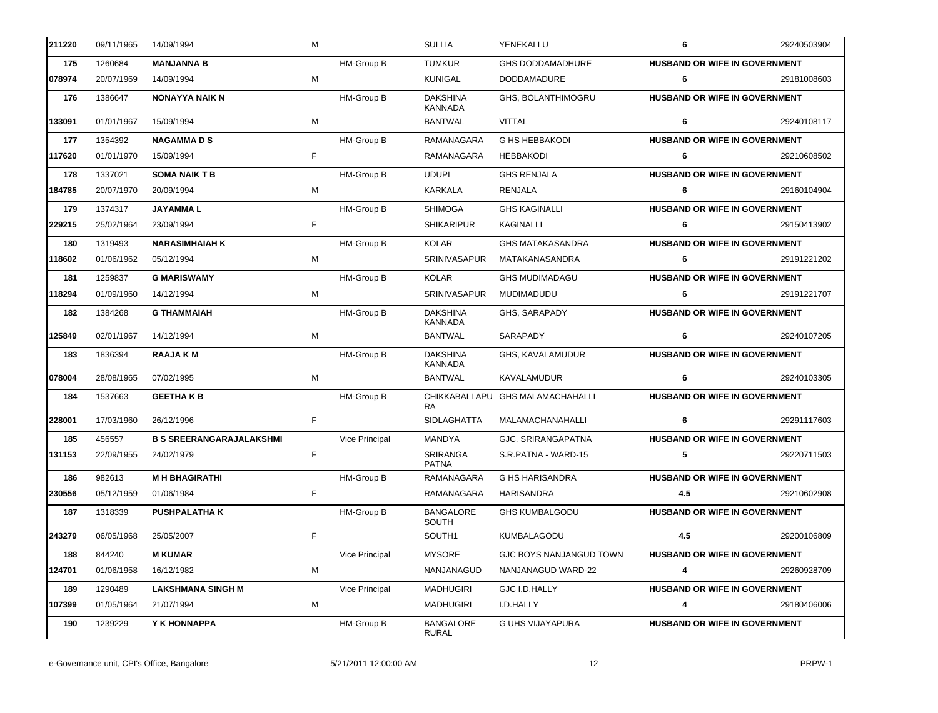| 211220 | 09/11/1965 | 14/09/1994                      | M |                       | <b>SULLIA</b>                     | YENEKALLU                        | 6                                    | 29240503904 |
|--------|------------|---------------------------------|---|-----------------------|-----------------------------------|----------------------------------|--------------------------------------|-------------|
| 175    | 1260684    | <b>MANJANNA B</b>               |   | HM-Group B            | <b>TUMKUR</b>                     | <b>GHS DODDAMADHURE</b>          | HUSBAND OR WIFE IN GOVERNMENT        |             |
| 078974 | 20/07/1969 | 14/09/1994                      | M |                       | <b>KUNIGAL</b>                    | <b>DODDAMADURE</b>               | 6                                    | 29181008603 |
| 176    | 1386647    | <b>NONAYYA NAIK N</b>           |   | HM-Group B            | <b>DAKSHINA</b><br><b>KANNADA</b> | <b>GHS. BOLANTHIMOGRU</b>        | HUSBAND OR WIFE IN GOVERNMENT        |             |
| 133091 | 01/01/1967 | 15/09/1994                      | M |                       | <b>BANTWAL</b>                    | <b>VITTAL</b>                    | 6                                    | 29240108117 |
| 177    | 1354392    | <b>NAGAMMADS</b>                |   | HM-Group B            | RAMANAGARA                        | <b>G HS HEBBAKODI</b>            | <b>HUSBAND OR WIFE IN GOVERNMENT</b> |             |
| 117620 | 01/01/1970 | 15/09/1994                      | F |                       | RAMANAGARA                        | <b>HEBBAKODI</b>                 | 6                                    | 29210608502 |
| 178    | 1337021    | <b>SOMA NAIK T B</b>            |   | HM-Group B            | <b>UDUPI</b>                      | <b>GHS RENJALA</b>               | HUSBAND OR WIFE IN GOVERNMENT        |             |
| 184785 | 20/07/1970 | 20/09/1994                      | м |                       | KARKALA                           | RENJALA                          | 6                                    | 29160104904 |
| 179    | 1374317    | <b>JAYAMMAL</b>                 |   | HM-Group B            | <b>SHIMOGA</b>                    | <b>GHS KAGINALLI</b>             | HUSBAND OR WIFE IN GOVERNMENT        |             |
| 229215 | 25/02/1964 | 23/09/1994                      | F |                       | <b>SHIKARIPUR</b>                 | KAGINALLI                        | 6                                    | 29150413902 |
| 180    | 1319493    | <b>NARASIMHAIAH K</b>           |   | HM-Group B            | <b>KOLAR</b>                      | <b>GHS MATAKASANDRA</b>          | HUSBAND OR WIFE IN GOVERNMENT        |             |
| 118602 | 01/06/1962 | 05/12/1994                      | м |                       | SRINIVASAPUR                      | MATAKANASANDRA                   | 6                                    | 29191221202 |
| 181    | 1259837    | <b>G MARISWAMY</b>              |   | HM-Group B            | <b>KOLAR</b>                      | <b>GHS MUDIMADAGU</b>            | <b>HUSBAND OR WIFE IN GOVERNMENT</b> |             |
| 118294 | 01/09/1960 | 14/12/1994                      | м |                       | SRINIVASAPUR                      | MUDIMADUDU                       | 6                                    | 29191221707 |
| 182    | 1384268    | <b>G THAMMAIAH</b>              |   | HM-Group B            | <b>DAKSHINA</b><br><b>KANNADA</b> | GHS, SARAPADY                    | HUSBAND OR WIFE IN GOVERNMENT        |             |
| 125849 | 02/01/1967 | 14/12/1994                      | M |                       | <b>BANTWAL</b>                    | SARAPADY                         | 6                                    | 29240107205 |
| 183    | 1836394    | <b>RAAJAKM</b>                  |   | HM-Group B            | <b>DAKSHINA</b><br><b>KANNADA</b> | GHS, KAVALAMUDUR                 | HUSBAND OR WIFE IN GOVERNMENT        |             |
| 078004 | 28/08/1965 | 07/02/1995                      | м |                       | <b>BANTWAL</b>                    | <b>KAVALAMUDUR</b>               | 6                                    | 29240103305 |
| 184    | 1537663    | <b>GEETHAKB</b>                 |   | HM-Group B            | <b>RA</b>                         | CHIKKABALLAPU GHS MALAMACHAHALLI | HUSBAND OR WIFE IN GOVERNMENT        |             |
| 228001 | 17/03/1960 | 26/12/1996                      | F |                       | <b>SIDLAGHATTA</b>                | MALAMACHANAHALLI                 | 6                                    | 29291117603 |
| 185    | 456557     | <b>B S SREERANGARAJALAKSHMI</b> |   | <b>Vice Principal</b> | <b>MANDYA</b>                     | GJC, SRIRANGAPATNA               | <b>HUSBAND OR WIFE IN GOVERNMENT</b> |             |
| 131153 | 22/09/1955 | 24/02/1979                      | F |                       | SRIRANGA<br><b>PATNA</b>          | S.R.PATNA - WARD-15              | 5                                    | 29220711503 |
| 186    | 982613     | <b>M H BHAGIRATHI</b>           |   | HM-Group B            | RAMANAGARA                        | <b>G HS HARISANDRA</b>           | HUSBAND OR WIFE IN GOVERNMENT        |             |
| 230556 | 05/12/1959 | 01/06/1984                      | F |                       | RAMANAGARA                        | <b>HARISANDRA</b>                | 4.5                                  | 29210602908 |
| 187    | 1318339    | <b>PUSHPALATHAK</b>             |   | HM-Group B            | <b>BANGALORE</b><br><b>SOUTH</b>  | <b>GHS KUMBALGODU</b>            | HUSBAND OR WIFE IN GOVERNMENT        |             |
| 243279 | 06/05/1968 | 25/05/2007                      | F |                       | SOUTH1                            | <b>KUMBALAGODU</b>               | 4.5                                  | 29200106809 |
| 188    | 844240     | <b>M KUMAR</b>                  |   | Vice Principal        | <b>MYSORE</b>                     | <b>GJC BOYS NANJANGUD TOWN</b>   | <b>HUSBAND OR WIFE IN GOVERNMENT</b> |             |
| 124701 | 01/06/1958 | 16/12/1982                      | M |                       | NANJANAGUD                        | NANJANAGUD WARD-22               | 4                                    | 29260928709 |
| 189    | 1290489    | <b>LAKSHMANA SINGH M</b>        |   | Vice Principal        | <b>MADHUGIRI</b>                  | GJC I.D.HALLY                    | <b>HUSBAND OR WIFE IN GOVERNMENT</b> |             |
| 107399 | 01/05/1964 | 21/07/1994                      | M |                       | <b>MADHUGIRI</b>                  | I.D.HALLY                        | 4                                    | 29180406006 |
| 190    | 1239229    | Y K HONNAPPA                    |   | HM-Group B            | <b>BANGALORE</b><br><b>RURAL</b>  | G UHS VIJAYAPURA                 | HUSBAND OR WIFE IN GOVERNMENT        |             |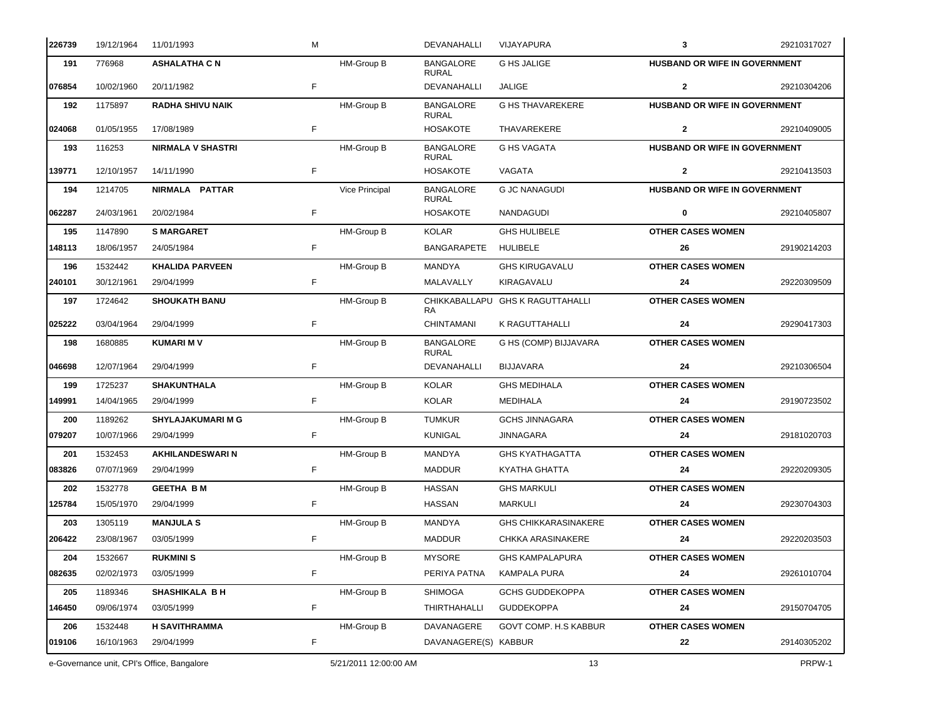| 226739 | 19/12/1964                                 | 11/01/1993               | м  |                       | DEVANAHALLI                      | VIJAYAPURA                       | $\mathbf{3}$                  | 29210317027 |
|--------|--------------------------------------------|--------------------------|----|-----------------------|----------------------------------|----------------------------------|-------------------------------|-------------|
| 191    | 776968                                     | <b>ASHALATHA C N</b>     |    | HM-Group B            | <b>BANGALORE</b><br><b>RURAL</b> | <b>G HS JALIGE</b>               | HUSBAND OR WIFE IN GOVERNMENT |             |
| 076854 | 10/02/1960                                 | 20/11/1982               | F  |                       | DEVANAHALLI                      | <b>JALIGE</b>                    | $\mathbf{2}$                  | 29210304206 |
| 192    | 1175897                                    | <b>RADHA SHIVU NAIK</b>  |    | HM-Group B            | <b>BANGALORE</b><br><b>RURAL</b> | <b>G HS THAVAREKERE</b>          | HUSBAND OR WIFE IN GOVERNMENT |             |
| 024068 | 01/05/1955                                 | 17/08/1989               | F  |                       | <b>HOSAKOTE</b>                  | THAVAREKERE                      | $\mathbf{2}$                  | 29210409005 |
| 193    | 116253                                     | <b>NIRMALA V SHASTRI</b> |    | HM-Group B            | <b>BANGALORE</b><br><b>RURAL</b> | <b>G HS VAGATA</b>               | HUSBAND OR WIFE IN GOVERNMENT |             |
| 139771 | 12/10/1957                                 | 14/11/1990               | F  |                       | <b>HOSAKOTE</b>                  | VAGATA                           | $\mathbf{2}$                  | 29210413503 |
| 194    | 1214705                                    | NIRMALA PATTAR           |    | Vice Principal        | <b>BANGALORE</b><br><b>RURAL</b> | <b>G JC NANAGUDI</b>             | HUSBAND OR WIFE IN GOVERNMENT |             |
| 062287 | 24/03/1961                                 | 20/02/1984               | F  |                       | <b>HOSAKOTE</b>                  | NANDAGUDI                        | 0                             | 29210405807 |
| 195    | 1147890                                    | <b>S MARGARET</b>        |    | HM-Group B            | <b>KOLAR</b>                     | <b>GHS HULIBELE</b>              | <b>OTHER CASES WOMEN</b>      |             |
| 148113 | 18/06/1957                                 | 24/05/1984               | F  |                       | <b>BANGARAPETE</b>               | HULIBELE                         | 26                            | 29190214203 |
| 196    | 1532442                                    | <b>KHALIDA PARVEEN</b>   |    | HM-Group B            | MANDYA                           | <b>GHS KIRUGAVALU</b>            | <b>OTHER CASES WOMEN</b>      |             |
| 240101 | 30/12/1961                                 | 29/04/1999               | F  |                       | MALAVALLY                        | KIRAGAVALU                       | 24                            | 29220309509 |
| 197    | 1724642                                    | <b>SHOUKATH BANU</b>     |    | HM-Group B            | RA.                              | CHIKKABALLAPU GHS K RAGUTTAHALLI | <b>OTHER CASES WOMEN</b>      |             |
| 025222 | 03/04/1964                                 | 29/04/1999               | F  |                       | <b>CHINTAMANI</b>                | K RAGUTTAHALLI                   | 24                            | 29290417303 |
| 198    | 1680885                                    | <b>KUMARIM V</b>         |    | HM-Group B            | <b>BANGALORE</b><br><b>RURAL</b> | G HS (COMP) BIJJAVARA            | <b>OTHER CASES WOMEN</b>      |             |
| 046698 | 12/07/1964                                 | 29/04/1999               | F  |                       | DEVANAHALLI                      | <b>BIJJAVARA</b>                 | 24                            | 29210306504 |
| 199    | 1725237                                    | <b>SHAKUNTHALA</b>       |    | HM-Group B            | <b>KOLAR</b>                     | <b>GHS MEDIHALA</b>              | <b>OTHER CASES WOMEN</b>      |             |
| 149991 | 14/04/1965                                 | 29/04/1999               | F  |                       | <b>KOLAR</b>                     | <b>MEDIHALA</b>                  | 24                            | 29190723502 |
| 200    | 1189262                                    | <b>SHYLAJAKUMARI M G</b> |    | HM-Group B            | <b>TUMKUR</b>                    | <b>GCHS JINNAGARA</b>            | <b>OTHER CASES WOMEN</b>      |             |
| 079207 | 10/07/1966                                 | 29/04/1999               | F  |                       | <b>KUNIGAL</b>                   | JINNAGARA                        | 24                            | 29181020703 |
| 201    | 1532453                                    | <b>AKHILANDESWARI N</b>  |    | HM-Group B            | <b>MANDYA</b>                    | <b>GHS KYATHAGATTA</b>           | <b>OTHER CASES WOMEN</b>      |             |
| 083826 | 07/07/1969                                 | 29/04/1999               | F  |                       | <b>MADDUR</b>                    | KYATHA GHATTA                    | 24                            | 29220209305 |
| 202    | 1532778                                    | <b>GEETHA BM</b>         |    | HM-Group B            | <b>HASSAN</b>                    | <b>GHS MARKULI</b>               | <b>OTHER CASES WOMEN</b>      |             |
| 125784 | 15/05/1970                                 | 29/04/1999               |    |                       | HASSAN                           | MARKULI                          | 24                            | 29230704303 |
| 203    | 1305119                                    | <b>MANJULA S</b>         |    | HM-Group B            | MANDYA                           | <b>GHS CHIKKARASINAKERE</b>      | <b>OTHER CASES WOMEN</b>      |             |
| 206422 | 23/08/1967                                 | 03/05/1999               | F  |                       | <b>MADDUR</b>                    | <b>CHKKA ARASINAKERE</b>         | 24                            | 29220203503 |
| 204    | 1532667                                    | <b>RUKMINI S</b>         |    | HM-Group B            | <b>MYSORE</b>                    | <b>GHS KAMPALAPURA</b>           | <b>OTHER CASES WOMEN</b>      |             |
| 082635 | 02/02/1973                                 | 03/05/1999               | F  |                       | PERIYA PATNA                     | <b>KAMPALA PURA</b>              | 24                            | 29261010704 |
| 205    | 1189346                                    | <b>SHASHIKALA BH</b>     |    | HM-Group B            | <b>SHIMOGA</b>                   | <b>GCHS GUDDEKOPPA</b>           | <b>OTHER CASES WOMEN</b>      |             |
| 146450 | 09/06/1974                                 | 03/05/1999               | F. |                       | THIRTHAHALLI                     | <b>GUDDEKOPPA</b>                | 24                            | 29150704705 |
| 206    | 1532448                                    | <b>H SAVITHRAMMA</b>     |    | HM-Group B            | DAVANAGERE                       | GOVT COMP. H.S KABBUR            | <b>OTHER CASES WOMEN</b>      |             |
| 019106 | 16/10/1963                                 | 29/04/1999               | F  |                       | DAVANAGERE(S) KABBUR             |                                  | 22                            | 29140305202 |
|        | e-Governance unit, CPI's Office, Bangalore |                          |    | 5/21/2011 12:00:00 AM |                                  | 13                               |                               | PRPW-1      |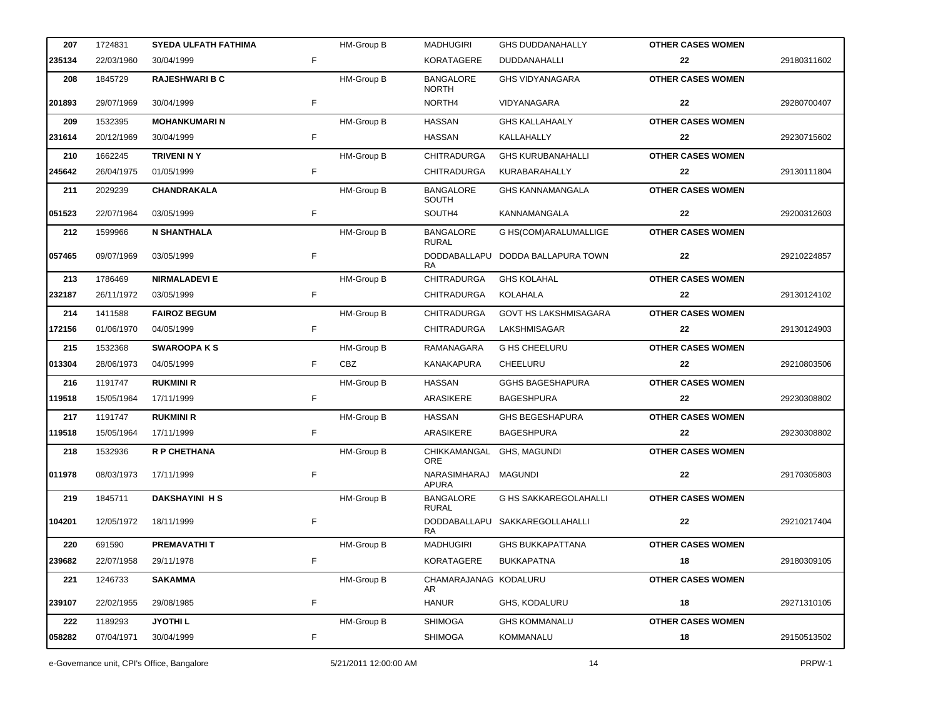| 207    | 1724831    | <b>SYEDA ULFATH FATHIMA</b> |    | HM-Group B        | <b>MADHUGIRI</b>                 | <b>GHS DUDDANAHALLY</b>           | <b>OTHER CASES WOMEN</b> |             |
|--------|------------|-----------------------------|----|-------------------|----------------------------------|-----------------------------------|--------------------------|-------------|
| 235134 | 22/03/1960 | 30/04/1999                  | F. |                   | <b>KORATAGERE</b>                | DUDDANAHALLI                      | 22                       | 29180311602 |
| 208    | 1845729    | <b>RAJESHWARI B C</b>       |    | HM-Group B        | <b>BANGALORE</b><br><b>NORTH</b> | <b>GHS VIDYANAGARA</b>            | <b>OTHER CASES WOMEN</b> |             |
| 201893 | 29/07/1969 | 30/04/1999                  | F  |                   | NORTH4                           | VIDYANAGARA                       | 22                       | 29280700407 |
| 209    | 1532395    | <b>MOHANKUMARIN</b>         |    | HM-Group B        | <b>HASSAN</b>                    | <b>GHS KALLAHAALY</b>             | <b>OTHER CASES WOMEN</b> |             |
| 231614 | 20/12/1969 | 30/04/1999                  | F  |                   | <b>HASSAN</b>                    | KALLAHALLY                        | 22                       | 29230715602 |
| 210    | 1662245    | <b>TRIVENI N Y</b>          |    | HM-Group B        | <b>CHITRADURGA</b>               | <b>GHS KURUBANAHALLI</b>          | <b>OTHER CASES WOMEN</b> |             |
| 245642 | 26/04/1975 | 01/05/1999                  | F  |                   | <b>CHITRADURGA</b>               | KURABARAHALLY                     | 22                       | 29130111804 |
| 211    | 2029239    | <b>CHANDRAKALA</b>          |    | <b>HM-Group B</b> | <b>BANGALORE</b><br>SOUTH        | <b>GHS KANNAMANGALA</b>           | <b>OTHER CASES WOMEN</b> |             |
| 051523 | 22/07/1964 | 03/05/1999                  | F  |                   | SOUTH4                           | KANNAMANGALA                      | 22                       | 29200312603 |
| 212    | 1599966    | <b>N SHANTHALA</b>          |    | HM-Group B        | <b>BANGALORE</b><br><b>RURAL</b> | G HS(COM)ARALUMALLIGE             | <b>OTHER CASES WOMEN</b> |             |
| 057465 | 09/07/1969 | 03/05/1999                  | F  |                   | <b>RA</b>                        | DODDABALLAPU DODDA BALLAPURA TOWN | 22                       | 29210224857 |
| 213    | 1786469    | <b>NIRMALADEVI E</b>        |    | HM-Group B        | CHITRADURGA                      | <b>GHS KOLAHAL</b>                | <b>OTHER CASES WOMEN</b> |             |
| 232187 | 26/11/1972 | 03/05/1999                  | F  |                   | CHITRADURGA                      | KOLAHALA                          | 22                       | 29130124102 |
| 214    | 1411588    | <b>FAIROZ BEGUM</b>         |    | HM-Group B        | <b>CHITRADURGA</b>               | <b>GOVT HS LAKSHMISAGARA</b>      | <b>OTHER CASES WOMEN</b> |             |
| 172156 | 01/06/1970 | 04/05/1999                  | F  |                   | CHITRADURGA                      | LAKSHMISAGAR                      | 22                       | 29130124903 |
| 215    | 1532368    | <b>SWAROOPA KS</b>          |    | <b>HM-Group B</b> | RAMANAGARA                       | <b>G HS CHEELURU</b>              | <b>OTHER CASES WOMEN</b> |             |
| 013304 | 28/06/1973 | 04/05/1999                  | F  | CBZ               | KANAKAPURA                       | CHEELURU                          | 22                       | 29210803506 |
| 216    | 1191747    | <b>RUKMINI R</b>            |    | <b>HM-Group B</b> | <b>HASSAN</b>                    | <b>GGHS BAGESHAPURA</b>           | <b>OTHER CASES WOMEN</b> |             |
| 119518 | 15/05/1964 | 17/11/1999                  | F  |                   | ARASIKERE                        | <b>BAGESHPURA</b>                 | 22                       | 29230308802 |
| 217    | 1191747    | <b>RUKMINI R</b>            |    | <b>HM-Group B</b> | <b>HASSAN</b>                    | <b>GHS BEGESHAPURA</b>            | <b>OTHER CASES WOMEN</b> |             |
| 119518 | 15/05/1964 | 17/11/1999                  | F  |                   | ARASIKERE                        | <b>BAGESHPURA</b>                 | 22                       | 29230308802 |
| 218    | 1532936    | <b>R P CHETHANA</b>         |    | HM-Group B        | CHIKKAMANGAL<br><b>ORE</b>       | GHS, MAGUNDI                      | <b>OTHER CASES WOMEN</b> |             |
| 011978 | 08/03/1973 | 17/11/1999                  | F  |                   | NARASIMHARAJ MAGUNDI<br>APURA    |                                   | 22                       | 29170305803 |
| 219    | 1845711    | <b>DAKSHAYINI HS</b>        |    | <b>HM-Group B</b> | <b>BANGALORE</b><br><b>RURAL</b> | <b>G HS SAKKAREGOLAHALLI</b>      | <b>OTHER CASES WOMEN</b> |             |
| 104201 | 12/05/1972 | 18/11/1999                  | F  |                   | RA                               | DODDABALLAPU SAKKAREGOLLAHALLI    | 22                       | 29210217404 |
| 220    | 691590     | <b>PREMAVATHIT</b>          |    | HM-Group B        | <b>MADHUGIRI</b>                 | <b>GHS BUKKAPATTANA</b>           | <b>OTHER CASES WOMEN</b> |             |
| 239682 | 22/07/1958 | 29/11/1978                  | F  |                   | KORATAGERE                       | <b>BUKKAPATNA</b>                 | 18                       | 29180309105 |
| 221    | 1246733    | <b>SAKAMMA</b>              |    | HM-Group B        | CHAMARAJANAG KODALURU<br>AR      |                                   | <b>OTHER CASES WOMEN</b> |             |
| 239107 | 22/02/1955 | 29/08/1985                  | F  |                   | <b>HANUR</b>                     | GHS, KODALURU                     | 18                       | 29271310105 |
| 222    | 1189293    | <b>JYOTHIL</b>              |    | HM-Group B        | <b>SHIMOGA</b>                   | <b>GHS KOMMANALU</b>              | <b>OTHER CASES WOMEN</b> |             |
| 058282 | 07/04/1971 | 30/04/1999                  | F  |                   | <b>SHIMOGA</b>                   | <b>KOMMANALU</b>                  | 18                       | 29150513502 |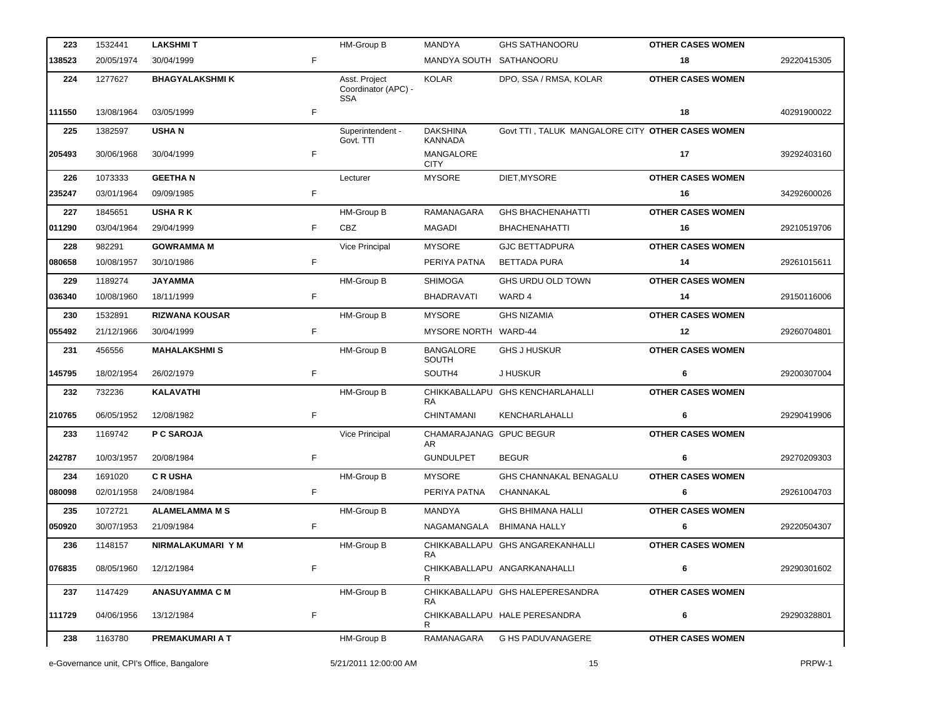| 223    | 1532441                                    | <b>LAKSHMIT</b>       |    | HM-Group B                                         | <b>MANDYA</b>                     | <b>GHS SATHANOORU</b>                            | <b>OTHER CASES WOMEN</b> |             |
|--------|--------------------------------------------|-----------------------|----|----------------------------------------------------|-----------------------------------|--------------------------------------------------|--------------------------|-------------|
| 138523 | 20/05/1974                                 | 30/04/1999            | F. |                                                    | MANDYA SOUTH SATHANOORU           |                                                  | 18                       | 29220415305 |
| 224    | 1277627                                    | <b>BHAGYALAKSHMIK</b> |    | Asst. Project<br>Coordinator (APC) -<br><b>SSA</b> | <b>KOLAR</b>                      | DPO, SSA / RMSA, KOLAR                           | <b>OTHER CASES WOMEN</b> |             |
| 111550 | 13/08/1964                                 | 03/05/1999            | F  |                                                    |                                   |                                                  | 18                       | 40291900022 |
| 225    | 1382597                                    | <b>USHAN</b>          |    | Superintendent -<br>Govt. TTI                      | <b>DAKSHINA</b><br><b>KANNADA</b> | Govt TTI, TALUK MANGALORE CITY OTHER CASES WOMEN |                          |             |
| 205493 | 30/06/1968                                 | 30/04/1999            | F  |                                                    | MANGALORE<br><b>CITY</b>          |                                                  | 17                       | 39292403160 |
| 226    | 1073333                                    | <b>GEETHAN</b>        |    | Lecturer                                           | <b>MYSORE</b>                     | DIET, MYSORE                                     | <b>OTHER CASES WOMEN</b> |             |
| 235247 | 03/01/1964                                 | 09/09/1985            | F  |                                                    |                                   |                                                  | 16                       | 34292600026 |
| 227    | 1845651                                    | <b>USHARK</b>         |    | HM-Group B                                         | RAMANAGARA                        | <b>GHS BHACHENAHATTI</b>                         | <b>OTHER CASES WOMEN</b> |             |
| 011290 | 03/04/1964                                 | 29/04/1999            | F. | <b>CBZ</b>                                         | MAGADI                            | <b>BHACHENAHATTI</b>                             | 16                       | 29210519706 |
| 228    | 982291                                     | <b>GOWRAMMA M</b>     |    | Vice Principal                                     | <b>MYSORE</b>                     | <b>GJC BETTADPURA</b>                            | <b>OTHER CASES WOMEN</b> |             |
| 080658 | 10/08/1957                                 | 30/10/1986            | F  |                                                    | PERIYA PATNA                      | <b>BETTADA PURA</b>                              | 14                       | 29261015611 |
| 229    | 1189274                                    | <b>JAYAMMA</b>        |    | HM-Group B                                         | <b>SHIMOGA</b>                    | GHS URDU OLD TOWN                                | <b>OTHER CASES WOMEN</b> |             |
| 036340 | 10/08/1960                                 | 18/11/1999            | F  |                                                    | <b>BHADRAVATI</b>                 | WARD 4                                           | 14                       | 29150116006 |
| 230    | 1532891                                    | <b>RIZWANA KOUSAR</b> |    | HM-Group B                                         | <b>MYSORE</b>                     | <b>GHS NIZAMIA</b>                               | <b>OTHER CASES WOMEN</b> |             |
| 055492 | 21/12/1966                                 | 30/04/1999            | F  |                                                    | MYSORE NORTH WARD-44              |                                                  | 12                       | 29260704801 |
| 231    | 456556                                     | <b>MAHALAKSHMIS</b>   |    | HM-Group B                                         | <b>BANGALORE</b><br>SOUTH         | <b>GHS J HUSKUR</b>                              | <b>OTHER CASES WOMEN</b> |             |
| 145795 | 18/02/1954                                 | 26/02/1979            | F  |                                                    | SOUTH4                            | J HUSKUR                                         | 6                        | 29200307004 |
| 232    | 732236                                     | <b>KALAVATHI</b>      |    | HM-Group B                                         | RA.                               | CHIKKABALLAPU GHS KENCHARLAHALLI                 | <b>OTHER CASES WOMEN</b> |             |
| 210765 | 06/05/1952                                 | 12/08/1982            | F  |                                                    | CHINTAMANI                        | KENCHARLAHALLI                                   | 6                        | 29290419906 |
| 233    | 1169742                                    | P C SAROJA            |    | Vice Principal                                     | CHAMARAJANAG GPUC BEGUR<br>AR     |                                                  | <b>OTHER CASES WOMEN</b> |             |
| 242787 | 10/03/1957                                 | 20/08/1984            | F  |                                                    | <b>GUNDULPET</b>                  | <b>BEGUR</b>                                     | 6                        | 29270209303 |
| 234    | 1691020                                    | <b>CRUSHA</b>         |    | HM-Group B                                         | <b>MYSORE</b>                     | GHS CHANNAKAL BENAGALU                           | <b>OTHER CASES WOMEN</b> |             |
| 080098 | 02/01/1958                                 | 24/08/1984            | F  |                                                    | PERIYA PATNA                      | CHANNAKAL                                        | 6                        | 29261004703 |
| 235    | 1072721                                    | <b>ALAMELAMMA M S</b> |    | HM-Group B                                         | MANDYA                            | GHS BHIMANA HALLI                                | <b>OTHER CASES WOMEN</b> |             |
| 050920 | 30/07/1953                                 | 21/09/1984            | F. |                                                    | NAGAMANGALA BHIMANA HALLY         |                                                  | 6                        | 29220504307 |
| 236    | 1148157                                    | NIRMALAKUMARI Y M     |    | HM-Group B                                         | RA.                               | CHIKKABALLAPU GHS ANGAREKANHALLI                 | <b>OTHER CASES WOMEN</b> |             |
| 076835 | 08/05/1960                                 | 12/12/1984            | F  |                                                    |                                   | CHIKKABALLAPU ANGARKANAHALLI                     | 6                        | 29290301602 |
| 237    | 1147429                                    | <b>ANASUYAMMA C M</b> |    | HM-Group B                                         | RA.                               | CHIKKABALLAPU GHS HALEPERESANDRA                 | <b>OTHER CASES WOMEN</b> |             |
| 111729 | 04/06/1956                                 | 13/12/1984            | F  |                                                    |                                   | CHIKKABALLAPU HALE PERESANDRA                    | 6                        | 29290328801 |
| 238    | 1163780                                    | PREMAKUMARI A T       |    | HM-Group B                                         | RAMANAGARA                        | <b>G HS PADUVANAGERE</b>                         | <b>OTHER CASES WOMEN</b> |             |
|        | e-Governance unit, CPI's Office, Bangalore |                       |    | 5/21/2011 12:00:00 AM                              |                                   | 15                                               |                          | PRPW-1      |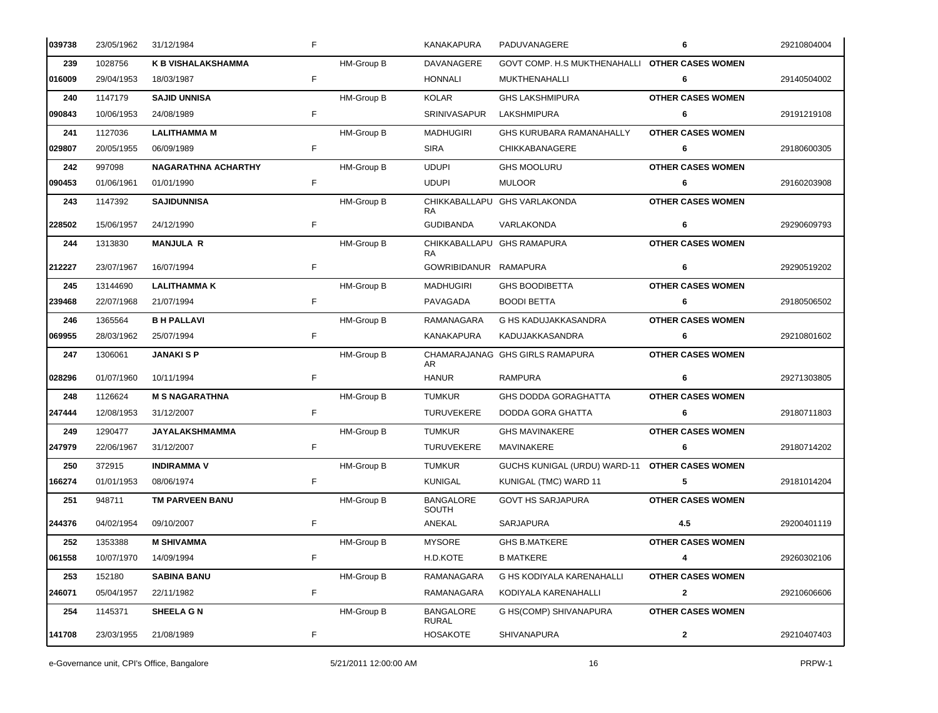| 039738 | 23/05/1962 | 31/12/1984                 | F  |            | KANAKAPURA                       | PADUVANAGERE                                   | 6                        | 29210804004 |
|--------|------------|----------------------------|----|------------|----------------------------------|------------------------------------------------|--------------------------|-------------|
| 239    | 1028756    | K B VISHALAKSHAMMA         |    | HM-Group B | DAVANAGERE                       | GOVT COMP. H.S MUKTHENAHALLI OTHER CASES WOMEN |                          |             |
| 016009 | 29/04/1953 | 18/03/1987                 | F. |            | HONNALI                          | MUKTHENAHALLI                                  | 6                        | 29140504002 |
| 240    | 1147179    | <b>SAJID UNNISA</b>        |    | HM-Group B | KOLAR                            | <b>GHS LAKSHMIPURA</b>                         | <b>OTHER CASES WOMEN</b> |             |
| 090843 | 10/06/1953 | 24/08/1989                 | F. |            | <b>SRINIVASAPUR</b>              | LAKSHMIPURA                                    | 6                        | 29191219108 |
| 241    | 1127036    | <b>LALITHAMMA M</b>        |    | HM-Group B | <b>MADHUGIRI</b>                 | GHS KURUBARA RAMANAHALLY                       | <b>OTHER CASES WOMEN</b> |             |
| 029807 | 20/05/1955 | 06/09/1989                 | F. |            | SIRA                             | CHIKKABANAGERE                                 | 6                        | 29180600305 |
| 242    | 997098     | <b>NAGARATHNA ACHARTHY</b> |    | HM-Group B | <b>UDUPI</b>                     | <b>GHS MOOLURU</b>                             | <b>OTHER CASES WOMEN</b> |             |
| 090453 | 01/06/1961 | 01/01/1990                 | F. |            | <b>UDUPI</b>                     | <b>MULOOR</b>                                  | 6                        | 29160203908 |
| 243    | 1147392    | <b>SAJIDUNNISA</b>         |    | HM-Group B | RA.                              | CHIKKABALLAPU GHS VARLAKONDA                   | <b>OTHER CASES WOMEN</b> |             |
| 228502 | 15/06/1957 | 24/12/1990                 | F. |            | <b>GUDIBANDA</b>                 | VARLAKONDA                                     | 6                        | 29290609793 |
| 244    | 1313830    | <b>MANJULA R</b>           |    | HM-Group B | RA                               | CHIKKABALLAPU GHS RAMAPURA                     | <b>OTHER CASES WOMEN</b> |             |
| 212227 | 23/07/1967 | 16/07/1994                 | F  |            | GOWRIBIDANUR RAMAPURA            |                                                | 6                        | 29290519202 |
| 245    | 13144690   | <b>LALITHAMMAK</b>         |    | HM-Group B | <b>MADHUGIRI</b>                 | <b>GHS BOODIBETTA</b>                          | <b>OTHER CASES WOMEN</b> |             |
| 239468 | 22/07/1968 | 21/07/1994                 | F. |            | PAVAGADA                         | <b>BOODI BETTA</b>                             | 6                        | 29180506502 |
| 246    | 1365564    | <b>B H PALLAVI</b>         |    | HM-Group B | RAMANAGARA                       | G HS KADUJAKKASANDRA                           | <b>OTHER CASES WOMEN</b> |             |
| 069955 | 28/03/1962 | 25/07/1994                 | F  |            | KANAKAPURA                       | KADUJAKKASANDRA                                | 6                        | 29210801602 |
| 247    | 1306061    | <b>JANAKI S P</b>          |    | HM-Group B | AR.                              | CHAMARAJANAG GHS GIRLS RAMAPURA                | <b>OTHER CASES WOMEN</b> |             |
| 028296 | 01/07/1960 | 10/11/1994                 | F  |            | HANUR                            | <b>RAMPURA</b>                                 | 6                        | 29271303805 |
| 248    | 1126624    | <b>M S NAGARATHNA</b>      |    | HM-Group B | <b>TUMKUR</b>                    | <b>GHS DODDA GORAGHATTA</b>                    | <b>OTHER CASES WOMEN</b> |             |
| 247444 | 12/08/1953 | 31/12/2007                 | F  |            | <b>TURUVEKERE</b>                | DODDA GORA GHATTA                              | 6                        | 29180711803 |
| 249    | 1290477    | JAYALAKSHMAMMA             |    | HM-Group B | <b>TUMKUR</b>                    | <b>GHS MAVINAKERE</b>                          | <b>OTHER CASES WOMEN</b> |             |
| 247979 | 22/06/1967 | 31/12/2007                 | F. |            | <b>TURUVEKERE</b>                | MAVINAKERE                                     | 6                        | 29180714202 |
| 250    | 372915     | <b>INDIRAMMA V</b>         |    | HM-Group B | <b>TUMKUR</b>                    | GUCHS KUNIGAL (URDU) WARD-11 OTHER CASES WOMEN |                          |             |
| 166274 | 01/01/1953 | 08/06/1974                 | F  |            | <b>KUNIGAL</b>                   | KUNIGAL (TMC) WARD 11                          | 5                        | 29181014204 |
| 251    | 948711     | TM PARVEEN BANU            |    | HM-Group B | <b>BANGALORE</b><br>SOUTH        | GOVT HS SARJAPURA                              | <b>OTHER CASES WOMEN</b> |             |
| 244376 | 04/02/1954 | 09/10/2007                 | F  |            | ANEKAL                           | <b>SARJAPURA</b>                               | 4.5                      | 29200401119 |
| 252    | 1353388    | <b>M SHIVAMMA</b>          |    | HM-Group B | <b>MYSORE</b>                    | <b>GHS B.MATKERE</b>                           | <b>OTHER CASES WOMEN</b> |             |
| 061558 | 10/07/1970 | 14/09/1994                 | F  |            | H.D.KOTE                         | <b>B MATKERE</b>                               | 4                        | 29260302106 |
| 253    | 152180     | <b>SABINA BANU</b>         |    | HM-Group B | RAMANAGARA                       | G HS KODIYALA KARENAHALLI                      | <b>OTHER CASES WOMEN</b> |             |
| 246071 | 05/04/1957 | 22/11/1982                 | F  |            | RAMANAGARA                       | KODIYALA KARENAHALLI                           | $\mathbf{2}$             | 29210606606 |
| 254    | 1145371    | <b>SHEELA G N</b>          |    | HM-Group B | <b>BANGALORE</b><br><b>RURAL</b> | G HS(COMP) SHIVANAPURA                         | <b>OTHER CASES WOMEN</b> |             |
| 141708 | 23/03/1955 | 21/08/1989                 | F  |            | <b>HOSAKOTE</b>                  | SHIVANAPURA                                    | $\mathbf{2}$             | 29210407403 |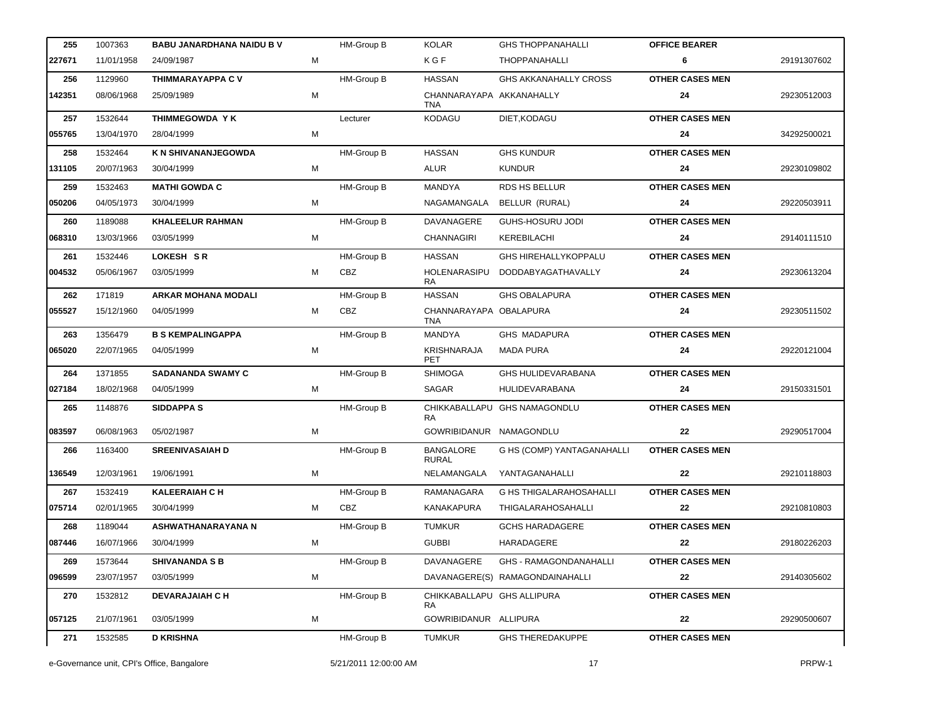| 227671<br>KGF<br>6<br>11/01/1958<br>М<br>THOPPANAHALLI<br>24/09/1987<br>256<br>1129960<br>THIMMARAYAPPA C V<br>HM-Group B<br><b>HASSAN</b><br><b>GHS AKKANAHALLY CROSS</b><br><b>OTHER CASES MEN</b><br>142351<br>25/09/1989<br>М<br>CHANNARAYAPA AKKANAHALLY<br>24<br>08/06/1968<br>TNA<br><b>OTHER CASES MEN</b><br>257<br>1532644<br>THIMMEGOWDA Y K<br><b>KODAGU</b><br>DIET, KODAGU<br>Lecturer<br>М<br>055765<br>13/04/1970<br>28/04/1999<br>24<br><b>HASSAN</b><br><b>OTHER CASES MEN</b><br>K N SHIVANANJEGOWDA<br>HM-Group B<br><b>GHS KUNDUR</b><br>258<br>1532464<br>131105<br>ALUR<br><b>KUNDUR</b><br>24<br>20/07/1963<br>30/04/1999<br>м<br><b>OTHER CASES MEN</b><br><b>MATHI GOWDA C</b><br>HM-Group B<br><b>MANDYA</b><br>RDS HS BELLUR<br>259<br>1532463<br>М<br>04/05/1973<br>30/04/1999<br>NAGAMANGALA<br>BELLUR (RURAL)<br>24<br>050206<br><b>OTHER CASES MEN</b><br><b>KHALEELUR RAHMAN</b><br>HM-Group B<br>DAVANAGERE<br>GUHS-HOSURU JODI<br>260<br>1189088<br>068310<br>13/03/1966<br>03/05/1999<br>М<br><b>CHANNAGIRI</b><br>KEREBILACHI<br>24<br>LOKESH SR<br><b>HASSAN</b><br><b>OTHER CASES MEN</b><br>261<br>1532446<br>HM-Group B<br><b>GHS HIREHALLYKOPPALU</b><br>004532<br>05/06/1967<br>03/05/1999<br>М<br>CBZ<br>HOLENARASIPU<br>DODDABYAGATHAVALLY<br>24<br><b>RA</b><br><b>HASSAN</b><br><b>OTHER CASES MEN</b><br>171819<br><b>ARKAR MOHANA MODALI</b><br>HM-Group B<br><b>GHS OBALAPURA</b><br>262<br>055527<br>15/12/1960<br>М<br>CBZ<br>CHANNARAYAPA OBALAPURA<br>24<br>04/05/1999<br><b>TNA</b><br><b>OTHER CASES MEN</b><br><b>B S KEMPALINGAPPA</b><br>HM-Group B<br><b>GHS MADAPURA</b><br>263<br>1356479<br>MANDYA<br>065020<br>22/07/1965<br>04/05/1999<br>М<br>KRISHNARAJA<br><b>MADA PURA</b><br>24<br>PET<br><b>OTHER CASES MEN</b><br>1371855<br><b>SADANANDA SWAMY C</b><br>HM-Group B<br><b>SHIMOGA</b><br><b>GHS HULIDEVARABANA</b><br>264<br>027184<br>18/02/1968<br>04/05/1999<br>М<br><b>SAGAR</b><br><b>HULIDEVARABANA</b><br>24<br>265<br>1148876<br><b>SIDDAPPA S</b><br>HM-Group B<br>CHIKKABALLAPU GHS NAMAGONDLU<br><b>OTHER CASES MEN</b><br>RA<br>083597<br>06/08/1963<br>05/02/1987<br>м<br>GOWRIBIDANUR NAMAGONDLU<br>22<br><b>BANGALORE</b><br><b>OTHER CASES MEN</b><br>266<br>1163400<br><b>SREENIVASAIAH D</b><br>HM-Group B<br>G HS (COMP) YANTAGANAHALLI<br><b>RURAL</b><br>136549<br>12/03/1961<br>19/06/1991<br>м<br>NELAMANGALA<br>YANTAGANAHALLI<br>22<br><b>OTHER CASES MEN</b><br>267<br>1532419<br><b>KALEERAIAH C H</b><br>HM-Group B<br><b>G HS THIGALARAHOSAHALLI</b><br>RAMANAGARA<br>CBZ<br>KANAKAPURA<br>THIGALARAHOSAHALLI<br> 075714<br>02/01/1965<br>30/04/1999<br>м<br>22<br>1189044<br>HM-Group B<br><b>GCHS HARADAGERE</b><br><b>OTHER CASES MEN</b><br>268<br>ASHWATHANARAYANA N<br><b>TUMKUR</b><br>087446<br>16/07/1966<br><b>GUBBI</b><br>HARADAGERE<br>22<br>30/04/1999<br>м<br>HM-Group B<br>DAVANAGERE<br><b>OTHER CASES MEN</b><br>269<br>1573644<br><b>SHIVANANDA S B</b><br><b>GHS - RAMAGONDANAHALLI</b><br>096599<br>м<br>DAVANAGERE(S) RAMAGONDAINAHALLI<br>22<br>23/07/1957<br>03/05/1999<br><b>OTHER CASES MEN</b><br>270<br>1532812<br><b>DEVARAJAIAH C H</b><br>HM-Group B<br>CHIKKABALLAPU GHS ALLIPURA<br>RA<br>057125<br>21/07/1961<br>03/05/1999<br>GOWRIBIDANUR ALLIPURA<br>22<br>М |             |
|--------------------------------------------------------------------------------------------------------------------------------------------------------------------------------------------------------------------------------------------------------------------------------------------------------------------------------------------------------------------------------------------------------------------------------------------------------------------------------------------------------------------------------------------------------------------------------------------------------------------------------------------------------------------------------------------------------------------------------------------------------------------------------------------------------------------------------------------------------------------------------------------------------------------------------------------------------------------------------------------------------------------------------------------------------------------------------------------------------------------------------------------------------------------------------------------------------------------------------------------------------------------------------------------------------------------------------------------------------------------------------------------------------------------------------------------------------------------------------------------------------------------------------------------------------------------------------------------------------------------------------------------------------------------------------------------------------------------------------------------------------------------------------------------------------------------------------------------------------------------------------------------------------------------------------------------------------------------------------------------------------------------------------------------------------------------------------------------------------------------------------------------------------------------------------------------------------------------------------------------------------------------------------------------------------------------------------------------------------------------------------------------------------------------------------------------------------------------------------------------------------------------------------------------------------------------------------------------------------------------------------------------------------------------------------------------------------------------------------------------------------------------------------------------------------------------------------------------------------------------------------------------------------------------------------------------------------------------------------------------------------------------------------------------------------------------------------------------------------------------------------------------------------------------------------------------------------------------------------------------------------------------------------------------------------|-------------|
|                                                                                                                                                                                                                                                                                                                                                                                                                                                                                                                                                                                                                                                                                                                                                                                                                                                                                                                                                                                                                                                                                                                                                                                                                                                                                                                                                                                                                                                                                                                                                                                                                                                                                                                                                                                                                                                                                                                                                                                                                                                                                                                                                                                                                                                                                                                                                                                                                                                                                                                                                                                                                                                                                                                                                                                                                                                                                                                                                                                                                                                                                                                                                                                                                                                                                                        | 29191307602 |
|                                                                                                                                                                                                                                                                                                                                                                                                                                                                                                                                                                                                                                                                                                                                                                                                                                                                                                                                                                                                                                                                                                                                                                                                                                                                                                                                                                                                                                                                                                                                                                                                                                                                                                                                                                                                                                                                                                                                                                                                                                                                                                                                                                                                                                                                                                                                                                                                                                                                                                                                                                                                                                                                                                                                                                                                                                                                                                                                                                                                                                                                                                                                                                                                                                                                                                        |             |
|                                                                                                                                                                                                                                                                                                                                                                                                                                                                                                                                                                                                                                                                                                                                                                                                                                                                                                                                                                                                                                                                                                                                                                                                                                                                                                                                                                                                                                                                                                                                                                                                                                                                                                                                                                                                                                                                                                                                                                                                                                                                                                                                                                                                                                                                                                                                                                                                                                                                                                                                                                                                                                                                                                                                                                                                                                                                                                                                                                                                                                                                                                                                                                                                                                                                                                        | 29230512003 |
|                                                                                                                                                                                                                                                                                                                                                                                                                                                                                                                                                                                                                                                                                                                                                                                                                                                                                                                                                                                                                                                                                                                                                                                                                                                                                                                                                                                                                                                                                                                                                                                                                                                                                                                                                                                                                                                                                                                                                                                                                                                                                                                                                                                                                                                                                                                                                                                                                                                                                                                                                                                                                                                                                                                                                                                                                                                                                                                                                                                                                                                                                                                                                                                                                                                                                                        |             |
|                                                                                                                                                                                                                                                                                                                                                                                                                                                                                                                                                                                                                                                                                                                                                                                                                                                                                                                                                                                                                                                                                                                                                                                                                                                                                                                                                                                                                                                                                                                                                                                                                                                                                                                                                                                                                                                                                                                                                                                                                                                                                                                                                                                                                                                                                                                                                                                                                                                                                                                                                                                                                                                                                                                                                                                                                                                                                                                                                                                                                                                                                                                                                                                                                                                                                                        | 34292500021 |
|                                                                                                                                                                                                                                                                                                                                                                                                                                                                                                                                                                                                                                                                                                                                                                                                                                                                                                                                                                                                                                                                                                                                                                                                                                                                                                                                                                                                                                                                                                                                                                                                                                                                                                                                                                                                                                                                                                                                                                                                                                                                                                                                                                                                                                                                                                                                                                                                                                                                                                                                                                                                                                                                                                                                                                                                                                                                                                                                                                                                                                                                                                                                                                                                                                                                                                        |             |
|                                                                                                                                                                                                                                                                                                                                                                                                                                                                                                                                                                                                                                                                                                                                                                                                                                                                                                                                                                                                                                                                                                                                                                                                                                                                                                                                                                                                                                                                                                                                                                                                                                                                                                                                                                                                                                                                                                                                                                                                                                                                                                                                                                                                                                                                                                                                                                                                                                                                                                                                                                                                                                                                                                                                                                                                                                                                                                                                                                                                                                                                                                                                                                                                                                                                                                        | 29230109802 |
|                                                                                                                                                                                                                                                                                                                                                                                                                                                                                                                                                                                                                                                                                                                                                                                                                                                                                                                                                                                                                                                                                                                                                                                                                                                                                                                                                                                                                                                                                                                                                                                                                                                                                                                                                                                                                                                                                                                                                                                                                                                                                                                                                                                                                                                                                                                                                                                                                                                                                                                                                                                                                                                                                                                                                                                                                                                                                                                                                                                                                                                                                                                                                                                                                                                                                                        |             |
|                                                                                                                                                                                                                                                                                                                                                                                                                                                                                                                                                                                                                                                                                                                                                                                                                                                                                                                                                                                                                                                                                                                                                                                                                                                                                                                                                                                                                                                                                                                                                                                                                                                                                                                                                                                                                                                                                                                                                                                                                                                                                                                                                                                                                                                                                                                                                                                                                                                                                                                                                                                                                                                                                                                                                                                                                                                                                                                                                                                                                                                                                                                                                                                                                                                                                                        | 29220503911 |
|                                                                                                                                                                                                                                                                                                                                                                                                                                                                                                                                                                                                                                                                                                                                                                                                                                                                                                                                                                                                                                                                                                                                                                                                                                                                                                                                                                                                                                                                                                                                                                                                                                                                                                                                                                                                                                                                                                                                                                                                                                                                                                                                                                                                                                                                                                                                                                                                                                                                                                                                                                                                                                                                                                                                                                                                                                                                                                                                                                                                                                                                                                                                                                                                                                                                                                        |             |
|                                                                                                                                                                                                                                                                                                                                                                                                                                                                                                                                                                                                                                                                                                                                                                                                                                                                                                                                                                                                                                                                                                                                                                                                                                                                                                                                                                                                                                                                                                                                                                                                                                                                                                                                                                                                                                                                                                                                                                                                                                                                                                                                                                                                                                                                                                                                                                                                                                                                                                                                                                                                                                                                                                                                                                                                                                                                                                                                                                                                                                                                                                                                                                                                                                                                                                        | 29140111510 |
|                                                                                                                                                                                                                                                                                                                                                                                                                                                                                                                                                                                                                                                                                                                                                                                                                                                                                                                                                                                                                                                                                                                                                                                                                                                                                                                                                                                                                                                                                                                                                                                                                                                                                                                                                                                                                                                                                                                                                                                                                                                                                                                                                                                                                                                                                                                                                                                                                                                                                                                                                                                                                                                                                                                                                                                                                                                                                                                                                                                                                                                                                                                                                                                                                                                                                                        |             |
|                                                                                                                                                                                                                                                                                                                                                                                                                                                                                                                                                                                                                                                                                                                                                                                                                                                                                                                                                                                                                                                                                                                                                                                                                                                                                                                                                                                                                                                                                                                                                                                                                                                                                                                                                                                                                                                                                                                                                                                                                                                                                                                                                                                                                                                                                                                                                                                                                                                                                                                                                                                                                                                                                                                                                                                                                                                                                                                                                                                                                                                                                                                                                                                                                                                                                                        | 29230613204 |
|                                                                                                                                                                                                                                                                                                                                                                                                                                                                                                                                                                                                                                                                                                                                                                                                                                                                                                                                                                                                                                                                                                                                                                                                                                                                                                                                                                                                                                                                                                                                                                                                                                                                                                                                                                                                                                                                                                                                                                                                                                                                                                                                                                                                                                                                                                                                                                                                                                                                                                                                                                                                                                                                                                                                                                                                                                                                                                                                                                                                                                                                                                                                                                                                                                                                                                        |             |
|                                                                                                                                                                                                                                                                                                                                                                                                                                                                                                                                                                                                                                                                                                                                                                                                                                                                                                                                                                                                                                                                                                                                                                                                                                                                                                                                                                                                                                                                                                                                                                                                                                                                                                                                                                                                                                                                                                                                                                                                                                                                                                                                                                                                                                                                                                                                                                                                                                                                                                                                                                                                                                                                                                                                                                                                                                                                                                                                                                                                                                                                                                                                                                                                                                                                                                        | 29230511502 |
|                                                                                                                                                                                                                                                                                                                                                                                                                                                                                                                                                                                                                                                                                                                                                                                                                                                                                                                                                                                                                                                                                                                                                                                                                                                                                                                                                                                                                                                                                                                                                                                                                                                                                                                                                                                                                                                                                                                                                                                                                                                                                                                                                                                                                                                                                                                                                                                                                                                                                                                                                                                                                                                                                                                                                                                                                                                                                                                                                                                                                                                                                                                                                                                                                                                                                                        |             |
|                                                                                                                                                                                                                                                                                                                                                                                                                                                                                                                                                                                                                                                                                                                                                                                                                                                                                                                                                                                                                                                                                                                                                                                                                                                                                                                                                                                                                                                                                                                                                                                                                                                                                                                                                                                                                                                                                                                                                                                                                                                                                                                                                                                                                                                                                                                                                                                                                                                                                                                                                                                                                                                                                                                                                                                                                                                                                                                                                                                                                                                                                                                                                                                                                                                                                                        | 29220121004 |
|                                                                                                                                                                                                                                                                                                                                                                                                                                                                                                                                                                                                                                                                                                                                                                                                                                                                                                                                                                                                                                                                                                                                                                                                                                                                                                                                                                                                                                                                                                                                                                                                                                                                                                                                                                                                                                                                                                                                                                                                                                                                                                                                                                                                                                                                                                                                                                                                                                                                                                                                                                                                                                                                                                                                                                                                                                                                                                                                                                                                                                                                                                                                                                                                                                                                                                        |             |
|                                                                                                                                                                                                                                                                                                                                                                                                                                                                                                                                                                                                                                                                                                                                                                                                                                                                                                                                                                                                                                                                                                                                                                                                                                                                                                                                                                                                                                                                                                                                                                                                                                                                                                                                                                                                                                                                                                                                                                                                                                                                                                                                                                                                                                                                                                                                                                                                                                                                                                                                                                                                                                                                                                                                                                                                                                                                                                                                                                                                                                                                                                                                                                                                                                                                                                        | 29150331501 |
|                                                                                                                                                                                                                                                                                                                                                                                                                                                                                                                                                                                                                                                                                                                                                                                                                                                                                                                                                                                                                                                                                                                                                                                                                                                                                                                                                                                                                                                                                                                                                                                                                                                                                                                                                                                                                                                                                                                                                                                                                                                                                                                                                                                                                                                                                                                                                                                                                                                                                                                                                                                                                                                                                                                                                                                                                                                                                                                                                                                                                                                                                                                                                                                                                                                                                                        |             |
|                                                                                                                                                                                                                                                                                                                                                                                                                                                                                                                                                                                                                                                                                                                                                                                                                                                                                                                                                                                                                                                                                                                                                                                                                                                                                                                                                                                                                                                                                                                                                                                                                                                                                                                                                                                                                                                                                                                                                                                                                                                                                                                                                                                                                                                                                                                                                                                                                                                                                                                                                                                                                                                                                                                                                                                                                                                                                                                                                                                                                                                                                                                                                                                                                                                                                                        | 29290517004 |
|                                                                                                                                                                                                                                                                                                                                                                                                                                                                                                                                                                                                                                                                                                                                                                                                                                                                                                                                                                                                                                                                                                                                                                                                                                                                                                                                                                                                                                                                                                                                                                                                                                                                                                                                                                                                                                                                                                                                                                                                                                                                                                                                                                                                                                                                                                                                                                                                                                                                                                                                                                                                                                                                                                                                                                                                                                                                                                                                                                                                                                                                                                                                                                                                                                                                                                        |             |
|                                                                                                                                                                                                                                                                                                                                                                                                                                                                                                                                                                                                                                                                                                                                                                                                                                                                                                                                                                                                                                                                                                                                                                                                                                                                                                                                                                                                                                                                                                                                                                                                                                                                                                                                                                                                                                                                                                                                                                                                                                                                                                                                                                                                                                                                                                                                                                                                                                                                                                                                                                                                                                                                                                                                                                                                                                                                                                                                                                                                                                                                                                                                                                                                                                                                                                        | 29210118803 |
|                                                                                                                                                                                                                                                                                                                                                                                                                                                                                                                                                                                                                                                                                                                                                                                                                                                                                                                                                                                                                                                                                                                                                                                                                                                                                                                                                                                                                                                                                                                                                                                                                                                                                                                                                                                                                                                                                                                                                                                                                                                                                                                                                                                                                                                                                                                                                                                                                                                                                                                                                                                                                                                                                                                                                                                                                                                                                                                                                                                                                                                                                                                                                                                                                                                                                                        |             |
|                                                                                                                                                                                                                                                                                                                                                                                                                                                                                                                                                                                                                                                                                                                                                                                                                                                                                                                                                                                                                                                                                                                                                                                                                                                                                                                                                                                                                                                                                                                                                                                                                                                                                                                                                                                                                                                                                                                                                                                                                                                                                                                                                                                                                                                                                                                                                                                                                                                                                                                                                                                                                                                                                                                                                                                                                                                                                                                                                                                                                                                                                                                                                                                                                                                                                                        | 29210810803 |
|                                                                                                                                                                                                                                                                                                                                                                                                                                                                                                                                                                                                                                                                                                                                                                                                                                                                                                                                                                                                                                                                                                                                                                                                                                                                                                                                                                                                                                                                                                                                                                                                                                                                                                                                                                                                                                                                                                                                                                                                                                                                                                                                                                                                                                                                                                                                                                                                                                                                                                                                                                                                                                                                                                                                                                                                                                                                                                                                                                                                                                                                                                                                                                                                                                                                                                        |             |
|                                                                                                                                                                                                                                                                                                                                                                                                                                                                                                                                                                                                                                                                                                                                                                                                                                                                                                                                                                                                                                                                                                                                                                                                                                                                                                                                                                                                                                                                                                                                                                                                                                                                                                                                                                                                                                                                                                                                                                                                                                                                                                                                                                                                                                                                                                                                                                                                                                                                                                                                                                                                                                                                                                                                                                                                                                                                                                                                                                                                                                                                                                                                                                                                                                                                                                        | 29180226203 |
|                                                                                                                                                                                                                                                                                                                                                                                                                                                                                                                                                                                                                                                                                                                                                                                                                                                                                                                                                                                                                                                                                                                                                                                                                                                                                                                                                                                                                                                                                                                                                                                                                                                                                                                                                                                                                                                                                                                                                                                                                                                                                                                                                                                                                                                                                                                                                                                                                                                                                                                                                                                                                                                                                                                                                                                                                                                                                                                                                                                                                                                                                                                                                                                                                                                                                                        |             |
|                                                                                                                                                                                                                                                                                                                                                                                                                                                                                                                                                                                                                                                                                                                                                                                                                                                                                                                                                                                                                                                                                                                                                                                                                                                                                                                                                                                                                                                                                                                                                                                                                                                                                                                                                                                                                                                                                                                                                                                                                                                                                                                                                                                                                                                                                                                                                                                                                                                                                                                                                                                                                                                                                                                                                                                                                                                                                                                                                                                                                                                                                                                                                                                                                                                                                                        | 29140305602 |
|                                                                                                                                                                                                                                                                                                                                                                                                                                                                                                                                                                                                                                                                                                                                                                                                                                                                                                                                                                                                                                                                                                                                                                                                                                                                                                                                                                                                                                                                                                                                                                                                                                                                                                                                                                                                                                                                                                                                                                                                                                                                                                                                                                                                                                                                                                                                                                                                                                                                                                                                                                                                                                                                                                                                                                                                                                                                                                                                                                                                                                                                                                                                                                                                                                                                                                        |             |
|                                                                                                                                                                                                                                                                                                                                                                                                                                                                                                                                                                                                                                                                                                                                                                                                                                                                                                                                                                                                                                                                                                                                                                                                                                                                                                                                                                                                                                                                                                                                                                                                                                                                                                                                                                                                                                                                                                                                                                                                                                                                                                                                                                                                                                                                                                                                                                                                                                                                                                                                                                                                                                                                                                                                                                                                                                                                                                                                                                                                                                                                                                                                                                                                                                                                                                        | 29290500607 |
| 271<br>1532585<br><b>D KRISHNA</b><br>HM-Group B<br><b>TUMKUR</b><br><b>GHS THEREDAKUPPE</b><br><b>OTHER CASES MEN</b>                                                                                                                                                                                                                                                                                                                                                                                                                                                                                                                                                                                                                                                                                                                                                                                                                                                                                                                                                                                                                                                                                                                                                                                                                                                                                                                                                                                                                                                                                                                                                                                                                                                                                                                                                                                                                                                                                                                                                                                                                                                                                                                                                                                                                                                                                                                                                                                                                                                                                                                                                                                                                                                                                                                                                                                                                                                                                                                                                                                                                                                                                                                                                                                 |             |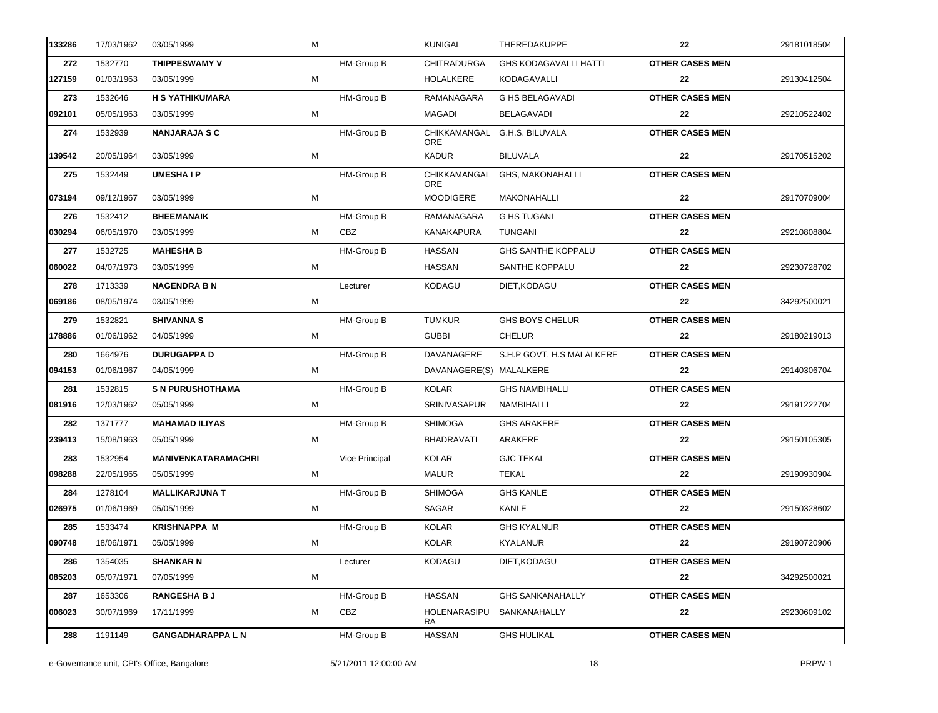| 133286 | 17/03/1962 | 03/05/1999                 | M |                   | <b>KUNIGAL</b>          | THEREDAKUPPE                  | 22                     | 29181018504 |
|--------|------------|----------------------------|---|-------------------|-------------------------|-------------------------------|------------------------|-------------|
| 272    | 1532770    | <b>THIPPESWAMY V</b>       |   | HM-Group B        | <b>CHITRADURGA</b>      | <b>GHS KODAGAVALLI HATTI</b>  | <b>OTHER CASES MEN</b> |             |
| 127159 | 01/03/1963 | 03/05/1999                 | M |                   | <b>HOLALKERE</b>        | KODAGAVALLI                   | 22                     | 29130412504 |
| 273    | 1532646    | <b>H S YATHIKUMARA</b>     |   | HM-Group B        | RAMANAGARA              | <b>G HS BELAGAVADI</b>        | <b>OTHER CASES MEN</b> |             |
| 092101 | 05/05/1963 | 03/05/1999                 | М |                   | MAGADI                  | <b>BELAGAVADI</b>             | 22                     | 29210522402 |
| 274    | 1532939    | <b>NANJARAJA S C</b>       |   | HM-Group B        | <b>ORE</b>              | CHIKKAMANGAL G.H.S. BILUVALA  | <b>OTHER CASES MEN</b> |             |
| 139542 | 20/05/1964 | 03/05/1999                 | М |                   | <b>KADUR</b>            | <b>BILUVALA</b>               | 22                     | 29170515202 |
| 275    | 1532449    | <b>UMESHAIP</b>            |   | HM-Group B        | <b>ORE</b>              | CHIKKAMANGAL GHS, MAKONAHALLI | <b>OTHER CASES MEN</b> |             |
| 073194 | 09/12/1967 | 03/05/1999                 | М |                   | MOODIGERE               | <b>MAKONAHALLI</b>            | 22                     | 29170709004 |
| 276    | 1532412    | <b>BHEEMANAIK</b>          |   | <b>HM-Group B</b> | RAMANAGARA              | <b>G HS TUGANI</b>            | <b>OTHER CASES MEN</b> |             |
| 030294 | 06/05/1970 | 03/05/1999                 | м | CBZ               | KANAKAPURA              | <b>TUNGANI</b>                | 22                     | 29210808804 |
| 277    | 1532725    | <b>MAHESHA B</b>           |   | HM-Group B        | <b>HASSAN</b>           | <b>GHS SANTHE KOPPALU</b>     | <b>OTHER CASES MEN</b> |             |
| 060022 | 04/07/1973 | 03/05/1999                 | M |                   | <b>HASSAN</b>           | SANTHE KOPPALU                | 22                     | 29230728702 |
| 278    | 1713339    | <b>NAGENDRA B N</b>        |   | Lecturer          | <b>KODAGU</b>           | DIET, KODAGU                  | <b>OTHER CASES MEN</b> |             |
| 069186 | 08/05/1974 | 03/05/1999                 | м |                   |                         |                               | 22                     | 34292500021 |
| 279    | 1532821    | <b>SHIVANNA S</b>          |   | HM-Group B        | <b>TUMKUR</b>           | <b>GHS BOYS CHELUR</b>        | <b>OTHER CASES MEN</b> |             |
| 178886 | 01/06/1962 | 04/05/1999                 | М |                   | <b>GUBBI</b>            | <b>CHELUR</b>                 | 22                     | 29180219013 |
| 280    | 1664976    | <b>DURUGAPPA D</b>         |   | HM-Group B        | DAVANAGERE              | S.H.P GOVT. H.S MALALKERE     | <b>OTHER CASES MEN</b> |             |
| 094153 | 01/06/1967 | 04/05/1999                 | м |                   | DAVANAGERE(S) MALALKERE |                               | 22                     | 29140306704 |
| 281    | 1532815    | <b>S N PURUSHOTHAMA</b>    |   | HM-Group B        | <b>KOLAR</b>            | <b>GHS NAMBIHALLI</b>         | <b>OTHER CASES MEN</b> |             |
| 081916 | 12/03/1962 | 05/05/1999                 | M |                   | SRINIVASAPUR            | NAMBIHALLI                    | 22                     | 29191222704 |
| 282    | 1371777    | <b>MAHAMAD ILIYAS</b>      |   | HM-Group B        | <b>SHIMOGA</b>          | <b>GHS ARAKERE</b>            | <b>OTHER CASES MEN</b> |             |
| 239413 | 15/08/1963 | 05/05/1999                 | М |                   | <b>BHADRAVATI</b>       | ARAKERE                       | 22                     | 29150105305 |
| 283    | 1532954    | <b>MANIVENKATARAMACHRI</b> |   | Vice Principal    | <b>KOLAR</b>            | <b>GJC TEKAL</b>              | <b>OTHER CASES MEN</b> |             |
| 098288 | 22/05/1965 | 05/05/1999                 | М |                   | <b>MALUR</b>            | <b>TEKAL</b>                  | 22                     | 29190930904 |
| 284    | 1278104    | <b>MALLIKARJUNA T</b>      |   | HM-Group B        | <b>SHIMOGA</b>          | <b>GHS KANLE</b>              | <b>OTHER CASES MEN</b> |             |
| 026975 | 01/06/1969 | 05/05/1999                 | м |                   | SAGAR                   | KANLE                         | 22                     | 29150328602 |
| 285    | 1533474    | <b>KRISHNAPPA M</b>        |   | HM-Group B        | <b>KOLAR</b>            | <b>GHS KYALNUR</b>            | <b>OTHER CASES MEN</b> |             |
| 090748 | 18/06/1971 | 05/05/1999                 | М |                   | <b>KOLAR</b>            | KYALANUR                      | 22                     | 29190720906 |
| 286    | 1354035    | <b>SHANKAR N</b>           |   | Lecturer          | <b>KODAGU</b>           | DIET.KODAGU                   | <b>OTHER CASES MEN</b> |             |
| 085203 | 05/07/1971 | 07/05/1999                 | М |                   |                         |                               | 22                     | 34292500021 |
| 287    | 1653306    | <b>RANGESHA B J</b>        |   | HM-Group B        | <b>HASSAN</b>           | <b>GHS SANKANAHALLY</b>       | <b>OTHER CASES MEN</b> |             |
| 006023 | 30/07/1969 | 17/11/1999                 | м | CBZ               | HOLENARASIPU<br>RA      | SANKANAHALLY                  | 22                     | 29230609102 |
| 288    | 1191149    | <b>GANGADHARAPPA L N</b>   |   | HM-Group B        | <b>HASSAN</b>           | <b>GHS HULIKAL</b>            | <b>OTHER CASES MEN</b> |             |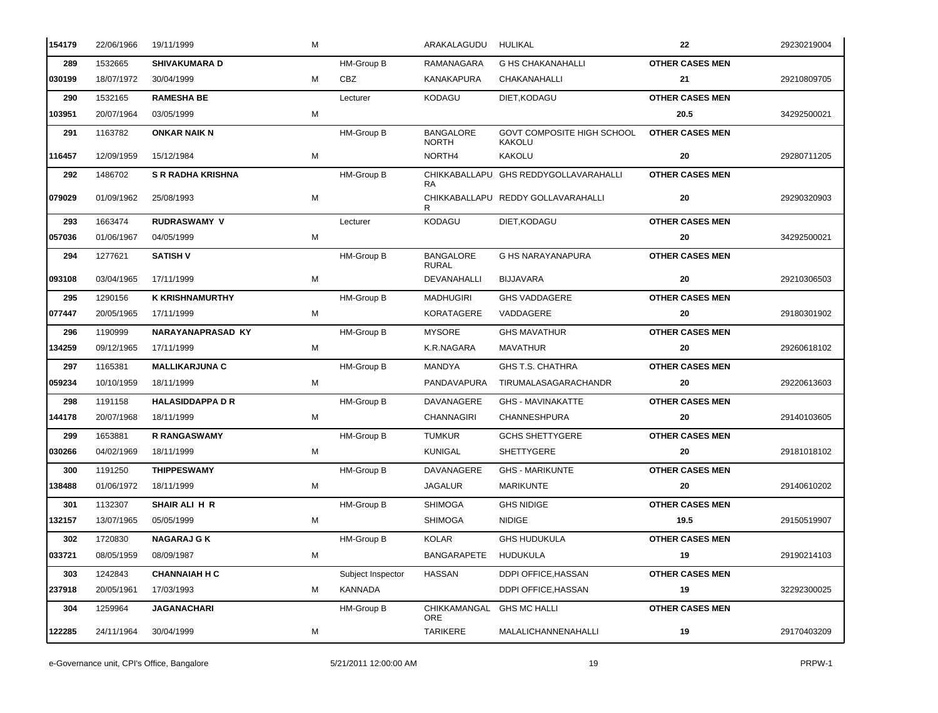| 154179 | 22/06/1966 | 19/11/1999               | М |                   | ARAKALAGUDU HULIKAL              |                                             | 22                     | 29230219004 |
|--------|------------|--------------------------|---|-------------------|----------------------------------|---------------------------------------------|------------------------|-------------|
| 289    | 1532665    | <b>SHIVAKUMARA D</b>     |   | HM-Group B        | RAMANAGARA                       | <b>G HS CHAKANAHALLI</b>                    | <b>OTHER CASES MEN</b> |             |
| 030199 | 18/07/1972 | 30/04/1999               | м | <b>CBZ</b>        | KANAKAPURA                       | CHAKANAHALLI                                | 21                     | 29210809705 |
| 290    | 1532165    | <b>RAMESHA BE</b>        |   | Lecturer          | KODAGU                           | DIET, KODAGU                                | <b>OTHER CASES MEN</b> |             |
| 103951 | 20/07/1964 | 03/05/1999               | М |                   |                                  |                                             | 20.5                   | 34292500021 |
| 291    | 1163782    | <b>ONKAR NAIK N</b>      |   | HM-Group B        | <b>BANGALORE</b><br><b>NORTH</b> | GOVT COMPOSITE HIGH SCHOOL<br><b>KAKOLU</b> | <b>OTHER CASES MEN</b> |             |
| 116457 | 12/09/1959 | 15/12/1984               | м |                   | NORTH4                           | KAKOLU                                      | 20                     | 29280711205 |
| 292    | 1486702    | <b>S R RADHA KRISHNA</b> |   | HM-Group B        | RA.                              | CHIKKABALLAPU GHS REDDYGOLLAVARAHALLI       | <b>OTHER CASES MEN</b> |             |
| 079029 | 01/09/1962 | 25/08/1993               | М |                   |                                  | CHIKKABALLAPU REDDY GOLLAVARAHALLI          | 20                     | 29290320903 |
| 293    | 1663474    | <b>RUDRASWAMY V</b>      |   | Lecturer          | KODAGU                           | DIET, KODAGU                                | <b>OTHER CASES MEN</b> |             |
| 057036 | 01/06/1967 | 04/05/1999               | м |                   |                                  |                                             | 20                     | 34292500021 |
| 294    | 1277621    | <b>SATISH V</b>          |   | HM-Group B        | <b>BANGALORE</b><br><b>RURAL</b> | <b>G HS NARAYANAPURA</b>                    | <b>OTHER CASES MEN</b> |             |
| 093108 | 03/04/1965 | 17/11/1999               | М |                   | DEVANAHALLI                      | <b>BIJJAVARA</b>                            | 20                     | 29210306503 |
| 295    | 1290156    | <b>K KRISHNAMURTHY</b>   |   | HM-Group B        | MADHUGIRI                        | <b>GHS VADDAGERE</b>                        | <b>OTHER CASES MEN</b> |             |
| 077447 | 20/05/1965 | 17/11/1999               | М |                   | KORATAGERE                       | VADDAGERE                                   | 20                     | 29180301902 |
| 296    | 1190999    | <b>NARAYANAPRASAD KY</b> |   | HM-Group B        | <b>MYSORE</b>                    | <b>GHS MAVATHUR</b>                         | <b>OTHER CASES MEN</b> |             |
| 134259 | 09/12/1965 | 17/11/1999               | М |                   | K.R.NAGARA                       | MAVATHUR                                    | 20                     | 29260618102 |
| 297    | 1165381    | <b>MALLIKARJUNA C</b>    |   | HM-Group B        | <b>MANDYA</b>                    | <b>GHS T.S. CHATHRA</b>                     | <b>OTHER CASES MEN</b> |             |
| 059234 | 10/10/1959 | 18/11/1999               | М |                   | PANDAVAPURA                      | TIRUMALASAGARACHANDR                        | 20                     | 29220613603 |
| 298    | 1191158    | <b>HALASIDDAPPA D R</b>  |   | HM-Group B        | DAVANAGERE                       | <b>GHS - MAVINAKATTE</b>                    | <b>OTHER CASES MEN</b> |             |
| 144178 | 20/07/1968 | 18/11/1999               | М |                   | <b>CHANNAGIRI</b>                | CHANNESHPURA                                | 20                     | 29140103605 |
| 299    | 1653881    | <b>R RANGASWAMY</b>      |   | HM-Group B        | <b>TUMKUR</b>                    | <b>GCHS SHETTYGERE</b>                      | <b>OTHER CASES MEN</b> |             |
| 030266 | 04/02/1969 | 18/11/1999               | М |                   | KUNIGAL                          | <b>SHETTYGERE</b>                           | 20                     | 29181018102 |
| 300    | 1191250    | <b>THIPPESWAMY</b>       |   | HM-Group B        | DAVANAGERE                       | <b>GHS - MARIKUNTE</b>                      | <b>OTHER CASES MEN</b> |             |
| 138488 | 01/06/1972 | 18/11/1999               | М |                   | JAGALUR                          | <b>MARIKUNTE</b>                            | 20                     | 29140610202 |
| 301    | 1132307    | SHAIR ALI H R            |   | HM-Group B        | SHIMOGA                          | <b>GHS NIDIGE</b>                           | <b>OTHER CASES MEN</b> |             |
| 132157 | 13/07/1965 | 05/05/1999               | М |                   | <b>SHIMOGA</b>                   | <b>NIDIGE</b>                               | 19.5                   | 29150519907 |
| 302    | 1720830    | <b>NAGARAJ G K</b>       |   | HM-Group B        | KOLAR                            | <b>GHS HUDUKULA</b>                         | <b>OTHER CASES MEN</b> |             |
| 033721 | 08/05/1959 | 08/09/1987               | М |                   | BANGARAPETE                      | HUDUKULA                                    | 19                     | 29190214103 |
| 303    | 1242843    | <b>CHANNAIAH H C</b>     |   | Subject Inspector | <b>HASSAN</b>                    | <b>DDPI OFFICE.HASSAN</b>                   | <b>OTHER CASES MEN</b> |             |
| 237918 | 20/05/1961 | 17/03/1993               | м | KANNADA           |                                  | DDPI OFFICE, HASSAN                         | 19                     | 32292300025 |
| 304    | 1259964    | JAGANACHARI              |   | HM-Group B        | CHIKKAMANGAL<br>ORE              | <b>GHS MC HALLI</b>                         | <b>OTHER CASES MEN</b> |             |
| 122285 | 24/11/1964 | 30/04/1999               | М |                   | <b>TARIKERE</b>                  | MALALICHANNENAHALLI                         | 19                     | 29170403209 |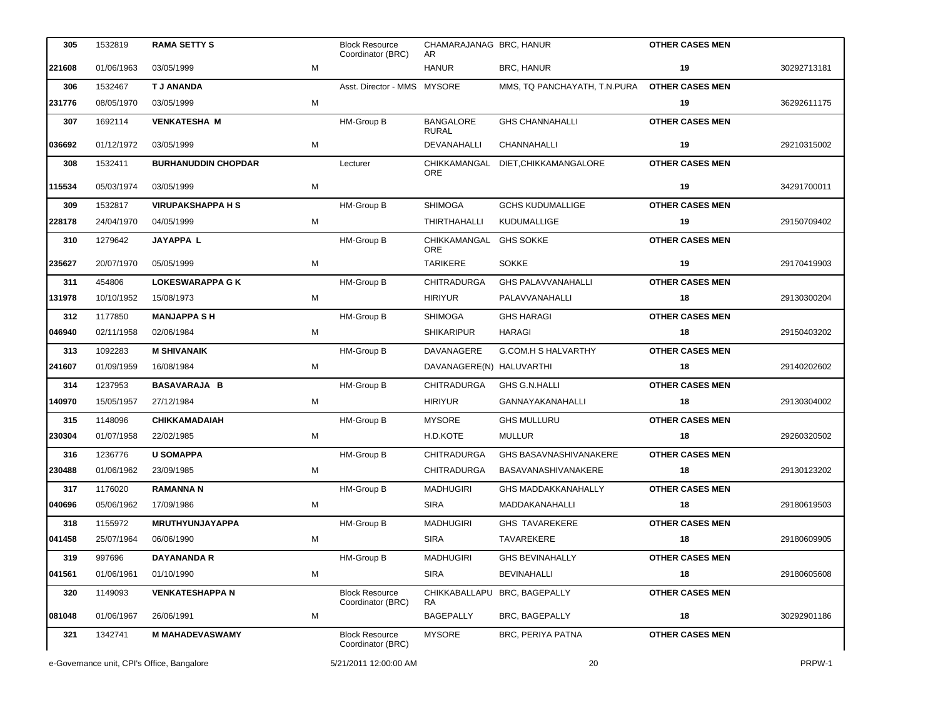| 305    | 1532819                                    | <b>RAMA SETTY S</b>        |   | <b>Block Resource</b><br>Coordinator (BRC) | CHAMARAJANAG BRC, HANUR<br>AR.   |                                   | <b>OTHER CASES MEN</b> |             |
|--------|--------------------------------------------|----------------------------|---|--------------------------------------------|----------------------------------|-----------------------------------|------------------------|-------------|
| 221608 | 01/06/1963                                 | 03/05/1999                 | М |                                            | <b>HANUR</b>                     | BRC, HANUR                        | 19                     | 30292713181 |
| 306    | 1532467                                    | <b>T J ANANDA</b>          |   | Asst. Director - MMS MYSORE                |                                  | MMS, TQ PANCHAYATH, T.N.PURA      | <b>OTHER CASES MEN</b> |             |
| 231776 | 08/05/1970                                 | 03/05/1999                 | М |                                            |                                  |                                   | 19                     | 36292611175 |
| 307    | 1692114                                    | <b>VENKATESHA M</b>        |   | HM-Group B                                 | <b>BANGALORE</b><br><b>RURAL</b> | <b>GHS CHANNAHALLI</b>            | <b>OTHER CASES MEN</b> |             |
| 036692 | 01/12/1972                                 | 03/05/1999                 | М |                                            | DEVANAHALLI                      | CHANNAHALLI                       | 19                     | 29210315002 |
| 308    | 1532411                                    | <b>BURHANUDDIN CHOPDAR</b> |   | Lecturer                                   | ORE                              | CHIKKAMANGAL DIET.CHIKKAMANGALORE | <b>OTHER CASES MEN</b> |             |
| 115534 | 05/03/1974                                 | 03/05/1999                 | M |                                            |                                  |                                   | 19                     | 34291700011 |
| 309    | 1532817                                    | <b>VIRUPAKSHAPPA H S</b>   |   | HM-Group B                                 | <b>SHIMOGA</b>                   | <b>GCHS KUDUMALLIGE</b>           | <b>OTHER CASES MEN</b> |             |
| 228178 | 24/04/1970                                 | 04/05/1999                 | М |                                            | THIRTHAHALLI                     | KUDUMALLIGE                       | 19                     | 29150709402 |
| 310    | 1279642                                    | <b>JAYAPPA L</b>           |   | HM-Group B                                 | CHIKKAMANGAL GHS SOKKE<br>ORE    |                                   | <b>OTHER CASES MEN</b> |             |
| 235627 | 20/07/1970                                 | 05/05/1999                 | М |                                            | TARIKERE                         | <b>SOKKE</b>                      | 19                     | 29170419903 |
| 311    | 454806                                     | <b>LOKESWARAPPA G K</b>    |   | HM-Group B                                 | <b>CHITRADURGA</b>               | <b>GHS PALAVVANAHALLI</b>         | <b>OTHER CASES MEN</b> |             |
| 131978 | 10/10/1952                                 | 15/08/1973                 | М |                                            | HIRIYUR                          | PALAVVANAHALLI                    | 18                     | 29130300204 |
| 312    | 1177850                                    | <b>MANJAPPA SH</b>         |   | HM-Group B                                 | <b>SHIMOGA</b>                   | <b>GHS HARAGI</b>                 | <b>OTHER CASES MEN</b> |             |
| 046940 | 02/11/1958                                 | 02/06/1984                 | М |                                            | <b>SHIKARIPUR</b>                | HARAGI                            | 18                     | 29150403202 |
| 313    | 1092283                                    | <b>M SHIVANAIK</b>         |   | HM-Group B                                 | DAVANAGERE                       | G.COM.H S HALVARTHY               | <b>OTHER CASES MEN</b> |             |
| 241607 | 01/09/1959                                 | 16/08/1984                 | М |                                            | DAVANAGERE(N) HALUVARTHI         |                                   | 18                     | 29140202602 |
| 314    | 1237953                                    | <b>BASAVARAJA B</b>        |   | HM-Group B                                 | CHITRADURGA                      | <b>GHS G.N.HALLI</b>              | <b>OTHER CASES MEN</b> |             |
| 140970 | 15/05/1957                                 | 27/12/1984                 | М |                                            | <b>HIRIYUR</b>                   | GANNAYAKANAHALLI                  | 18                     | 29130304002 |
| 315    | 1148096                                    | <b>CHIKKAMADAIAH</b>       |   | <b>HM-Group B</b>                          | <b>MYSORE</b>                    | <b>GHS MULLURU</b>                | <b>OTHER CASES MEN</b> |             |
| 230304 | 01/07/1958                                 | 22/02/1985                 | М |                                            | H.D.KOTE                         | MULLUR                            | 18                     | 29260320502 |
| 316    | 1236776                                    | <b>U SOMAPPA</b>           |   | HM-Group B                                 | <b>CHITRADURGA</b>               | GHS BASAVNASHIVANAKERE            | <b>OTHER CASES MEN</b> |             |
| 230488 | 01/06/1962                                 | 23/09/1985                 | М |                                            | <b>CHITRADURGA</b>               | BASAVANASHIVANAKERE               | 18                     | 29130123202 |
| 317    | 1176020                                    | <b>RAMANNA N</b>           |   | HM-Group B                                 | <b>MADHUGIRI</b>                 | <b>GHS MADDAKKANAHALLY</b>        | <b>OTHER CASES MEN</b> |             |
| 040696 | 05/06/1962                                 | 17/09/1986                 | M |                                            | <b>SIRA</b>                      | MADDAKANAHALLI                    | 18                     | 29180619503 |
| 318    | 1155972                                    | MRUTHYUNJAYAPPA            |   | HM-Group B                                 | <b>MADHUGIRI</b>                 | <b>GHS TAVAREKERE</b>             | <b>OTHER CASES MEN</b> |             |
| 041458 | 25/07/1964                                 | 06/06/1990                 | м |                                            | SIRA                             | TAVAREKERE                        | 18                     | 29180609905 |
| 319    | 997696                                     | <b>DAYANANDA R</b>         |   | HM-Group B                                 | <b>MADHUGIRI</b>                 | <b>GHS BEVINAHALLY</b>            | <b>OTHER CASES MEN</b> |             |
| 041561 | 01/06/1961                                 | 01/10/1990                 | M |                                            | <b>SIRA</b>                      | <b>BEVINAHALLI</b>                | 18                     | 29180605608 |
| 320    | 1149093                                    | <b>VENKATESHAPPA N</b>     |   | <b>Block Resource</b><br>Coordinator (BRC) | CHIKKABALLAPU<br>RA.             | BRC, BAGEPALLY                    | <b>OTHER CASES MEN</b> |             |
| 081048 | 01/06/1967                                 | 26/06/1991                 | м |                                            | <b>BAGEPALLY</b>                 | <b>BRC, BAGEPALLY</b>             | 18                     | 30292901186 |
| 321    | 1342741                                    | <b>M MAHADEVASWAMY</b>     |   | <b>Block Resource</b><br>Coordinator (BRC) | <b>MYSORE</b>                    | BRC, PERIYA PATNA                 | <b>OTHER CASES MEN</b> |             |
|        | e-Governance unit, CPI's Office, Bangalore |                            |   | 5/21/2011 12:00:00 AM                      |                                  | 20                                |                        | PRPW-1      |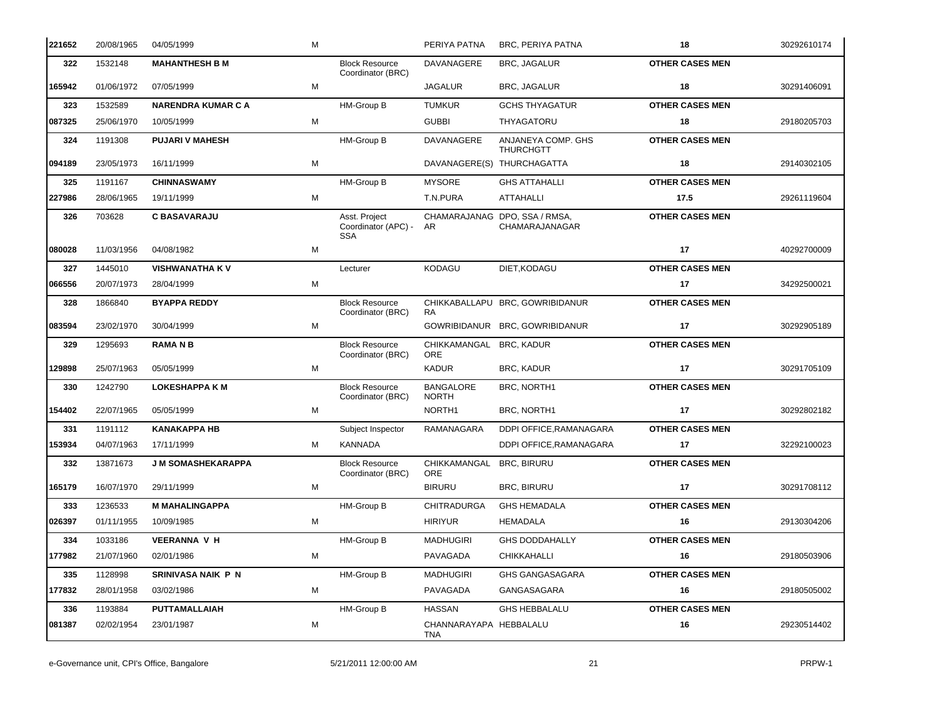| 221652 | 20/08/1965  | 04/05/1999                | M |                                                    | PERIYA PATNA                           | BRC, PERIYA PATNA                                | 18                     | 30292610174 |
|--------|-------------|---------------------------|---|----------------------------------------------------|----------------------------------------|--------------------------------------------------|------------------------|-------------|
| 322    | 1532148     | <b>MAHANTHESH B M</b>     |   | <b>Block Resource</b><br>Coordinator (BRC)         | DAVANAGERE                             | <b>BRC, JAGALUR</b>                              | <b>OTHER CASES MEN</b> |             |
| 165942 | 01/06/1972  | 07/05/1999                | м |                                                    | JAGALUR                                | BRC, JAGALUR                                     | 18                     | 30291406091 |
| 323    | 1532589     | <b>NARENDRA KUMAR C A</b> |   | HM-Group B                                         | <b>TUMKUR</b>                          | <b>GCHS THYAGATUR</b>                            | <b>OTHER CASES MEN</b> |             |
| 087325 | 25/06/1970  | 10/05/1999                | м |                                                    | <b>GUBBI</b>                           | THYAGATORU                                       | 18                     | 29180205703 |
| 324    | 1191308     | <b>PUJARI V MAHESH</b>    |   | HM-Group B                                         | DAVANAGERE                             | ANJANEYA COMP. GHS<br><b>THURCHGTT</b>           | <b>OTHER CASES MEN</b> |             |
| 094189 | 23/05/1973  | 16/11/1999                | м |                                                    |                                        | DAVANAGERE(S) THURCHAGATTA                       | 18                     | 29140302105 |
| 325    | 1191167     | <b>CHINNASWAMY</b>        |   | HM-Group B                                         | <b>MYSORE</b>                          | <b>GHS ATTAHALLI</b>                             | <b>OTHER CASES MEN</b> |             |
| 227986 | 28/06/1965  | 19/11/1999                | M |                                                    | T.N.PURA                               | ATTAHALLI                                        | 17.5                   | 29261119604 |
| 326    | 703628      | <b>C BASAVARAJU</b>       |   | Asst. Project<br>Coordinator (APC) -<br><b>SSA</b> | AR.                                    | CHAMARAJANAG DPO, SSA / RMSA,<br>CHAMARAJANAGAR  | <b>OTHER CASES MEN</b> |             |
| 080028 | 11/03/1956  | 04/08/1982                | м |                                                    |                                        |                                                  | 17 <sup>2</sup>        | 40292700009 |
| 327    | 1445010     | <b>VISHWANATHA KV</b>     |   | Lecturer                                           | KODAGU                                 | DIET, KODAGU                                     | <b>OTHER CASES MEN</b> |             |
| 066556 | 20/07/1973  | 28/04/1999                | м |                                                    |                                        |                                                  | 17                     | 34292500021 |
| 328    | 1866840     | <b>BYAPPA REDDY</b>       |   | <b>Block Resource</b><br>Coordinator (BRC)         | RA.                                    | CHIKKABALLAPU BRC, GOWRIBIDANUR                  | <b>OTHER CASES MEN</b> |             |
| 083594 | 23/02/1970  | 30/04/1999                | м |                                                    |                                        | GOWRIBIDANUR BRC, GOWRIBIDANUR                   | 17                     | 30292905189 |
| 329    | 1295693     | <b>RAMA N B</b>           |   | <b>Block Resource</b><br>Coordinator (BRC)         | CHIKKAMANGAL BRC, KADUR<br><b>ORE</b>  |                                                  | <b>OTHER CASES MEN</b> |             |
| 129898 | 25/07/1963  | 05/05/1999                | м |                                                    | KADUR                                  | BRC, KADUR                                       | 17                     | 30291705109 |
| 330    | 1242790     | <b>LOKESHAPPA K M</b>     |   | <b>Block Resource</b><br>Coordinator (BRC)         | <b>BANGALORE</b><br><b>NORTH</b>       | BRC, NORTH1                                      | <b>OTHER CASES MEN</b> |             |
| 154402 | 22/07/1965  | 05/05/1999                | М |                                                    | NORTH1                                 | BRC, NORTH1                                      | 17                     | 30292802182 |
| 331    | 1191112     | <b>KANAKAPPA HB</b>       |   | Subject Inspector                                  | RAMANAGARA                             | DDPI OFFICE, RAMANAGARA                          | <b>OTHER CASES MEN</b> |             |
| 153934 | 04/07/1963  | 17/11/1999                | м | KANNADA                                            |                                        | DDPI OFFICE.RAMANAGARA                           | 17                     | 32292100023 |
| 332    | 13871673    | <b>J M SOMASHEKARAPPA</b> |   | <b>Block Resource</b><br>Coordinator (BRC)         | CHIKKAMANGAL BRC, BIRURU<br><b>ORE</b> |                                                  | <b>OTHER CASES MEN</b> |             |
| 165179 | 16/07/1970  | 29/11/1999                | м |                                                    | <b>BIRURU</b>                          | <b>BRC, BIRURU</b>                               | 17                     | 30291708112 |
|        | 333 1236533 | <b>M MAHALINGAPPA</b>     |   | <b>HM-Group B</b>                                  |                                        | CHITRADURGA GHS HEMADALA <b>CHITRE CASES MEN</b> |                        |             |
| 026397 | 01/11/1955  | 10/09/1985                | M |                                                    | <b>HIRIYUR</b>                         | <b>HEMADALA</b>                                  | 16                     | 29130304206 |
| 334    | 1033186     | <b>VEERANNA V H</b>       |   | HM-Group B                                         | <b>MADHUGIRI</b>                       | <b>GHS DODDAHALLY</b>                            | <b>OTHER CASES MEN</b> |             |
| 177982 | 21/07/1960  | 02/01/1986                | м |                                                    | PAVAGADA                               | <b>CHIKKAHALLI</b>                               | 16                     | 29180503906 |
| 335    | 1128998     | SRINIVASA NAIK P N        |   | HM-Group B                                         | <b>MADHUGIRI</b>                       | GHS GANGASAGARA                                  | <b>OTHER CASES MEN</b> |             |
| 177832 | 28/01/1958  | 03/02/1986                | м |                                                    | PAVAGADA                               | GANGASAGARA                                      | 16                     | 29180505002 |
| 336    | 1193884     | <b>PUTTAMALLAIAH</b>      |   | HM-Group B                                         | <b>HASSAN</b>                          | <b>GHS HEBBALALU</b>                             | <b>OTHER CASES MEN</b> |             |
| 081387 | 02/02/1954  | 23/01/1987                | М |                                                    | CHANNARAYAPA HEBBALALU<br>TNA          |                                                  | 16                     | 29230514402 |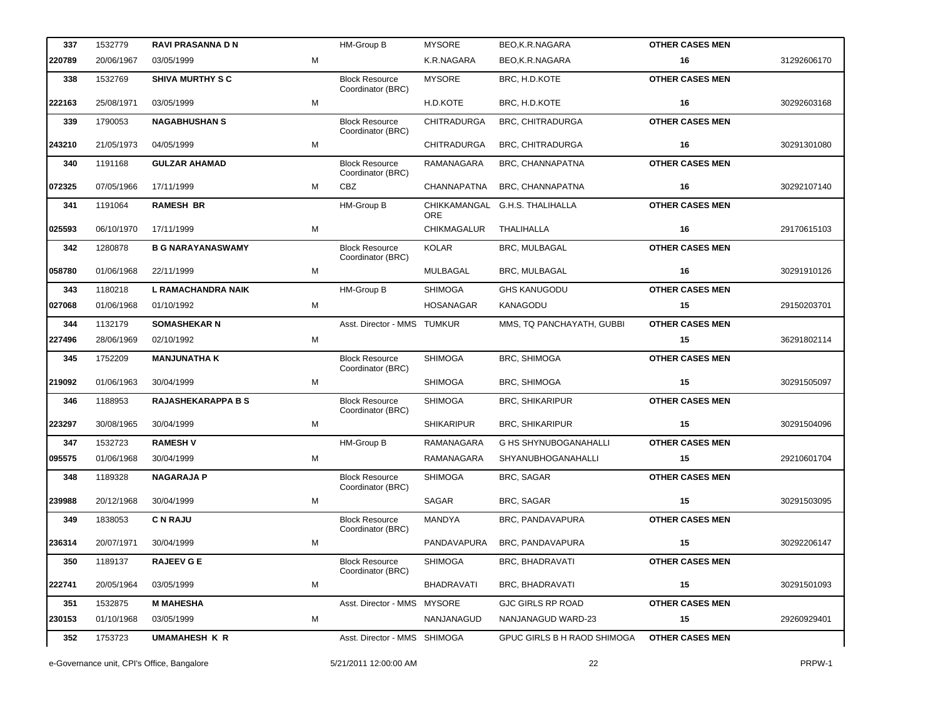| 337    | 1532779    | <b>RAVI PRASANNA D N</b>  |   | HM-Group B                                 | <b>MYSORE</b>              | BEO,K.R.NAGARA               | <b>OTHER CASES MEN</b> |             |
|--------|------------|---------------------------|---|--------------------------------------------|----------------------------|------------------------------|------------------------|-------------|
| 220789 | 20/06/1967 | 03/05/1999                | М |                                            | K.R.NAGARA                 | BEO,K.R.NAGARA               | 16                     | 31292606170 |
| 338    | 1532769    | <b>SHIVA MURTHY S C</b>   |   | <b>Block Resource</b><br>Coordinator (BRC) | <b>MYSORE</b>              | BRC, H.D.KOTE                | <b>OTHER CASES MEN</b> |             |
| 222163 | 25/08/1971 | 03/05/1999                | M |                                            | H.D.KOTE                   | BRC, H.D.KOTE                | 16                     | 30292603168 |
| 339    | 1790053    | <b>NAGABHUSHAN S</b>      |   | <b>Block Resource</b><br>Coordinator (BRC) | <b>CHITRADURGA</b>         | BRC, CHITRADURGA             | <b>OTHER CASES MEN</b> |             |
| 243210 | 21/05/1973 | 04/05/1999                | М |                                            | <b>CHITRADURGA</b>         | <b>BRC, CHITRADURGA</b>      | 16                     | 30291301080 |
| 340    | 1191168    | <b>GULZAR AHAMAD</b>      |   | <b>Block Resource</b><br>Coordinator (BRC) | RAMANAGARA                 | BRC, CHANNAPATNA             | <b>OTHER CASES MEN</b> |             |
| 072325 | 07/05/1966 | 17/11/1999                | M | CBZ                                        | <b>CHANNAPATNA</b>         | BRC, CHANNAPATNA             | 16                     | 30292107140 |
| 341    | 1191064    | <b>RAMESH BR</b>          |   | HM-Group B                                 | CHIKKAMANGAL<br><b>ORE</b> | <b>G.H.S. THALIHALLA</b>     | <b>OTHER CASES MEN</b> |             |
| 025593 | 06/10/1970 | 17/11/1999                | M |                                            | <b>CHIKMAGALUR</b>         | THALIHALLA                   | 16                     | 29170615103 |
| 342    | 1280878    | <b>B G NARAYANASWAMY</b>  |   | <b>Block Resource</b><br>Coordinator (BRC) | <b>KOLAR</b>               | BRC, MULBAGAL                | <b>OTHER CASES MEN</b> |             |
| 058780 | 01/06/1968 | 22/11/1999                | М |                                            | MULBAGAL                   | BRC, MULBAGAL                | 16                     | 30291910126 |
| 343    | 1180218    | L RAMACHANDRA NAIK        |   | HM-Group B                                 | <b>SHIMOGA</b>             | <b>GHS KANUGODU</b>          | <b>OTHER CASES MEN</b> |             |
| 027068 | 01/06/1968 | 01/10/1992                | м |                                            | <b>HOSANAGAR</b>           | <b>KANAGODU</b>              | 15                     | 29150203701 |
| 344    | 1132179    | <b>SOMASHEKAR N</b>       |   | Asst. Director - MMS TUMKUR                |                            | MMS, TQ PANCHAYATH, GUBBI    | <b>OTHER CASES MEN</b> |             |
| 227496 | 28/06/1969 | 02/10/1992                | M |                                            |                            |                              | 15                     | 36291802114 |
| 345    | 1752209    | <b>MANJUNATHA K</b>       |   | <b>Block Resource</b><br>Coordinator (BRC) | <b>SHIMOGA</b>             | BRC, SHIMOGA                 | <b>OTHER CASES MEN</b> |             |
| 219092 | 01/06/1963 | 30/04/1999                | М |                                            | <b>SHIMOGA</b>             | BRC, SHIMOGA                 | 15                     | 30291505097 |
| 346    | 1188953    | <b>RAJASHEKARAPPA B S</b> |   | <b>Block Resource</b><br>Coordinator (BRC) | <b>SHIMOGA</b>             | <b>BRC, SHIKARIPUR</b>       | <b>OTHER CASES MEN</b> |             |
| 223297 | 30/08/1965 | 30/04/1999                | м |                                            | <b>SHIKARIPUR</b>          | <b>BRC, SHIKARIPUR</b>       | 15                     | 30291504096 |
| 347    | 1532723    | <b>RAMESHV</b>            |   | HM-Group B                                 | RAMANAGARA                 | <b>G HS SHYNUBOGANAHALLI</b> | <b>OTHER CASES MEN</b> |             |
| 095575 | 01/06/1968 | 30/04/1999                | M |                                            | RAMANAGARA                 | SHYANUBHOGANAHALLI           | 15                     | 29210601704 |
| 348    | 1189328    | <b>NAGARAJA P</b>         |   | <b>Block Resource</b><br>Coordinator (BRC) | <b>SHIMOGA</b>             | BRC, SAGAR                   | <b>OTHER CASES MEN</b> |             |
| 239988 | 20/12/1968 | 30/04/1999                | М |                                            | <b>SAGAR</b>               | BRC, SAGAR                   | 15                     | 30291503095 |
| 349    | 1838053    | <b>C N RAJU</b>           |   | <b>Block Resource</b><br>Coordinator (BRC) | MANDYA                     | BRC, PANDAVAPURA             | <b>OTHER CASES MEN</b> |             |
| 236314 | 20/07/1971 | 30/04/1999                | м |                                            | PANDAVAPURA                | BRC, PANDAVAPURA             | 15                     | 30292206147 |
| 350    | 1189137    | <b>RAJEEV G E</b>         |   | <b>Block Resource</b><br>Coordinator (BRC) | <b>SHIMOGA</b>             | <b>BRC, BHADRAVATI</b>       | <b>OTHER CASES MEN</b> |             |
| 222741 | 20/05/1964 | 03/05/1999                | м |                                            | <b>BHADRAVATI</b>          | <b>BRC, BHADRAVATI</b>       | 15                     | 30291501093 |
| 351    | 1532875    | <b>M MAHESHA</b>          |   | Asst. Director - MMS MYSORE                |                            | <b>GJC GIRLS RP ROAD</b>     | <b>OTHER CASES MEN</b> |             |
| 230153 | 01/10/1968 | 03/05/1999                | м |                                            | NANJANAGUD                 | NANJANAGUD WARD-23           | 15                     | 29260929401 |
| 352    | 1753723    | <b>UMAMAHESH K R</b>      |   | Asst. Director - MMS SHIMOGA               |                            | GPUC GIRLS B H RAOD SHIMOGA  | <b>OTHER CASES MEN</b> |             |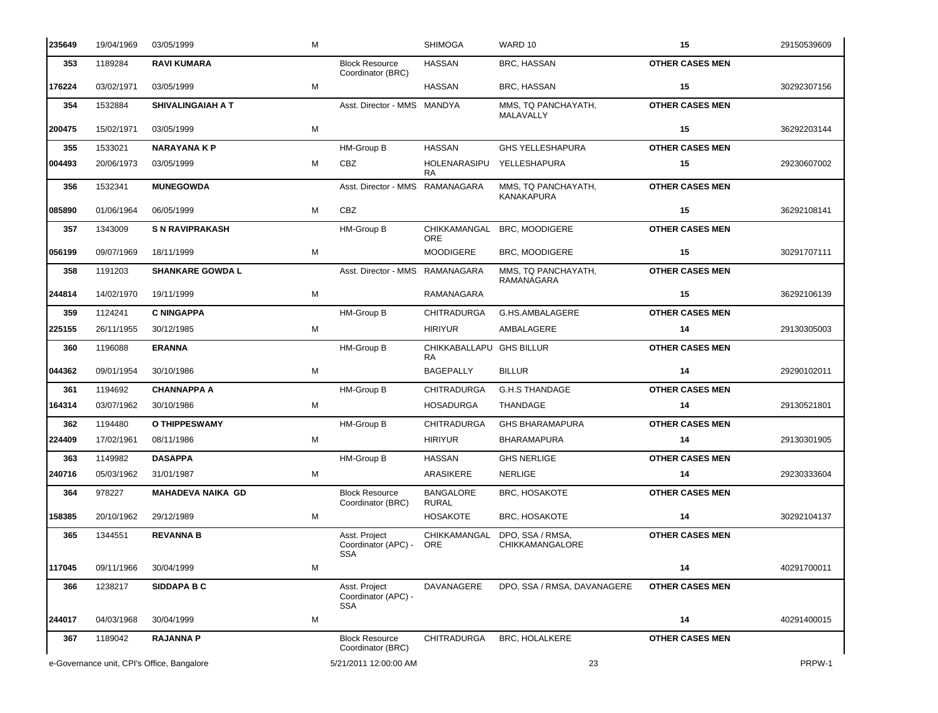| 235649 | 19/04/1969                                 | 03/05/1999               | M |                                                    | <b>SHIMOGA</b>                        | WARD 10                                    | 15                     | 29150539609 |
|--------|--------------------------------------------|--------------------------|---|----------------------------------------------------|---------------------------------------|--------------------------------------------|------------------------|-------------|
| 353    | 1189284                                    | <b>RAVI KUMARA</b>       |   | <b>Block Resource</b><br>Coordinator (BRC)         | <b>HASSAN</b>                         | BRC, HASSAN                                | <b>OTHER CASES MEN</b> |             |
| 176224 | 03/02/1971                                 | 03/05/1999               | M |                                                    | <b>HASSAN</b>                         | BRC, HASSAN                                | 15                     | 30292307156 |
| 354    | 1532884                                    | <b>SHIVALINGAIAH A T</b> |   | Asst. Director - MMS MANDYA                        |                                       | MMS, TQ PANCHAYATH,<br>MALAVALLY           | <b>OTHER CASES MEN</b> |             |
| 200475 | 15/02/1971                                 | 03/05/1999               | M |                                                    |                                       |                                            | 15                     | 36292203144 |
| 355    | 1533021                                    | <b>NARAYANA K P</b>      |   | HM-Group B                                         | <b>HASSAN</b>                         | <b>GHS YELLESHAPURA</b>                    | <b>OTHER CASES MEN</b> |             |
| 004493 | 20/06/1973                                 | 03/05/1999               | м | <b>CBZ</b>                                         | HOLENARASIPU<br><b>RA</b>             | YELLESHAPURA                               | 15                     | 29230607002 |
| 356    | 1532341                                    | <b>MUNEGOWDA</b>         |   | Asst. Director - MMS RAMANAGARA                    |                                       | MMS, TQ PANCHAYATH,<br>KANAKAPURA          | <b>OTHER CASES MEN</b> |             |
| 085890 | 01/06/1964                                 | 06/05/1999               | M | <b>CBZ</b>                                         |                                       |                                            | 15                     | 36292108141 |
| 357    | 1343009                                    | <b>S N RAVIPRAKASH</b>   |   | HM-Group B                                         | CHIKKAMANGAL<br><b>ORE</b>            | <b>BRC, MOODIGERE</b>                      | <b>OTHER CASES MEN</b> |             |
| 056199 | 09/07/1969                                 | 18/11/1999               | M |                                                    | <b>MOODIGERE</b>                      | <b>BRC, MOODIGERE</b>                      | 15                     | 30291707111 |
| 358    | 1191203                                    | <b>SHANKARE GOWDA L</b>  |   | Asst. Director - MMS RAMANAGARA                    |                                       | MMS, TQ PANCHAYATH,<br>RAMANAGARA          | <b>OTHER CASES MEN</b> |             |
| 244814 | 14/02/1970                                 | 19/11/1999               | M |                                                    | RAMANAGARA                            |                                            | 15                     | 36292106139 |
| 359    | 1124241                                    | <b>C NINGAPPA</b>        |   | HM-Group B                                         | <b>CHITRADURGA</b>                    | G.HS.AMBALAGERE                            | <b>OTHER CASES MEN</b> |             |
| 225155 | 26/11/1955                                 | 30/12/1985               | M |                                                    | <b>HIRIYUR</b>                        | AMBALAGERE                                 | 14                     | 29130305003 |
| 360    | 1196088                                    | <b>ERANNA</b>            |   | HM-Group B                                         | CHIKKABALLAPU GHS BILLUR<br><b>RA</b> |                                            | <b>OTHER CASES MEN</b> |             |
| 044362 | 09/01/1954                                 | 30/10/1986               | M |                                                    | <b>BAGEPALLY</b>                      | <b>BILLUR</b>                              | 14                     | 29290102011 |
| 361    | 1194692                                    | <b>CHANNAPPA A</b>       |   | <b>HM-Group B</b>                                  | <b>CHITRADURGA</b>                    | <b>G.H.S THANDAGE</b>                      | <b>OTHER CASES MEN</b> |             |
| 164314 | 03/07/1962                                 | 30/10/1986               | м |                                                    | <b>HOSADURGA</b>                      | THANDAGE                                   | 14                     | 29130521801 |
| 362    | 1194480                                    | O THIPPESWAMY            |   | HM-Group B                                         | <b>CHITRADURGA</b>                    | <b>GHS BHARAMAPURA</b>                     | <b>OTHER CASES MEN</b> |             |
| 224409 | 17/02/1961                                 | 08/11/1986               | м |                                                    | <b>HIRIYUR</b>                        | <b>BHARAMAPURA</b>                         | 14                     | 29130301905 |
| 363    | 1149982                                    | <b>DASAPPA</b>           |   | HM-Group B                                         | <b>HASSAN</b>                         | <b>GHS NERLIGE</b>                         | <b>OTHER CASES MEN</b> |             |
| 240716 | 05/03/1962                                 | 31/01/1987               | м |                                                    | ARASIKERE                             | <b>NERLIGE</b>                             | 14                     | 29230333604 |
| 364    | 978227                                     | <b>MAHADEVA NAIKA GD</b> |   | <b>Block Resource</b><br>Coordinator (BRC)         | <b>BANGALORE</b><br><b>RURAL</b>      | BRC, HOSAKOTE                              | <b>OTHER CASES MEN</b> |             |
| 158385 | 20/10/1962                                 | 29/12/1989               | м |                                                    | HOSAKOTE                              | <b>BRC, HOSAKOTE</b>                       | 14                     | 30292104137 |
| 365    | 1344551                                    | <b>REVANNA B</b>         |   | Asst. Project<br>Coordinator (APC) -<br><b>SSA</b> | CHIKKAMANGAL<br><b>ORE</b>            | DPO, SSA / RMSA,<br><b>CHIKKAMANGALORE</b> | <b>OTHER CASES MEN</b> |             |
| 117045 | 09/11/1966                                 | 30/04/1999               | M |                                                    |                                       |                                            | 14                     | 40291700011 |
| 366    | 1238217                                    | <b>SIDDAPA B C</b>       |   | Asst. Project<br>Coordinator (APC) -<br><b>SSA</b> | DAVANAGERE                            | DPO, SSA / RMSA, DAVANAGERE                | <b>OTHER CASES MEN</b> |             |
| 244017 | 04/03/1968                                 | 30/04/1999               | M |                                                    |                                       |                                            | 14                     | 40291400015 |
| 367    | 1189042                                    | <b>RAJANNA P</b>         |   | <b>Block Resource</b><br>Coordinator (BRC)         | CHITRADURGA                           | BRC, HOLALKERE                             | <b>OTHER CASES MEN</b> |             |
|        | e-Governance unit, CPI's Office, Bangalore |                          |   | 5/21/2011 12:00:00 AM                              |                                       | 23                                         |                        | PRPW-1      |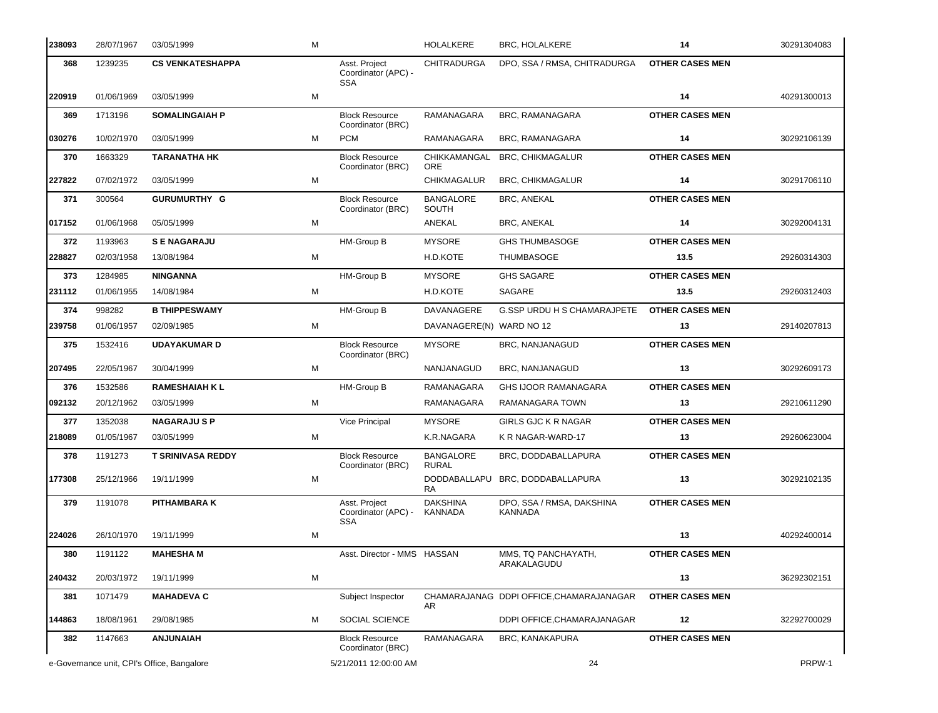| 238093 | 28/07/1967                                 | 03/05/1999               | M |                                                            | <b>HOLALKERE</b>                 | <b>BRC, HOLALKERE</b>                       | 14                     | 30291304083 |
|--------|--------------------------------------------|--------------------------|---|------------------------------------------------------------|----------------------------------|---------------------------------------------|------------------------|-------------|
| 368    | 1239235                                    | <b>CS VENKATESHAPPA</b>  |   | Asst. Project<br>Coordinator (APC) -<br><b>SSA</b>         | <b>CHITRADURGA</b>               | DPO, SSA / RMSA, CHITRADURGA                | <b>OTHER CASES MEN</b> |             |
| 220919 | 01/06/1969                                 | 03/05/1999               | м |                                                            |                                  |                                             | 14                     | 40291300013 |
| 369    | 1713196                                    | <b>SOMALINGAIAH P</b>    |   | <b>Block Resource</b><br>Coordinator (BRC)                 | RAMANAGARA                       | BRC, RAMANAGARA                             | <b>OTHER CASES MEN</b> |             |
| 030276 | 10/02/1970                                 | 03/05/1999               | м | <b>PCM</b>                                                 | RAMANAGARA                       | BRC, RAMANAGARA                             | 14                     | 30292106139 |
| 370    | 1663329                                    | <b>TARANATHA HK</b>      |   | <b>Block Resource</b><br>Coordinator (BRC)                 | CHIKKAMANGAL<br><b>ORE</b>       | <b>BRC, CHIKMAGALUR</b>                     | <b>OTHER CASES MEN</b> |             |
| 227822 | 07/02/1972                                 | 03/05/1999               | м |                                                            | <b>CHIKMAGALUR</b>               | <b>BRC, CHIKMAGALUR</b>                     | 14                     | 30291706110 |
| 371    | 300564                                     | <b>GURUMURTHY G</b>      |   | <b>Block Resource</b><br>Coordinator (BRC)                 | <b>BANGALORE</b><br>SOUTH        | <b>BRC, ANEKAL</b>                          | <b>OTHER CASES MEN</b> |             |
| 017152 | 01/06/1968                                 | 05/05/1999               | M |                                                            | ANEKAL                           | BRC, ANEKAL                                 | 14                     | 30292004131 |
| 372    | 1193963                                    | <b>SENAGARAJU</b>        |   | HM-Group B                                                 | <b>MYSORE</b>                    | <b>GHS THUMBASOGE</b>                       | <b>OTHER CASES MEN</b> |             |
| 228827 | 02/03/1958                                 | 13/08/1984               | м |                                                            | H.D.KOTE                         | <b>THUMBASOGE</b>                           | 13.5                   | 29260314303 |
| 373    | 1284985                                    | <b>NINGANNA</b>          |   | HM-Group B                                                 | <b>MYSORE</b>                    | <b>GHS SAGARE</b>                           | <b>OTHER CASES MEN</b> |             |
| 231112 | 01/06/1955                                 | 14/08/1984               | M |                                                            | H.D.KOTE                         | SAGARE                                      | 13.5                   | 29260312403 |
| 374    | 998282                                     | <b>B THIPPESWAMY</b>     |   | HM-Group B                                                 | DAVANAGERE                       | <b>G.SSP URDU H S CHAMARAJPETE</b>          | <b>OTHER CASES MEN</b> |             |
| 239758 | 01/06/1957                                 | 02/09/1985               | м |                                                            | DAVANAGERE(N) WARD NO 12         |                                             | 13                     | 29140207813 |
| 375    | 1532416                                    | <b>UDAYAKUMAR D</b>      |   | <b>Block Resource</b><br>Coordinator (BRC)                 | <b>MYSORE</b>                    | BRC, NANJANAGUD                             | <b>OTHER CASES MEN</b> |             |
| 207495 | 22/05/1967                                 | 30/04/1999               | м |                                                            | NANJANAGUD                       | BRC, NANJANAGUD                             | 13                     | 30292609173 |
| 376    | 1532586                                    | <b>RAMESHAIAH K L</b>    |   | HM-Group B                                                 | RAMANAGARA                       | <b>GHS IJOOR RAMANAGARA</b>                 | <b>OTHER CASES MEN</b> |             |
| 092132 | 20/12/1962                                 | 03/05/1999               | м |                                                            | RAMANAGARA                       | RAMANAGARA TOWN                             | 13                     | 29210611290 |
| 377    | 1352038                                    | <b>NAGARAJUSP</b>        |   | Vice Principal                                             | <b>MYSORE</b>                    | <b>GIRLS GJC K R NAGAR</b>                  | <b>OTHER CASES MEN</b> |             |
| 218089 | 01/05/1967                                 | 03/05/1999               | м |                                                            | K.R.NAGARA                       | K R NAGAR-WARD-17                           | 13                     | 29260623004 |
| 378    | 1191273                                    | <b>T SRINIVASA REDDY</b> |   | <b>Block Resource</b><br>Coordinator (BRC)                 | <b>BANGALORE</b><br><b>RURAL</b> | BRC, DODDABALLAPURA                         | <b>OTHER CASES MEN</b> |             |
| 177308 | 25/12/1966                                 | 19/11/1999               | M |                                                            | DODDABALLAPU<br><b>RA</b>        | BRC, DODDABALLAPURA                         | 13                     | 30292102135 |
| 379    | 1191078                                    | <b>PITHAMBARA K</b>      |   | Asst. Project<br>Coordinator (APC) - KANNADA<br><b>SSA</b> | <b>DAKSHINA</b>                  | DPO, SSA / RMSA, DAKSHINA<br><b>KANNADA</b> | <b>OTHER CASES MEN</b> |             |
| 224026 | 26/10/1970                                 | 19/11/1999               | м |                                                            |                                  |                                             | 13                     | 40292400014 |
| 380    | 1191122                                    | <b>MAHESHA M</b>         |   | Asst. Director - MMS HASSAN                                |                                  | MMS, TQ PANCHAYATH,<br>ARAKALAGUDU          | <b>OTHER CASES MEN</b> |             |
| 240432 | 20/03/1972                                 | 19/11/1999               | M |                                                            |                                  |                                             | 13                     | 36292302151 |
| 381    | 1071479                                    | <b>MAHADEVA C</b>        |   | Subject Inspector                                          | AR                               | CHAMARAJANAG DDPI OFFICE, CHAMARAJANAGAR    | <b>OTHER CASES MEN</b> |             |
| 144863 | 18/08/1961                                 | 29/08/1985               | м | SOCIAL SCIENCE                                             |                                  | DDPI OFFICE, CHAMARAJANAGAR                 | 12                     | 32292700029 |
| 382    | 1147663                                    | <b>ANJUNAIAH</b>         |   | <b>Block Resource</b><br>Coordinator (BRC)                 | RAMANAGARA                       | <b>BRC, KANAKAPURA</b>                      | <b>OTHER CASES MEN</b> |             |
|        | e-Governance unit, CPI's Office, Bangalore |                          |   | 5/21/2011 12:00:00 AM                                      |                                  | 24                                          |                        | PRPW-1      |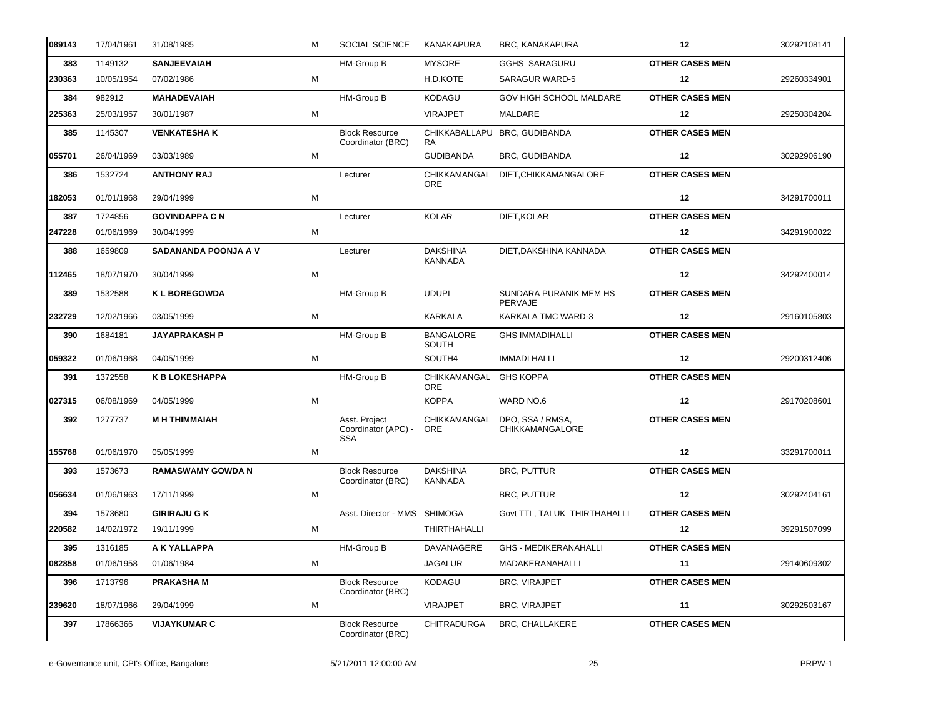| 089143 | 17/04/1961 | 31/08/1985                  | м | SOCIAL SCIENCE                                     | KANAKAPURA                        | BRC, KANAKAPURA                            | 12                     | 30292108141 |
|--------|------------|-----------------------------|---|----------------------------------------------------|-----------------------------------|--------------------------------------------|------------------------|-------------|
| 383    | 1149132    | <b>SANJEEVAIAH</b>          |   | HM-Group B                                         | <b>MYSORE</b>                     | <b>GGHS SARAGURU</b>                       | <b>OTHER CASES MEN</b> |             |
| 230363 | 10/05/1954 | 07/02/1986                  | M |                                                    | H.D.KOTE                          | <b>SARAGUR WARD-5</b>                      | 12                     | 29260334901 |
| 384    | 982912     | <b>MAHADEVAIAH</b>          |   | HM-Group B                                         | <b>KODAGU</b>                     | GOV HIGH SCHOOL MALDARE                    | <b>OTHER CASES MEN</b> |             |
| 225363 | 25/03/1957 | 30/01/1987                  | M |                                                    | <b>VIRAJPET</b>                   | MALDARE                                    | 12                     | 29250304204 |
| 385    | 1145307    | <b>VENKATESHAK</b>          |   | <b>Block Resource</b><br>Coordinator (BRC)         | RA                                | CHIKKABALLAPU BRC, GUDIBANDA               | <b>OTHER CASES MEN</b> |             |
| 055701 | 26/04/1969 | 03/03/1989                  | M |                                                    | <b>GUDIBANDA</b>                  | BRC, GUDIBANDA                             | 12                     | 30292906190 |
| 386    | 1532724    | <b>ANTHONY RAJ</b>          |   | Lecturer                                           | CHIKKAMANGAL<br><b>ORE</b>        | DIET.CHIKKAMANGALORE                       | <b>OTHER CASES MEN</b> |             |
| 182053 | 01/01/1968 | 29/04/1999                  | M |                                                    |                                   |                                            | 12                     | 34291700011 |
| 387    | 1724856    | <b>GOVINDAPPA C N</b>       |   | Lecturer                                           | <b>KOLAR</b>                      | DIET, KOLAR                                | <b>OTHER CASES MEN</b> |             |
| 247228 | 01/06/1969 | 30/04/1999                  | M |                                                    |                                   |                                            | 12                     | 34291900022 |
| 388    | 1659809    | <b>SADANANDA POONJA A V</b> |   | Lecturer                                           | <b>DAKSHINA</b><br><b>KANNADA</b> | DIET, DAKSHINA KANNADA                     | <b>OTHER CASES MEN</b> |             |
| 112465 | 18/07/1970 | 30/04/1999                  | M |                                                    |                                   |                                            | 12                     | 34292400014 |
| 389    | 1532588    | <b>KL BOREGOWDA</b>         |   | HM-Group B                                         | <b>UDUPI</b>                      | SUNDARA PURANIK MEM HS<br>PERVAJE          | <b>OTHER CASES MEN</b> |             |
| 232729 | 12/02/1966 | 03/05/1999                  | M |                                                    | <b>KARKALA</b>                    | KARKALA TMC WARD-3                         | 12                     | 29160105803 |
| 390    | 1684181    | <b>JAYAPRAKASH P</b>        |   | HM-Group B                                         | <b>BANGALORE</b><br>SOUTH         | <b>GHS IMMADIHALLI</b>                     | <b>OTHER CASES MEN</b> |             |
| 059322 | 01/06/1968 | 04/05/1999                  | M |                                                    | SOUTH4                            | <b>IMMADI HALLI</b>                        | 12                     | 29200312406 |
| 391    | 1372558    | <b>K B LOKESHAPPA</b>       |   | HM-Group B                                         | CHIKKAMANGAL<br>ORE               | <b>GHS KOPPA</b>                           | <b>OTHER CASES MEN</b> |             |
| 027315 | 06/08/1969 | 04/05/1999                  | M |                                                    | <b>KOPPA</b>                      | WARD NO.6                                  | 12                     | 29170208601 |
| 392    | 1277737    | <b>M H THIMMAIAH</b>        |   | Asst. Project<br>Coordinator (APC) -<br><b>SSA</b> | CHIKKAMANGAL<br><b>ORE</b>        | DPO, SSA / RMSA,<br><b>CHIKKAMANGALORE</b> | <b>OTHER CASES MEN</b> |             |
| 155768 | 01/06/1970 | 05/05/1999                  | M |                                                    |                                   |                                            | 12                     | 33291700011 |
| 393    | 1573673    | <b>RAMASWAMY GOWDA N</b>    |   | <b>Block Resource</b><br>Coordinator (BRC)         | <b>DAKSHINA</b><br>KANNADA        | <b>BRC, PUTTUR</b>                         | <b>OTHER CASES MEN</b> |             |
| 056634 | 01/06/1963 | 17/11/1999                  | M |                                                    |                                   | <b>BRC, PUTTUR</b>                         | 12                     | 30292404161 |
| 394    | 1573680    | <b>GIRIRAJU G K</b>         |   | Asst. Director - MMS SHIMOGA                       |                                   | Govt TTI, TALUK THIRTHAHALLI               | <b>OTHER CASES MEN</b> |             |
| 220582 | 14/02/1972 | 19/11/1999                  | M |                                                    | THIRTHAHALLI                      |                                            | 12                     | 39291507099 |
| 395    | 1316185    | A K YALLAPPA                |   | HM-Group B                                         | DAVANAGERE                        | <b>GHS - MEDIKERANAHALLI</b>               | <b>OTHER CASES MEN</b> |             |
| 082858 | 01/06/1958 | 01/06/1984                  | M |                                                    | <b>JAGALUR</b>                    | MADAKERANAHALLI                            | 11                     | 29140609302 |
| 396    | 1713796    | <b>PRAKASHAM</b>            |   | <b>Block Resource</b><br>Coordinator (BRC)         | KODAGU                            | <b>BRC, VIRAJPET</b>                       | <b>OTHER CASES MEN</b> |             |
| 239620 | 18/07/1966 | 29/04/1999                  | M |                                                    | <b>VIRAJPET</b>                   | <b>BRC, VIRAJPET</b>                       | 11                     | 30292503167 |
| 397    | 17866366   | <b>VIJAYKUMAR C</b>         |   | <b>Block Resource</b><br>Coordinator (BRC)         | CHITRADURGA                       | <b>BRC, CHALLAKERE</b>                     | <b>OTHER CASES MEN</b> |             |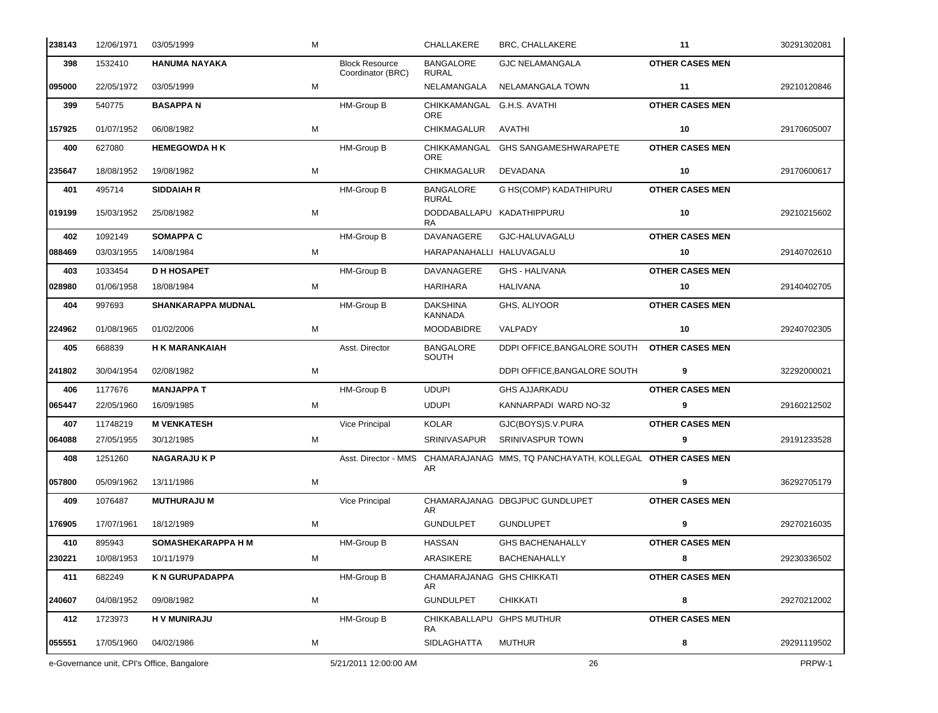| 238143 | 12/06/1971 | 03/05/1999                                 | M |                                            | CHALLAKERE                               | BRC, CHALLAKERE                                                                | 11                     | 30291302081 |
|--------|------------|--------------------------------------------|---|--------------------------------------------|------------------------------------------|--------------------------------------------------------------------------------|------------------------|-------------|
| 398    | 1532410    | <b>HANUMA NAYAKA</b>                       |   | <b>Block Resource</b><br>Coordinator (BRC) | <b>BANGALORE</b><br><b>RURAL</b>         | <b>GJC NELAMANGALA</b>                                                         | <b>OTHER CASES MEN</b> |             |
| 095000 | 22/05/1972 | 03/05/1999                                 | М |                                            | NELAMANGALA                              | NELAMANGALA TOWN                                                               | 11                     | 29210120846 |
| 399    | 540775     | <b>BASAPPAN</b>                            |   | HM-Group B                                 | CHIKKAMANGAL G.H.S. AVATHI<br><b>ORE</b> |                                                                                | <b>OTHER CASES MEN</b> |             |
| 157925 | 01/07/1952 | 06/08/1982                                 | М |                                            | <b>CHIKMAGALUR</b>                       | AVATHI                                                                         | 10                     | 29170605007 |
| 400    | 627080     | <b>HEMEGOWDA H K</b>                       |   | <b>HM-Group B</b>                          | CHIKKAMANGAL<br><b>ORE</b>               | <b>GHS SANGAMESHWARAPETE</b>                                                   | <b>OTHER CASES MEN</b> |             |
| 235647 | 18/08/1952 | 19/08/1982                                 | М |                                            | CHIKMAGALUR                              | DEVADANA                                                                       | 10                     | 29170600617 |
| 401    | 495714     | <b>SIDDAIAH R</b>                          |   | <b>HM-Group B</b>                          | <b>BANGALORE</b><br><b>RURAL</b>         | G HS(COMP) KADATHIPURU                                                         | <b>OTHER CASES MEN</b> |             |
| 019199 | 15/03/1952 | 25/08/1982                                 | M |                                            | DODDABALLAPU KADATHIPPURU<br>RA.         |                                                                                | 10                     | 29210215602 |
| 402    | 1092149    | <b>SOMAPPA C</b>                           |   | <b>HM-Group B</b>                          | DAVANAGERE                               | GJC-HALUVAGALU                                                                 | <b>OTHER CASES MEN</b> |             |
| 088469 | 03/03/1955 | 14/08/1984                                 | М |                                            | HARAPANAHALLI HALUVAGALU                 |                                                                                | 10                     | 29140702610 |
| 403    | 1033454    | <b>D H HOSAPET</b>                         |   | <b>HM-Group B</b>                          | <b>DAVANAGERE</b>                        | <b>GHS - HALIVANA</b>                                                          | <b>OTHER CASES MEN</b> |             |
| 028980 | 01/06/1958 | 18/08/1984                                 | м |                                            | HARIHARA                                 | HALIVANA                                                                       | 10                     | 29140402705 |
| 404    | 997693     | SHANKARAPPA MUDNAL                         |   | HM-Group B                                 | <b>DAKSHINA</b><br><b>KANNADA</b>        | GHS, ALIYOOR                                                                   | <b>OTHER CASES MEN</b> |             |
| 224962 | 01/08/1965 | 01/02/2006                                 | М |                                            | <b>MOODABIDRE</b>                        | VALPADY                                                                        | 10                     | 29240702305 |
| 405    | 668839     | <b>H K MARANKAIAH</b>                      |   | Asst. Director                             | <b>BANGALORE</b><br>SOUTH                | DDPI OFFICE, BANGALORE SOUTH                                                   | <b>OTHER CASES MEN</b> |             |
| 241802 | 30/04/1954 | 02/08/1982                                 | M |                                            |                                          | DDPI OFFICE, BANGALORE SOUTH                                                   | 9                      | 32292000021 |
| 406    | 1177676    | <b>MANJAPPA T</b>                          |   | <b>HM-Group B</b>                          | <b>UDUPI</b>                             | <b>GHS AJJARKADU</b>                                                           | <b>OTHER CASES MEN</b> |             |
| 065447 | 22/05/1960 | 16/09/1985                                 | м |                                            | <b>UDUPI</b>                             | KANNARPADI WARD NO-32                                                          | 9                      | 29160212502 |
| 407    | 11748219   | <b>M VENKATESH</b>                         |   | Vice Principal                             | <b>KOLAR</b>                             | GJC(BOYS)S.V.PURA                                                              | <b>OTHER CASES MEN</b> |             |
| 064088 | 27/05/1955 | 30/12/1985                                 | М |                                            | <b>SRINIVASAPUR</b>                      | <b>SRINIVASPUR TOWN</b>                                                        | 9                      | 29191233528 |
| 408    | 1251260    | <b>NAGARAJUKP</b>                          |   |                                            | AR                                       | Asst. Director - MMS CHAMARAJANAG MMS, TQ PANCHAYATH, KOLLEGAL OTHER CASES MEN |                        |             |
| 057800 | 05/09/1962 | 13/11/1986                                 | M |                                            |                                          |                                                                                | 9                      | 36292705179 |
| 409    | 1076487    | <b>MUTHURAJU M</b>                         |   | <b>Vice Principal</b>                      | AR                                       | CHAMARAJANAG DBGJPUC GUNDLUPET                                                 | <b>OTHER CASES MEN</b> |             |
| 176905 | 17/07/1961 | 18/12/1989                                 | М |                                            | <b>GUNDULPET</b>                         | <b>GUNDLUPET</b>                                                               | 9                      | 29270216035 |
| 410    | 895943     | SOMASHEKARAPPA H M                         |   | HM-Group B                                 | <b>HASSAN</b>                            | <b>GHS BACHENAHALLY</b>                                                        | <b>OTHER CASES MEN</b> |             |
| 230221 | 10/08/1953 | 10/11/1979                                 | М |                                            | ARASIKERE                                | <b>BACHENAHALLY</b>                                                            | 8                      | 29230336502 |
| 411    | 682249     | <b>K N GURUPADAPPA</b>                     |   | HM-Group B                                 | CHAMARAJANAG GHS CHIKKATI<br>AR.         |                                                                                | <b>OTHER CASES MEN</b> |             |
| 240607 | 04/08/1952 | 09/08/1982                                 | M |                                            | <b>GUNDULPET</b>                         | <b>CHIKKATI</b>                                                                | 8                      | 29270212002 |
| 412    | 1723973    | <b>HV MUNIRAJU</b>                         |   | HM-Group B                                 | CHIKKABALLAPU GHPS MUTHUR<br>RA.         |                                                                                | <b>OTHER CASES MEN</b> |             |
| 055551 | 17/05/1960 | 04/02/1986                                 | M |                                            | SIDLAGHATTA                              | <b>MUTHUR</b>                                                                  | 8                      | 29291119502 |
|        |            | e-Governance unit, CPI's Office, Bangalore |   | 5/21/2011 12:00:00 AM                      |                                          | 26                                                                             |                        | PRPW-1      |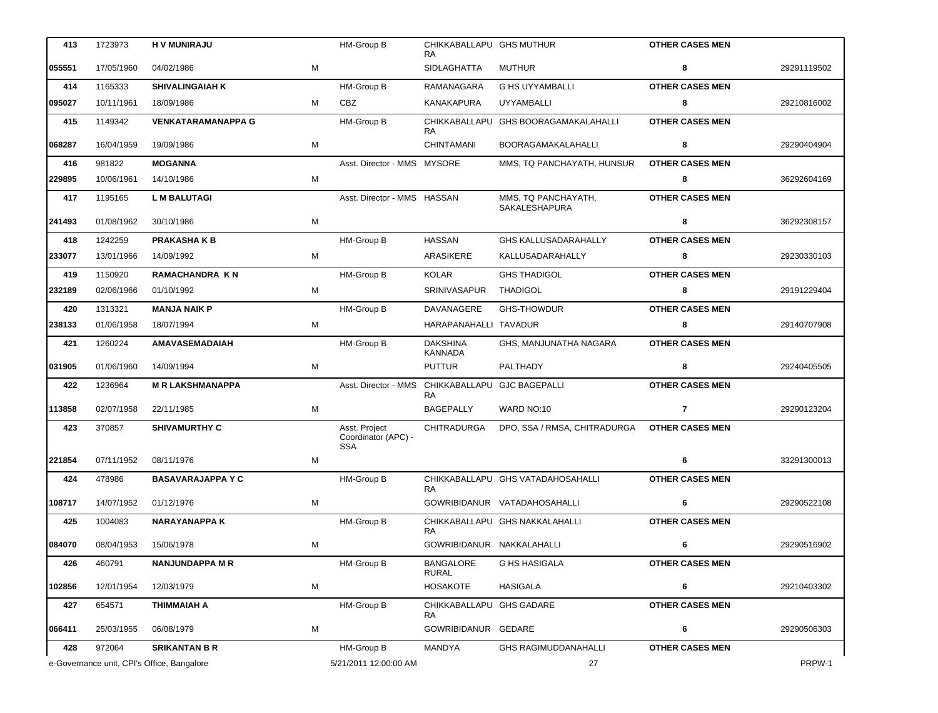| 413    | 1723973                                    | <b>HV MUNIRAJU</b>        |   | <b>HM-Group B</b>                                  | CHIKKABALLAPU GHS MUTHUR<br><b>RA</b>    |                                      | <b>OTHER CASES MEN</b> |             |
|--------|--------------------------------------------|---------------------------|---|----------------------------------------------------|------------------------------------------|--------------------------------------|------------------------|-------------|
| 055551 | 17/05/1960                                 | 04/02/1986                | М |                                                    | SIDLAGHATTA                              | MUTHUR                               | 8                      | 29291119502 |
| 414    | 1165333                                    | <b>SHIVALINGAIAH K</b>    |   | HM-Group B                                         | RAMANAGARA                               | <b>G HS UYYAMBALLI</b>               | <b>OTHER CASES MEN</b> |             |
| 095027 | 10/11/1961                                 | 18/09/1986                | M | CBZ                                                | KANAKAPURA                               | <b>UYYAMBALLI</b>                    | 8                      | 29210816002 |
| 415    | 1149342                                    | <b>VENKATARAMANAPPA G</b> |   | HM-Group B                                         | CHIKKABALLAPU<br>RA.                     | <b>GHS BOORAGAMAKALAHALLI</b>        | <b>OTHER CASES MEN</b> |             |
| 068287 | 16/04/1959                                 | 19/09/1986                | М |                                                    | <b>CHINTAMANI</b>                        | <b>BOORAGAMAKALAHALLI</b>            | 8                      | 29290404904 |
| 416    | 981822                                     | <b>MOGANNA</b>            |   | Asst. Director - MMS MYSORE                        |                                          | MMS, TQ PANCHAYATH, HUNSUR           | <b>OTHER CASES MEN</b> |             |
| 229895 | 10/06/1961                                 | 14/10/1986                | М |                                                    |                                          |                                      | 8                      | 36292604169 |
| 417    | 1195165                                    | <b>L M BALUTAGI</b>       |   | Asst. Director - MMS HASSAN                        |                                          | MMS, TQ PANCHAYATH,<br>SAKALESHAPURA | <b>OTHER CASES MEN</b> |             |
| 241493 | 01/08/1962                                 | 30/10/1986                | М |                                                    |                                          |                                      | 8                      | 36292308157 |
| 418    | 1242259                                    | <b>PRAKASHAKB</b>         |   | <b>HM-Group B</b>                                  | <b>HASSAN</b>                            | <b>GHS KALLUSADARAHALLY</b>          | <b>OTHER CASES MEN</b> |             |
| 233077 | 13/01/1966                                 | 14/09/1992                | M |                                                    | <b>ARASIKERE</b>                         | KALLUSADARAHALLY                     | 8                      | 29230330103 |
| 419    | 1150920                                    | <b>RAMACHANDRA KN</b>     |   | <b>HM-Group B</b>                                  | <b>KOLAR</b>                             | <b>GHS THADIGOL</b>                  | <b>OTHER CASES MEN</b> |             |
| 232189 | 02/06/1966                                 | 01/10/1992                | М |                                                    | <b>SRINIVASAPUR</b>                      | <b>THADIGOL</b>                      | 8                      | 29191229404 |
| 420    | 1313321                                    | <b>MANJA NAIK P</b>       |   | <b>HM-Group B</b>                                  | DAVANAGERE                               | <b>GHS-THOWDUR</b>                   | <b>OTHER CASES MEN</b> |             |
| 238133 | 01/06/1958                                 | 18/07/1994                | M |                                                    | HARAPANAHALLI TAVADUR                    |                                      | 8                      | 29140707908 |
| 421    | 1260224                                    | <b>AMAVASEMADAIAH</b>     |   | HM-Group B                                         | <b>DAKSHINA</b><br><b>KANNADA</b>        | GHS, MANJUNATHA NAGARA               | <b>OTHER CASES MEN</b> |             |
| 031905 | 01/06/1960                                 | 14/09/1994                | М |                                                    | <b>PUTTUR</b>                            | PALTHADY                             | 8                      | 29240405505 |
| 422    | 1236964                                    | <b>M R LAKSHMANAPPA</b>   |   | Asst. Director - MMS                               | CHIKKABALLAPU GJC BAGEPALLI<br><b>RA</b> |                                      | <b>OTHER CASES MEN</b> |             |
| 113858 | 02/07/1958                                 | 22/11/1985                | М |                                                    | <b>BAGEPALLY</b>                         | WARD NO:10                           | $\overline{7}$         | 29290123204 |
| 423    | 370857                                     | <b>SHIVAMURTHY C</b>      |   | Asst. Project<br>Coordinator (APC) -<br><b>SSA</b> | CHITRADURGA                              | DPO, SSA / RMSA, CHITRADURGA         | <b>OTHER CASES MEN</b> |             |
| 221854 | 07/11/1952                                 | 08/11/1976                | M |                                                    |                                          |                                      | 6                      | 33291300013 |
| 424    | 478986                                     | <b>BASAVARAJAPPA Y C</b>  |   | HM-Group B                                         | <b>RA</b>                                | CHIKKABALLAPU GHS VATADAHOSAHALLI    | <b>OTHER CASES MEN</b> |             |
| 108717 | 14/07/1952                                 | 01/12/1976                | м |                                                    |                                          | GOWRIBIDANUR VATADAHOSAHALLI         | 6                      | 29290522108 |
| 425    | 1004083                                    | <b>NARAYANAPPAK</b>       |   | HM-Group B                                         | RA.                                      | CHIKKABALLAPU GHS NAKKALAHALLI       | <b>OTHER CASES MEN</b> |             |
| 084070 | 08/04/1953                                 | 15/06/1978                | М |                                                    | GOWRIBIDANUR NAKKALAHALLI                |                                      | 6                      | 29290516902 |
| 426    | 460791                                     | <b>NANJUNDAPPA M R</b>    |   | HM-Group B                                         | <b>BANGALORE</b><br><b>RURAL</b>         | G HS HASIGALA                        | <b>OTHER CASES MEN</b> |             |
| 102856 | 12/01/1954                                 | 12/03/1979                | M |                                                    | <b>HOSAKOTE</b>                          | HASIGALA                             | 6                      | 29210403302 |
| 427    | 654571                                     | <b>THIMMAIAH A</b>        |   | HM-Group B                                         | CHIKKABALLAPU GHS GADARE<br>RA           |                                      | <b>OTHER CASES MEN</b> |             |
| 066411 | 25/03/1955                                 | 06/08/1979                | М |                                                    | GOWRIBIDANUR GEDARE                      |                                      | 6                      | 29290506303 |
| 428    | 972064                                     | <b>SRIKANTAN B R</b>      |   | HM-Group B                                         | MANDYA                                   | <b>GHS RAGIMUDDANAHALLI</b>          | <b>OTHER CASES MEN</b> |             |
|        | e-Governance unit, CPI's Office, Bangalore |                           |   | 5/21/2011 12:00:00 AM                              |                                          | 27                                   |                        | PRPW-1      |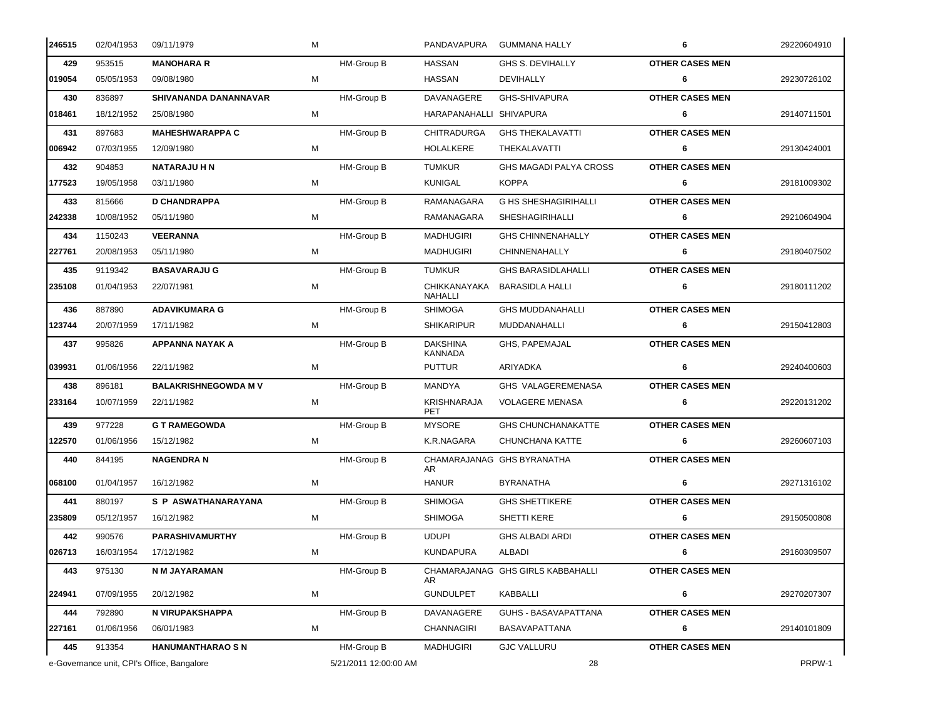| 246515 | 02/04/1953                                 | 09/11/1979                  | м |                       | PANDAVAPURA                       | <b>GUMMANA HALLY</b>              | 6                      | 29220604910 |
|--------|--------------------------------------------|-----------------------------|---|-----------------------|-----------------------------------|-----------------------------------|------------------------|-------------|
| 429    | 953515                                     | <b>MANOHARA R</b>           |   | HM-Group B            | <b>HASSAN</b>                     | GHS S. DEVIHALLY                  | <b>OTHER CASES MEN</b> |             |
| 019054 | 05/05/1953                                 | 09/08/1980                  | М |                       | HASSAN                            | DEVIHALLY                         | 6                      | 29230726102 |
| 430    | 836897                                     | SHIVANANDA DANANNAVAR       |   | HM-Group B            | DAVANAGERE                        | GHS-SHIVAPURA                     | <b>OTHER CASES MEN</b> |             |
| 018461 | 18/12/1952                                 | 25/08/1980                  | м |                       | HARAPANAHALLI SHIVAPURA           |                                   | 6                      | 29140711501 |
| 431    | 897683                                     | <b>MAHESHWARAPPA C</b>      |   | HM-Group B            | CHITRADURGA                       | <b>GHS THEKALAVATTI</b>           | <b>OTHER CASES MEN</b> |             |
| 006942 | 07/03/1955                                 | 12/09/1980                  | м |                       | <b>HOLALKERE</b>                  | THEKALAVATTI                      | 6                      | 29130424001 |
| 432    | 904853                                     | <b>NATARAJU H N</b>         |   | HM-Group B            | <b>TUMKUR</b>                     | <b>GHS MAGADI PALYA CROSS</b>     | <b>OTHER CASES MEN</b> |             |
| 177523 | 19/05/1958                                 | 03/11/1980                  | м |                       | <b>KUNIGAL</b>                    | <b>KOPPA</b>                      | 6                      | 29181009302 |
| 433    | 815666                                     | <b>D CHANDRAPPA</b>         |   | HM-Group B            | RAMANAGARA                        | <b>G HS SHESHAGIRIHALLI</b>       | <b>OTHER CASES MEN</b> |             |
| 242338 | 10/08/1952                                 | 05/11/1980                  | м |                       | RAMANAGARA                        | <b>SHESHAGIRIHALLI</b>            | 6                      | 29210604904 |
| 434    | 1150243                                    | <b>VEERANNA</b>             |   | HM-Group B            | <b>MADHUGIRI</b>                  | <b>GHS CHINNENAHALLY</b>          | <b>OTHER CASES MEN</b> |             |
| 227761 | 20/08/1953                                 | 05/11/1980                  | м |                       | <b>MADHUGIRI</b>                  | CHINNENAHALLY                     | 6                      | 29180407502 |
| 435    | 9119342                                    | <b>BASAVARAJU G</b>         |   | HM-Group B            | <b>TUMKUR</b>                     | <b>GHS BARASIDLAHALLI</b>         | <b>OTHER CASES MEN</b> |             |
| 235108 | 01/04/1953                                 | 22/07/1981                  | M |                       | CHIKKANAYAKA<br>NAHALLI           | <b>BARASIDLA HALLI</b>            | 6                      | 29180111202 |
| 436    | 887890                                     | <b>ADAVIKUMARA G</b>        |   | <b>HM-Group B</b>     | <b>SHIMOGA</b>                    | <b>GHS MUDDANAHALLI</b>           | <b>OTHER CASES MEN</b> |             |
| 123744 | 20/07/1959                                 | 17/11/1982                  | м |                       | <b>SHIKARIPUR</b>                 | MUDDANAHALLI                      | 6                      | 29150412803 |
| 437    | 995826                                     | APPANNA NAYAK A             |   | HM-Group B            | <b>DAKSHINA</b><br><b>KANNADA</b> | GHS, PAPEMAJAL                    | <b>OTHER CASES MEN</b> |             |
| 039931 | 01/06/1956                                 | 22/11/1982                  | м |                       | <b>PUTTUR</b>                     | ARIYADKA                          | 6                      | 29240400603 |
| 438    | 896181                                     | <b>BALAKRISHNEGOWDA M V</b> |   | <b>HM-Group B</b>     | MANDYA                            | GHS VALAGEREMENASA                | <b>OTHER CASES MEN</b> |             |
| 233164 | 10/07/1959                                 | 22/11/1982                  | М |                       | KRISHNARAJA<br>PET                | <b>VOLAGERE MENASA</b>            | 6                      | 29220131202 |
| 439    | 977228                                     | <b>G T RAMEGOWDA</b>        |   | <b>HM-Group B</b>     | <b>MYSORE</b>                     | <b>GHS CHUNCHANAKATTE</b>         | <b>OTHER CASES MEN</b> |             |
| 122570 | 01/06/1956                                 | 15/12/1982                  | м |                       | K.R.NAGARA                        | CHUNCHANA KATTE                   | 6                      | 29260607103 |
| 440    | 844195                                     | <b>NAGENDRA N</b>           |   | HM-Group B            | AR                                | CHAMARAJANAG GHS BYRANATHA        | <b>OTHER CASES MEN</b> |             |
| 068100 | 01/04/1957                                 | 16/12/1982                  | м |                       | <b>HANUR</b>                      | <b>BYRANATHA</b>                  | 6                      | 29271316102 |
| 441    | 880197                                     | S P ASWATHANARAYANA         |   | HM-Group B            | <b>SHIMOGA</b>                    | <b>GHS SHETTIKERE</b>             | <b>OTHER CASES MEN</b> |             |
| 235809 | 05/12/1957                                 | 16/12/1982                  | м |                       | <b>SHIMOGA</b>                    | SHETTI KERE                       | 6                      | 29150500808 |
| 442    | 990576                                     | PARASHIVAMURTHY             |   | HM-Group B            | <b>UDUPI</b>                      | <b>GHS ALBADI ARDI</b>            | <b>OTHER CASES MEN</b> |             |
| 026713 | 16/03/1954                                 | 17/12/1982                  | м |                       | <b>KUNDAPURA</b>                  | ALBADI                            | 6                      | 29160309507 |
| 443    | 975130                                     | N M JAYARAMAN               |   | HM-Group B            | AR.                               | CHAMARAJANAG GHS GIRLS KABBAHALLI | <b>OTHER CASES MEN</b> |             |
| 224941 | 07/09/1955                                 | 20/12/1982                  | М |                       | <b>GUNDULPET</b>                  | KABBALLI                          | 6                      | 29270207307 |
| 444    | 792890                                     | N VIRUPAKSHAPPA             |   | HM-Group B            | DAVANAGERE                        | GUHS - BASAVAPATTANA              | <b>OTHER CASES MEN</b> |             |
| 227161 | 01/06/1956                                 | 06/01/1983                  | м |                       | <b>CHANNAGIRI</b>                 | <b>BASAVAPATTANA</b>              | 6                      | 29140101809 |
| 445    | 913354                                     | <b>HANUMANTHARAO S N</b>    |   | HM-Group B            | MADHUGIRI                         | <b>GJC VALLURU</b>                | <b>OTHER CASES MEN</b> |             |
|        | e-Governance unit, CPI's Office, Bangalore |                             |   | 5/21/2011 12:00:00 AM |                                   | 28                                |                        | PRPW-1      |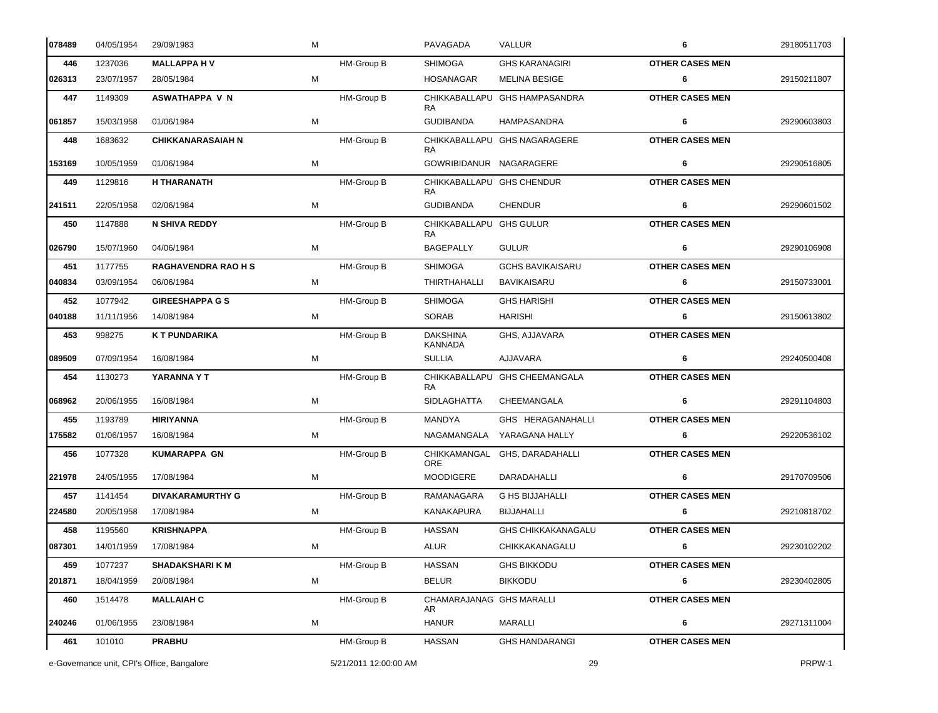| 078489 | 04/05/1954 | 29/09/1983                                 | М |                       | PAVAGADA                          | VALLUR                        | 6                      | 29180511703 |
|--------|------------|--------------------------------------------|---|-----------------------|-----------------------------------|-------------------------------|------------------------|-------------|
| 446    | 1237036    | <b>MALLAPPA HV</b>                         |   | HM-Group B            | <b>SHIMOGA</b>                    | <b>GHS KARANAGIRI</b>         | <b>OTHER CASES MEN</b> |             |
| 026313 | 23/07/1957 | 28/05/1984                                 | M |                       | <b>HOSANAGAR</b>                  | <b>MELINA BESIGE</b>          | 6                      | 29150211807 |
| 447    | 1149309    | <b>ASWATHAPPA V N</b>                      |   | HM-Group B            | CHIKKABALLAPU<br><b>RA</b>        | <b>GHS HAMPASANDRA</b>        | <b>OTHER CASES MEN</b> |             |
| 061857 | 15/03/1958 | 01/06/1984                                 | M |                       | <b>GUDIBANDA</b>                  | HAMPASANDRA                   | 6                      | 29290603803 |
| 448    | 1683632    | <b>CHIKKANARASAIAH N</b>                   |   | HM-Group B            | RA                                | CHIKKABALLAPU GHS NAGARAGERE  | <b>OTHER CASES MEN</b> |             |
| 153169 | 10/05/1959 | 01/06/1984                                 | М |                       | GOWRIBIDANUR NAGARAGERE           |                               | 6                      | 29290516805 |
| 449    | 1129816    | <b>H THARANATH</b>                         |   | HM-Group B            | CHIKKABALLAPU GHS CHENDUR<br>RA.  |                               | <b>OTHER CASES MEN</b> |             |
| 241511 | 22/05/1958 | 02/06/1984                                 | M |                       | <b>GUDIBANDA</b>                  | <b>CHENDUR</b>                | 6                      | 29290601502 |
| 450    | 1147888    | <b>N SHIVA REDDY</b>                       |   | HM-Group B            | CHIKKABALLAPU GHS GULUR<br>RA.    |                               | <b>OTHER CASES MEN</b> |             |
| 026790 | 15/07/1960 | 04/06/1984                                 | M |                       | <b>BAGEPALLY</b>                  | <b>GULUR</b>                  | 6                      | 29290106908 |
| 451    | 1177755    | <b>RAGHAVENDRA RAO H S</b>                 |   | <b>HM-Group B</b>     | <b>SHIMOGA</b>                    | <b>GCHS BAVIKAISARU</b>       | <b>OTHER CASES MEN</b> |             |
| 040834 | 03/09/1954 | 06/06/1984                                 | м |                       | <b>THIRTHAHALLI</b>               | <b>BAVIKAISARU</b>            | 6                      | 29150733001 |
| 452    | 1077942    | <b>GIREESHAPPA G S</b>                     |   | HM-Group B            | <b>SHIMOGA</b>                    | <b>GHS HARISHI</b>            | <b>OTHER CASES MEN</b> |             |
| 040188 | 11/11/1956 | 14/08/1984                                 | М |                       | <b>SORAB</b>                      | <b>HARISHI</b>                | 6                      | 29150613802 |
| 453    | 998275     | K T PUNDARIKA                              |   | HM-Group B            | <b>DAKSHINA</b><br><b>KANNADA</b> | GHS, AJJAVARA                 | <b>OTHER CASES MEN</b> |             |
| 089509 | 07/09/1954 | 16/08/1984                                 | M |                       | <b>SULLIA</b>                     | AJJAVARA                      | 6                      | 29240500408 |
| 454    | 1130273    | YARANNA Y T                                |   | HM-Group B            | RA                                | CHIKKABALLAPU GHS CHEEMANGALA | <b>OTHER CASES MEN</b> |             |
| 068962 | 20/06/1955 | 16/08/1984                                 | М |                       | <b>SIDLAGHATTA</b>                | CHEEMANGALA                   | 6                      | 29291104803 |
| 455    | 1193789    | <b>HIRIYANNA</b>                           |   | HM-Group B            | MANDYA                            | GHS HERAGANAHALLI             | <b>OTHER CASES MEN</b> |             |
| 175582 | 01/06/1957 | 16/08/1984                                 | M |                       | NAGAMANGALA                       | YARAGANA HALLY                | 6                      | 29220536102 |
| 456    | 1077328    | <b>KUMARAPPA GN</b>                        |   | HM-Group B            | CHIKKAMANGAL<br><b>ORE</b>        | GHS, DARADAHALLI              | <b>OTHER CASES MEN</b> |             |
| 221978 | 24/05/1955 | 17/08/1984                                 | M |                       | <b>MOODIGERE</b>                  | <b>DARADAHALLI</b>            | 6                      | 29170709506 |
| 457    | 1141454    | <b>DIVAKARAMURTHY G</b>                    |   | HM-Group B            | RAMANAGARA                        | <b>G HS BIJJAHALLI</b>        | <b>OTHER CASES MEN</b> |             |
| 224580 | 20/05/1958 | 17/08/1984                                 | М |                       | KANAKAPURA                        | <b>BIJJAHALLI</b>             | 6                      | 29210818702 |
| 458    | 1195560    | <b>KRISHNAPPA</b>                          |   | HM-Group B            | <b>HASSAN</b>                     | <b>GHS CHIKKAKANAGALU</b>     | <b>OTHER CASES MEN</b> |             |
| 087301 | 14/01/1959 | 17/08/1984                                 | м |                       | ALUR                              | CHIKKAKANAGALU                | 6                      | 29230102202 |
| 459    | 1077237    | <b>SHADAKSHARI K M</b>                     |   | HM-Group B            | <b>HASSAN</b>                     | <b>GHS BIKKODU</b>            | <b>OTHER CASES MEN</b> |             |
| 201871 | 18/04/1959 | 20/08/1984                                 | м |                       | <b>BELUR</b>                      | <b>BIKKODU</b>                | 6                      | 29230402805 |
| 460    | 1514478    | <b>MALLAIAH C</b>                          |   | HM-Group B            | CHAMARAJANAG GHS MARALLI<br>AR.   |                               | <b>OTHER CASES MEN</b> |             |
| 240246 | 01/06/1955 | 23/08/1984                                 | M |                       | <b>HANUR</b>                      | MARALLI                       | 6                      | 29271311004 |
| 461    | 101010     | <b>PRABHU</b>                              |   | HM-Group B            | <b>HASSAN</b>                     | <b>GHS HANDARANGI</b>         | <b>OTHER CASES MEN</b> |             |
|        |            | e-Governance unit, CPI's Office, Bangalore |   | 5/21/2011 12:00:00 AM |                                   | 29                            |                        | PRPW-1      |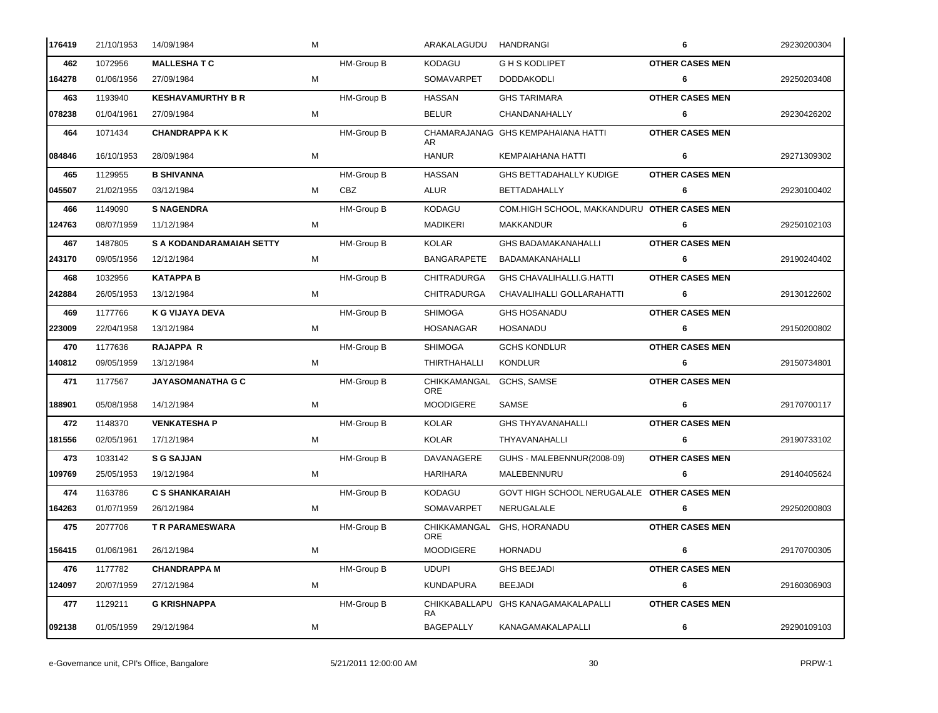| 176419 | 21/10/1953 | 14/09/1984                      | м |            | ARAKALAGUDU                            | HANDRANGI                                   | 6                      | 29230200304 |
|--------|------------|---------------------------------|---|------------|----------------------------------------|---------------------------------------------|------------------------|-------------|
| 462    | 1072956    | <b>MALLESHATC</b>               |   | HM-Group B | KODAGU                                 | <b>GHS KODLIPET</b>                         | <b>OTHER CASES MEN</b> |             |
| 164278 | 01/06/1956 | 27/09/1984                      | М |            | SOMAVARPET                             | <b>DODDAKODLI</b>                           | 6                      | 29250203408 |
| 463    | 1193940    | <b>KESHAVAMURTHY B R</b>        |   | HM-Group B | <b>HASSAN</b>                          | <b>GHS TARIMARA</b>                         | <b>OTHER CASES MEN</b> |             |
| 078238 | 01/04/1961 | 27/09/1984                      | М |            | <b>BELUR</b>                           | CHANDANAHALLY                               | 6                      | 29230426202 |
| 464    | 1071434    | <b>CHANDRAPPA K K</b>           |   | HM-Group B | AR                                     | CHAMARAJANAG GHS KEMPAHAIANA HATTI          | <b>OTHER CASES MEN</b> |             |
| 084846 | 16/10/1953 | 28/09/1984                      | М |            | <b>HANUR</b>                           | KEMPAIAHANA HATTI                           | 6                      | 29271309302 |
| 465    | 1129955    | <b>B SHIVANNA</b>               |   | HM-Group B | <b>HASSAN</b>                          | <b>GHS BETTADAHALLY KUDIGE</b>              | <b>OTHER CASES MEN</b> |             |
| 045507 | 21/02/1955 | 03/12/1984                      | М | CBZ        | ALUR                                   | <b>BETTADAHALLY</b>                         | 6                      | 29230100402 |
| 466    | 1149090    | <b>S NAGENDRA</b>               |   | HM-Group B | <b>KODAGU</b>                          | COM.HIGH SCHOOL, MAKKANDURU OTHER CASES MEN |                        |             |
| 124763 | 08/07/1959 | 11/12/1984                      | м |            | <b>MADIKERI</b>                        | MAKKANDUR                                   | 6                      | 29250102103 |
| 467    | 1487805    | <b>S A KODANDARAMAIAH SETTY</b> |   | HM-Group B | <b>KOLAR</b>                           | <b>GHS BADAMAKANAHALLI</b>                  | <b>OTHER CASES MEN</b> |             |
| 243170 | 09/05/1956 | 12/12/1984                      | м |            | <b>BANGARAPETE</b>                     | BADAMAKANAHALLI                             | 6                      | 29190240402 |
| 468    | 1032956    | <b>KATAPPA B</b>                |   | HM-Group B | <b>CHITRADURGA</b>                     | <b>GHS CHAVALIHALLI.G.HATTI</b>             | <b>OTHER CASES MEN</b> |             |
| 242884 | 26/05/1953 | 13/12/1984                      | м |            | <b>CHITRADURGA</b>                     | CHAVALIHALLI GOLLARAHATTI                   | 6                      | 29130122602 |
| 469    | 1177766    | <b>K G VIJAYA DEVA</b>          |   | HM-Group B | <b>SHIMOGA</b>                         | <b>GHS HOSANADU</b>                         | <b>OTHER CASES MEN</b> |             |
| 223009 | 22/04/1958 | 13/12/1984                      | М |            | HOSANAGAR                              | <b>HOSANADU</b>                             | 6                      | 29150200802 |
| 470    | 1177636    | <b>RAJAPPA R</b>                |   | HM-Group B | <b>SHIMOGA</b>                         | <b>GCHS KONDLUR</b>                         | <b>OTHER CASES MEN</b> |             |
| 140812 | 09/05/1959 | 13/12/1984                      | М |            | THIRTHAHALLI                           | <b>KONDLUR</b>                              | 6                      | 29150734801 |
| 471    | 1177567    | <b>JAYASOMANATHA G C</b>        |   | HM-Group B | CHIKKAMANGAL GCHS, SAMSE<br><b>ORE</b> |                                             | <b>OTHER CASES MEN</b> |             |
| 188901 | 05/08/1958 | 14/12/1984                      | M |            | <b>MOODIGERE</b>                       | SAMSE                                       | 6                      | 29170700117 |
| 472    | 1148370    | <b>VENKATESHA P</b>             |   | HM-Group B | <b>KOLAR</b>                           | <b>GHS THYAVANAHALLI</b>                    | <b>OTHER CASES MEN</b> |             |
| 181556 | 02/05/1961 | 17/12/1984                      | М |            | <b>KOLAR</b>                           | THYAVANAHALLI                               | 6                      | 29190733102 |
| 473    | 1033142    | <b>S G SAJJAN</b>               |   | HM-Group B | DAVANAGERE                             | GUHS - MALEBENNUR(2008-09)                  | <b>OTHER CASES MEN</b> |             |
| 109769 | 25/05/1953 | 19/12/1984                      | М |            | HARIHARA                               | MALEBENNURU                                 | 6                      | 29140405624 |
| 474    | 1163786    | <b>C S SHANKARAIAH</b>          |   | HM-Group B | KODAGU                                 | GOVT HIGH SCHOOL NERUGALALE OTHER CASES MEN |                        |             |
| 164263 | 01/07/1959 | 26/12/1984                      | M |            | SOMAVARPET                             | NERUGALALE                                  | 6                      | 29250200803 |
| 475    | 2077706    | T R PARAMESWARA                 |   | HM-Group B | CHIKKAMANGAL<br><b>ORE</b>             | GHS, HORANADU                               | <b>OTHER CASES MEN</b> |             |
| 156415 | 01/06/1961 | 26/12/1984                      | M |            | <b>MOODIGERE</b>                       | HORNADU                                     | 6                      | 29170700305 |
| 476    | 1177782    | <b>CHANDRAPPA M</b>             |   | HM-Group B | <b>UDUPI</b>                           | <b>GHS BEEJADI</b>                          | <b>OTHER CASES MEN</b> |             |
| 124097 | 20/07/1959 | 27/12/1984                      | М |            | <b>KUNDAPURA</b>                       | <b>BEEJADI</b>                              | 6                      | 29160306903 |
| 477    | 1129211    | <b>G KRISHNAPPA</b>             |   | HM-Group B | CHIKKABALLAPU<br>RA.                   | <b>GHS KANAGAMAKALAPALLI</b>                | <b>OTHER CASES MEN</b> |             |
| 092138 | 01/05/1959 | 29/12/1984                      | М |            | <b>BAGEPALLY</b>                       | KANAGAMAKALAPALLI                           | 6                      | 29290109103 |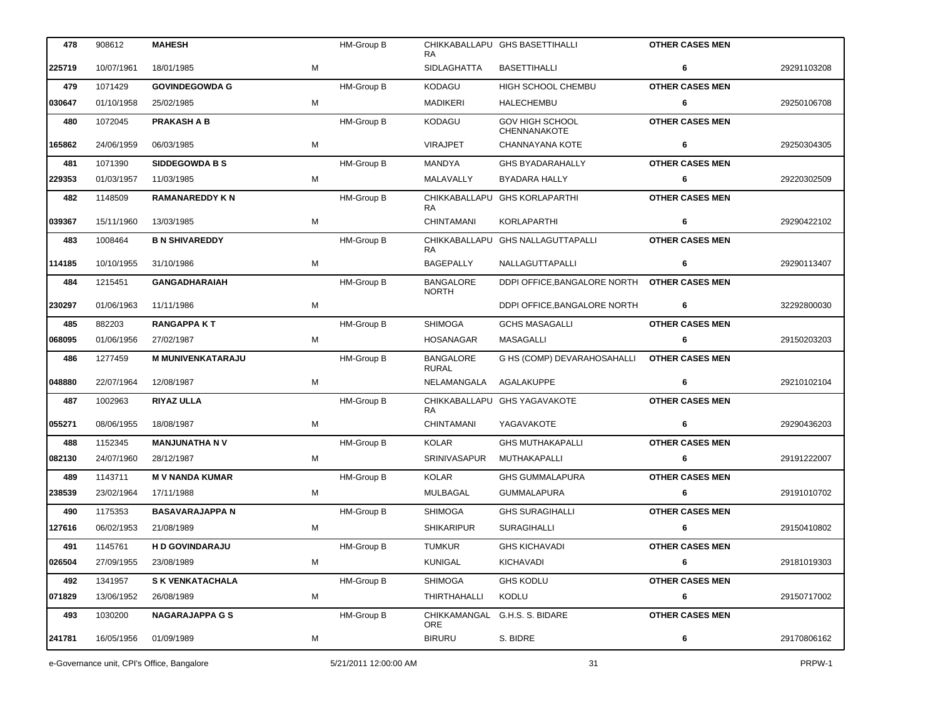| 478    | 908612     | <b>MAHESH</b>            |   | HM-Group B        | RA                               | CHIKKABALLAPU GHS BASETTIHALLI         | <b>OTHER CASES MEN</b> |             |
|--------|------------|--------------------------|---|-------------------|----------------------------------|----------------------------------------|------------------------|-------------|
| 225719 | 10/07/1961 | 18/01/1985               | М |                   | <b>SIDLAGHATTA</b>               | <b>BASETTIHALLI</b>                    | 6                      | 29291103208 |
| 479    | 1071429    | <b>GOVINDEGOWDA G</b>    |   | <b>HM-Group B</b> | <b>KODAGU</b>                    | HIGH SCHOOL CHEMBU                     | <b>OTHER CASES MEN</b> |             |
| 030647 | 01/10/1958 | 25/02/1985               | M |                   | <b>MADIKERI</b>                  | HALECHEMBU                             | 6                      | 29250106708 |
| 480    | 1072045    | <b>PRAKASH A B</b>       |   | HM-Group B        | <b>KODAGU</b>                    | <b>GOV HIGH SCHOOL</b><br>CHENNANAKOTE | <b>OTHER CASES MEN</b> |             |
| 165862 | 24/06/1959 | 06/03/1985               | M |                   | <b>VIRAJPET</b>                  | CHANNAYANA KOTE                        | 6                      | 29250304305 |
| 481    | 1071390    | <b>SIDDEGOWDA B S</b>    |   | HM-Group B        | <b>MANDYA</b>                    | <b>GHS BYADARAHALLY</b>                | <b>OTHER CASES MEN</b> |             |
| 229353 | 01/03/1957 | 11/03/1985               | М |                   | MALAVALLY                        | <b>BYADARA HALLY</b>                   | 6                      | 29220302509 |
| 482    | 1148509    | <b>RAMANAREDDY KN</b>    |   | HM-Group B        | CHIKKABALLAPU<br>RA              | <b>GHS KORLAPARTHI</b>                 | <b>OTHER CASES MEN</b> |             |
| 039367 | 15/11/1960 | 13/03/1985               | M |                   | <b>CHINTAMANI</b>                | KORLAPARTHI                            | 6                      | 29290422102 |
| 483    | 1008464    | <b>B N SHIVAREDDY</b>    |   | HM-Group B        | CHIKKABALLAPU<br>RA              | <b>GHS NALLAGUTTAPALLI</b>             | <b>OTHER CASES MEN</b> |             |
| 114185 | 10/10/1955 | 31/10/1986               | М |                   | <b>BAGEPALLY</b>                 | NALLAGUTTAPALLI                        | 6                      | 29290113407 |
| 484    | 1215451    | <b>GANGADHARAIAH</b>     |   | HM-Group B        | <b>BANGALORE</b><br><b>NORTH</b> | DDPI OFFICE, BANGALORE NORTH           | <b>OTHER CASES MEN</b> |             |
| 230297 | 01/06/1963 | 11/11/1986               | М |                   |                                  | DDPI OFFICE, BANGALORE NORTH           | 6                      | 32292800030 |
| 485    | 882203     | <b>RANGAPPAKT</b>        |   | <b>HM-Group B</b> | <b>SHIMOGA</b>                   | <b>GCHS MASAGALLI</b>                  | <b>OTHER CASES MEN</b> |             |
| 068095 | 01/06/1956 | 27/02/1987               | М |                   | HOSANAGAR                        | MASAGALLI                              | 6                      | 29150203203 |
| 486    | 1277459    | <b>M MUNIVENKATARAJU</b> |   | HM-Group B        | <b>BANGALORE</b><br>RURAL        | G HS (COMP) DEVARAHOSAHALLI            | <b>OTHER CASES MEN</b> |             |
| 048880 | 22/07/1964 | 12/08/1987               | М |                   | NELAMANGALA                      | AGALAKUPPE                             | 6                      | 29210102104 |
| 487    | 1002963    | <b>RIYAZ ULLA</b>        |   | HM-Group B        | RA                               | CHIKKABALLAPU GHS YAGAVAKOTE           | <b>OTHER CASES MEN</b> |             |
| 055271 | 08/06/1955 | 18/08/1987               | М |                   | <b>CHINTAMANI</b>                | YAGAVAKOTE                             | 6                      | 29290436203 |
| 488    | 1152345    | <b>MANJUNATHA NV</b>     |   | HM-Group B        | <b>KOLAR</b>                     | <b>GHS MUTHAKAPALLI</b>                | <b>OTHER CASES MEN</b> |             |
| 082130 | 24/07/1960 | 28/12/1987               | М |                   | SRINIVASAPUR                     | MUTHAKAPALLI                           | 6                      | 29191222007 |
| 489    | 1143711    | <b>M V NANDA KUMAR</b>   |   | HM-Group B        | <b>KOLAR</b>                     | <b>GHS GUMMALAPURA</b>                 | <b>OTHER CASES MEN</b> |             |
| 238539 | 23/02/1964 | 17/11/1988               | M |                   | MULBAGAL                         | <b>GUMMALAPURA</b>                     | 6                      | 29191010702 |
| 490    | 1175353    | <b>BASAVARAJAPPA N</b>   |   | HM-Group B        | <b>SHIMOGA</b>                   | <b>GHS SURAGIHALLI</b>                 | <b>OTHER CASES MEN</b> |             |
| 127616 | 06/02/1953 | 21/08/1989               | M |                   | <b>SHIKARIPUR</b>                | <b>SURAGIHALLI</b>                     | 6                      | 29150410802 |
| 491    | 1145761    | <b>HD GOVINDARAJU</b>    |   | HM-Group B        | <b>TUMKUR</b>                    | <b>GHS KICHAVADI</b>                   | <b>OTHER CASES MEN</b> |             |
| 026504 | 27/09/1955 | 23/08/1989               | M |                   | <b>KUNIGAL</b>                   | KICHAVADI                              | 6                      | 29181019303 |
| 492    | 1341957    | <b>S K VENKATACHALA</b>  |   | HM-Group B        | <b>SHIMOGA</b>                   | <b>GHS KODLU</b>                       | <b>OTHER CASES MEN</b> |             |
| 071829 | 13/06/1952 | 26/08/1989               | М |                   | THIRTHAHALLI                     | KODLU                                  | 6                      | 29150717002 |
| 493    | 1030200    | <b>NAGARAJAPPA G S</b>   |   | HM-Group B        | <b>ORE</b>                       | CHIKKAMANGAL G.H.S. S. BIDARE          | <b>OTHER CASES MEN</b> |             |
| 241781 | 16/05/1956 | 01/09/1989               | М |                   | <b>BIRURU</b>                    | S. BIDRE                               | 6                      | 29170806162 |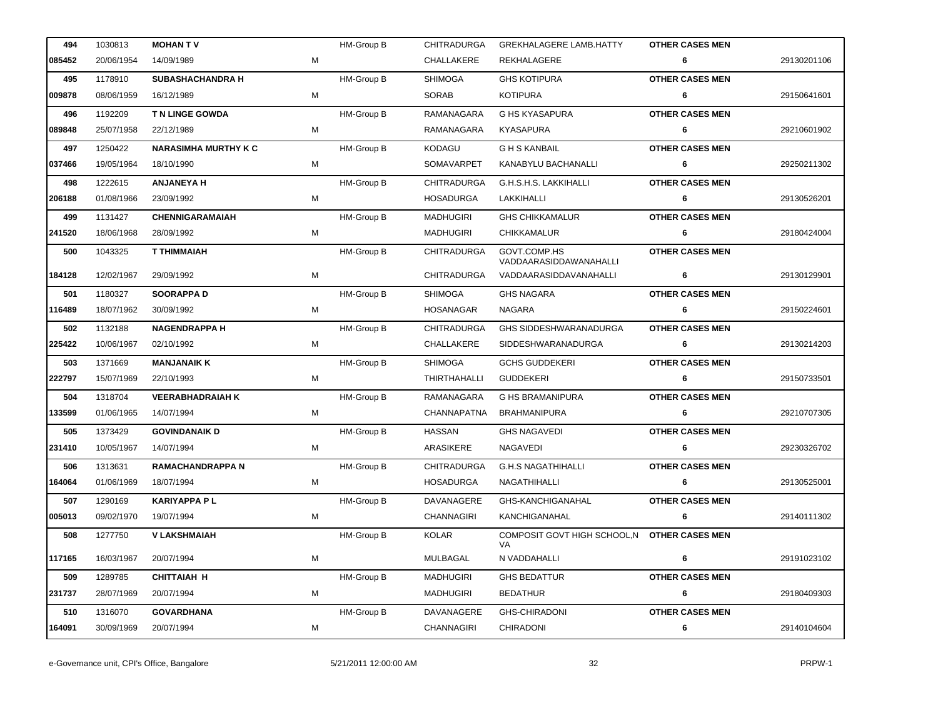| 494    | 1030813    | <b>MOHAN TV</b>             |   | HM-Group B        | <b>CHITRADURGA</b> | <b>GREKHALAGERE LAMB.HATTY</b>                      | <b>OTHER CASES MEN</b> |             |
|--------|------------|-----------------------------|---|-------------------|--------------------|-----------------------------------------------------|------------------------|-------------|
| 085452 | 20/06/1954 | 14/09/1989                  | м |                   | CHALLAKERE         | REKHALAGERE                                         | 6                      | 29130201106 |
| 495    | 1178910    | <b>SUBASHACHANDRA H</b>     |   | <b>HM-Group B</b> | <b>SHIMOGA</b>     | <b>GHS KOTIPURA</b>                                 | <b>OTHER CASES MEN</b> |             |
| 009878 | 08/06/1959 | 16/12/1989                  | М |                   | <b>SORAB</b>       | <b>KOTIPURA</b>                                     | 6                      | 29150641601 |
| 496    | 1192209    | T N LINGE GOWDA             |   | <b>HM-Group B</b> | RAMANAGARA         | G HS KYASAPURA                                      | <b>OTHER CASES MEN</b> |             |
| 089848 | 25/07/1958 | 22/12/1989                  | M |                   | RAMANAGARA         | KYASAPURA                                           | 6                      | 29210601902 |
| 497    | 1250422    | <b>NARASIMHA MURTHY K C</b> |   | <b>HM-Group B</b> | KODAGU             | <b>G H S KANBAIL</b>                                | <b>OTHER CASES MEN</b> |             |
| 037466 | 19/05/1964 | 18/10/1990                  | M |                   | SOMAVARPET         | KANABYLU BACHANALLI                                 | 6                      | 29250211302 |
| 498    | 1222615    | <b>ANJANEYA H</b>           |   | <b>HM-Group B</b> | <b>CHITRADURGA</b> | G.H.S.H.S. LAKKIHALLI                               | <b>OTHER CASES MEN</b> |             |
| 206188 | 01/08/1966 | 23/09/1992                  | м |                   | HOSADURGA          | LAKKIHALLI                                          | 6                      | 29130526201 |
| 499    | 1131427    | <b>CHENNIGARAMAIAH</b>      |   | HM-Group B        | <b>MADHUGIRI</b>   | <b>GHS CHIKKAMALUR</b>                              | <b>OTHER CASES MEN</b> |             |
| 241520 | 18/06/1968 | 28/09/1992                  | M |                   | MADHUGIRI          | CHIKKAMALUR                                         | 6                      | 29180424004 |
| 500    | 1043325    | T THIMMAIAH                 |   | HM-Group B        | <b>CHITRADURGA</b> | GOVT.COMP.HS<br>VADDAARASIDDAWANAHALLI              | <b>OTHER CASES MEN</b> |             |
| 184128 | 12/02/1967 | 29/09/1992                  | M |                   | <b>CHITRADURGA</b> | VADDAARASIDDAVANAHALLI                              | 6                      | 29130129901 |
| 501    | 1180327    | <b>SOORAPPA D</b>           |   | HM-Group B        | <b>SHIMOGA</b>     | <b>GHS NAGARA</b>                                   | <b>OTHER CASES MEN</b> |             |
| 116489 | 18/07/1962 | 30/09/1992                  | м |                   | HOSANAGAR          | NAGARA                                              | 6                      | 29150224601 |
| 502    | 1132188    | <b>NAGENDRAPPA H</b>        |   | HM-Group B        | CHITRADURGA        | GHS SIDDESHWARANADURGA                              | <b>OTHER CASES MEN</b> |             |
| 225422 | 10/06/1967 | 02/10/1992                  | M |                   | CHALLAKERE         | SIDDESHWARANADURGA                                  | 6                      | 29130214203 |
| 503    | 1371669    | <b>MANJANAIK K</b>          |   | HM-Group B        | SHIMOGA            | <b>GCHS GUDDEKERI</b>                               | <b>OTHER CASES MEN</b> |             |
| 222797 | 15/07/1969 | 22/10/1993                  | M |                   | THIRTHAHALLI       | GUDDEKERI                                           | 6                      | 29150733501 |
| 504    | 1318704    | <b>VEERABHADRAIAH K</b>     |   | HM-Group B        | RAMANAGARA         | <b>G HS BRAMANIPURA</b>                             | <b>OTHER CASES MEN</b> |             |
| 133599 | 01/06/1965 | 14/07/1994                  | M |                   | CHANNAPATNA        | <b>BRAHMANIPURA</b>                                 | 6                      | 29210707305 |
| 505    | 1373429    | <b>GOVINDANAIK D</b>        |   | HM-Group B        | <b>HASSAN</b>      | <b>GHS NAGAVEDI</b>                                 | <b>OTHER CASES MEN</b> |             |
| 231410 | 10/05/1967 | 14/07/1994                  | M |                   | ARASIKERE          | NAGAVEDI                                            | 6                      | 29230326702 |
| 506    | 1313631    | <b>RAMACHANDRAPPA N</b>     |   | HM-Group B        | CHITRADURGA        | <b>G.H.S NAGATHIHALLI</b>                           | <b>OTHER CASES MEN</b> |             |
| 164064 | 01/06/1969 | 18/07/1994                  | М |                   | <b>HOSADURGA</b>   | NAGATHIHALLI                                        | 6                      | 29130525001 |
| 507    | 1290169    | <b>KARIYAPPA PL</b>         |   | HM-Group B        | DAVANAGERE         | GHS-KANCHIGANAHAL                                   | <b>OTHER CASES MEN</b> |             |
| 005013 | 09/02/1970 | 19/07/1994                  | M |                   | CHANNAGIRI         | KANCHIGANAHAL                                       | 6                      | 29140111302 |
| 508    | 1277750    | <b>V LAKSHMAIAH</b>         |   | HM-Group B        | KOLAR              | COMPOSIT GOVT HIGH SCHOOL, N OTHER CASES MEN<br>VA. |                        |             |
| 117165 | 16/03/1967 | 20/07/1994                  | М |                   | MULBAGAL           | N VADDAHALLI                                        | 6                      | 29191023102 |
| 509    | 1289785    | <b>CHITTAIAH H</b>          |   | HM-Group B        | <b>MADHUGIRI</b>   | <b>GHS BEDATTUR</b>                                 | <b>OTHER CASES MEN</b> |             |
| 231737 | 28/07/1969 | 20/07/1994                  | М |                   | <b>MADHUGIRI</b>   | <b>BEDATHUR</b>                                     | 6                      | 29180409303 |
| 510    | 1316070    | <b>GOVARDHANA</b>           |   | HM-Group B        | DAVANAGERE         | <b>GHS-CHIRADONI</b>                                | <b>OTHER CASES MEN</b> |             |
| 164091 | 30/09/1969 | 20/07/1994                  | M |                   | <b>CHANNAGIRI</b>  | <b>CHIRADONI</b>                                    | 6                      | 29140104604 |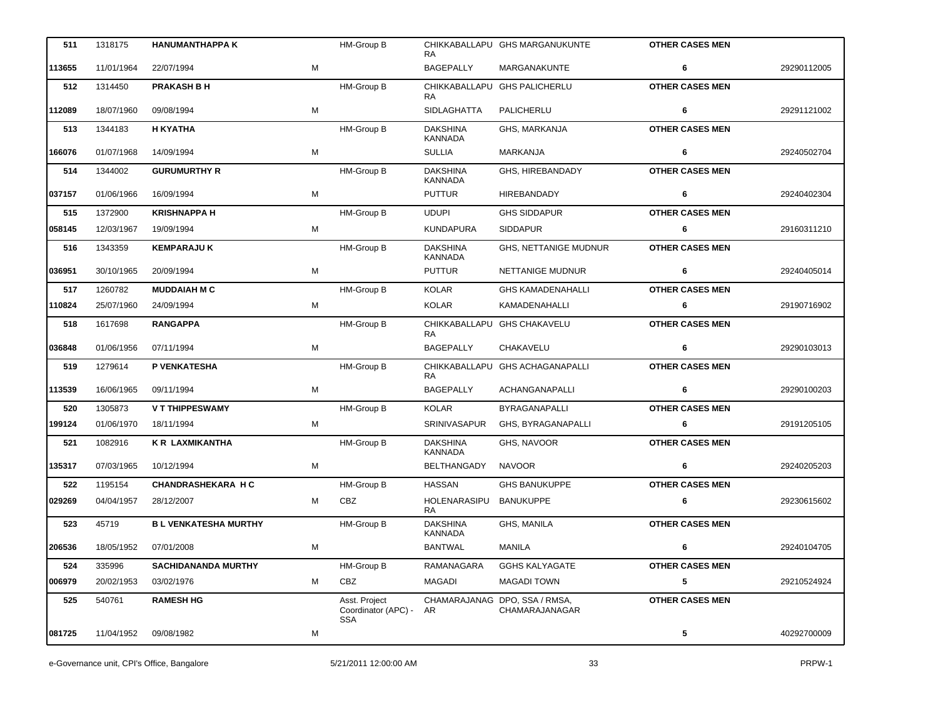| 511    | 1318175    | <b>HANUMANTHAPPA K</b>       |   | HM-Group B                                         | RA                                  | CHIKKABALLAPU GHS MARGANUKUNTE                  | <b>OTHER CASES MEN</b> |             |
|--------|------------|------------------------------|---|----------------------------------------------------|-------------------------------------|-------------------------------------------------|------------------------|-------------|
| 113655 | 11/01/1964 | 22/07/1994                   | M |                                                    | <b>BAGEPALLY</b>                    | MARGANAKUNTE                                    | 6                      | 29290112005 |
| 512    | 1314450    | <b>PRAKASH B H</b>           |   | <b>HM-Group B</b>                                  | RA                                  | CHIKKABALLAPU GHS PALICHERLU                    | <b>OTHER CASES MEN</b> |             |
| 112089 | 18/07/1960 | 09/08/1994                   | M |                                                    | <b>SIDLAGHATTA</b>                  | PALICHERLU                                      | 6                      | 29291121002 |
| 513    | 1344183    | <b>H KYATHA</b>              |   | <b>HM-Group B</b>                                  | <b>DAKSHINA</b><br><b>KANNADA</b>   | GHS, MARKANJA                                   | <b>OTHER CASES MEN</b> |             |
| 166076 | 01/07/1968 | 14/09/1994                   | М |                                                    | <b>SULLIA</b>                       | <b>MARKANJA</b>                                 | 6                      | 29240502704 |
| 514    | 1344002    | <b>GURUMURTHY R</b>          |   | <b>HM-Group B</b>                                  | <b>DAKSHINA</b><br><b>KANNADA</b>   | GHS, HIREBANDADY                                | <b>OTHER CASES MEN</b> |             |
| 037157 | 01/06/1966 | 16/09/1994                   | М |                                                    | <b>PUTTUR</b>                       | <b>HIREBANDADY</b>                              | 6                      | 29240402304 |
| 515    | 1372900    | <b>KRISHNAPPA H</b>          |   | HM-Group B                                         | <b>UDUPI</b>                        | <b>GHS SIDDAPUR</b>                             | <b>OTHER CASES MEN</b> |             |
| 058145 | 12/03/1967 | 19/09/1994                   | М |                                                    | <b>KUNDAPURA</b>                    | <b>SIDDAPUR</b>                                 | 6                      | 29160311210 |
| 516    | 1343359    | <b>KEMPARAJUK</b>            |   | <b>HM-Group B</b>                                  | <b>DAKSHINA</b><br><b>KANNADA</b>   | <b>GHS, NETTANIGE MUDNUR</b>                    | <b>OTHER CASES MEN</b> |             |
| 036951 | 30/10/1965 | 20/09/1994                   | M |                                                    | <b>PUTTUR</b>                       | <b>NETTANIGE MUDNUR</b>                         | 6                      | 29240405014 |
| 517    | 1260782    | <b>MUDDAIAH M C</b>          |   | <b>HM-Group B</b>                                  | <b>KOLAR</b>                        | <b>GHS KAMADENAHALLI</b>                        | <b>OTHER CASES MEN</b> |             |
| 110824 | 25/07/1960 | 24/09/1994                   | м |                                                    | <b>KOLAR</b>                        | KAMADENAHALLI                                   | 6                      | 29190716902 |
| 518    | 1617698    | <b>RANGAPPA</b>              |   | HM-Group B                                         | RA                                  | CHIKKABALLAPU GHS CHAKAVELU                     | <b>OTHER CASES MEN</b> |             |
| 036848 | 01/06/1956 | 07/11/1994                   | M |                                                    | <b>BAGEPALLY</b>                    | CHAKAVELU                                       | 6                      | 29290103013 |
| 519    | 1279614    | P VENKATESHA                 |   | HM-Group B                                         | <b>RA</b>                           | CHIKKABALLAPU GHS ACHAGANAPALLI                 | <b>OTHER CASES MEN</b> |             |
| 113539 | 16/06/1965 | 09/11/1994                   | М |                                                    | <b>BAGEPALLY</b>                    | ACHANGANAPALLI                                  | 6                      | 29290100203 |
| 520    | 1305873    | <b>VT THIPPESWAMY</b>        |   | HM-Group B                                         | <b>KOLAR</b>                        | BYRAGANAPALLI                                   | <b>OTHER CASES MEN</b> |             |
| 199124 | 01/06/1970 | 18/11/1994                   | М |                                                    | <b>SRINIVASAPUR</b>                 | GHS, BYRAGANAPALLI                              | 6                      | 29191205105 |
| 521    | 1082916    | <b>KR LAXMIKANTHA</b>        |   | HM-Group B                                         | <b>DAKSHINA</b><br><b>KANNADA</b>   | GHS, NAVOOR                                     | <b>OTHER CASES MEN</b> |             |
| 135317 | 07/03/1965 | 10/12/1994                   | М |                                                    | BELTHANGADY                         | <b>NAVOOR</b>                                   | 6                      | 29240205203 |
| 522    | 1195154    | <b>CHANDRASHEKARA H C</b>    |   | HM-Group B                                         | <b>HASSAN</b>                       | <b>GHS BANUKUPPE</b>                            | <b>OTHER CASES MEN</b> |             |
| 029269 | 04/04/1957 | 28/12/2007                   | м | CBZ                                                | HOLENARASIPU BANUKUPPE<br><b>RA</b> |                                                 | 6                      | 29230615602 |
| 523    | 45719      | <b>B L VENKATESHA MURTHY</b> |   | HM-Group B                                         | <b>DAKSHINA</b><br>KANNADA          | GHS, MANILA                                     | <b>OTHER CASES MEN</b> |             |
| 206536 | 18/05/1952 | 07/01/2008                   | M |                                                    | <b>BANTWAL</b>                      | MANILA                                          | 6                      | 29240104705 |
| 524    | 335996     | <b>SACHIDANANDA MURTHY</b>   |   | HM-Group B                                         | RAMANAGARA                          | <b>GGHS KALYAGATE</b>                           | <b>OTHER CASES MEN</b> |             |
| 006979 | 20/02/1953 | 03/02/1976                   | м | CBZ                                                | <b>MAGADI</b>                       | <b>MAGADI TOWN</b>                              | 5                      | 29210524924 |
| 525    | 540761     | <b>RAMESH HG</b>             |   | Asst. Project<br>Coordinator (APC) -<br><b>SSA</b> | AR                                  | CHAMARAJANAG DPO, SSA / RMSA,<br>CHAMARAJANAGAR | <b>OTHER CASES MEN</b> |             |
| 081725 | 11/04/1952 | 09/08/1982                   | M |                                                    |                                     |                                                 | 5                      | 40292700009 |